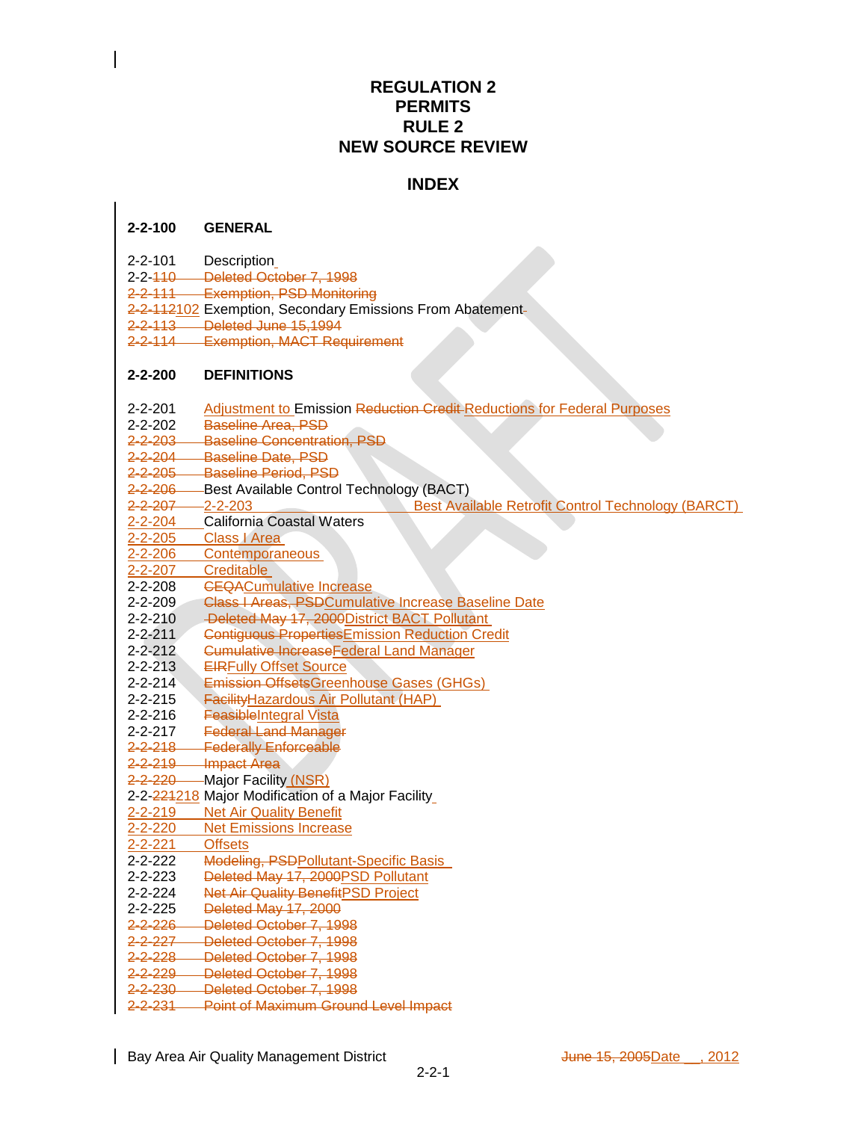# **REGULATION 2 PERMITS RULE 2 NEW SOURCE REVIEW**

# **INDEX**

## **2-2-100 GENERAL**

- 2-2-101 Description
- 2-2-110 Deleted October 7, 1998
- 2-2-111 Exemption, PSD Monitoring
- 2-2-112102 Exemption, Secondary Emissions From Abatement-
- 2-2-113 Deleted June 15,1994
- 2-2-114 Exemption, MACT Requirement

## **2-2-200 DEFINITIONS**

- 2-2-201 Adjustment to Emission Reduction Credit Reductions for Federal Purposes
- 2-2-202 Baseline Area, PSD
- 2-2-203 Baseline Concentration, PSD
- 2-2-204 Baseline Date, PSD
- 2-2-205 Baseline Period, PSD
- 2-2-206 Best Available Control Technology (BACT)
- 2-2-207 2-2-203 Best Available Retrofit Control Technology (BARCT)<br>2-2-204 California Coastal Waters
- California Coastal Waters
- 2-2-205 Class I Area
- 2-2-206 Contemporaneous
- 2-2-207 Creditable
- 2-2-208 <del>CEQA</del>Cumulative Increase
- 2-2-209 Class I Areas, PSD Cumulative Increase Baseline Date
- 2-2-210 Deleted May 17, 2000District BACT Pollutant
- 2-2-211 Contiguous Properties Emission Reduction Credit
- 2-2-212 Cumulative IncreaseFederal Land Manager
- 2-2-213 EIRFully Offset Source
- 2-2-214 Emission OffsetsGreenhouse Gases (GHGs)
- 2-2-215 Facility Hazardous Air Pollutant (HAP)
- 2-2-216 FeasibleIntegral Vista
- 2-2-217 Federal Land Manager
- 2-2-218 Federally Enforceable
- 2-2-219 Impact Area<br>2-2-220 Major Facility
- **Major Facility (NSR)**
- 2-2-224218 Major Modification of a Major Facility
- 2-2-219 Net Air Quality Benefit
- 2-2-220 Net Emissions Increase 2-2-221 Offsets
- 2-2-222 Modeling, PSDPollutant-Specific Basis
- 2-2-223 Deleted May 17, 2000PSD Pollutant
- 2-2-224 Net Air Quality BenefitPSD Project
- 2-2-225 Deleted May 17, 2000
- 2-2-226 Deleted October 7, 1998
- 2-2-227 Deleted October 7, 1998
- 2-2-228 Deleted October 7, 1998<br>2-2-229 Deleted October 7, 1998
- Deleted October 7, 1998
- 2-2-230 Deleted October 7, 1998
- 2-2-231 Point of Maximum Ground Level Impact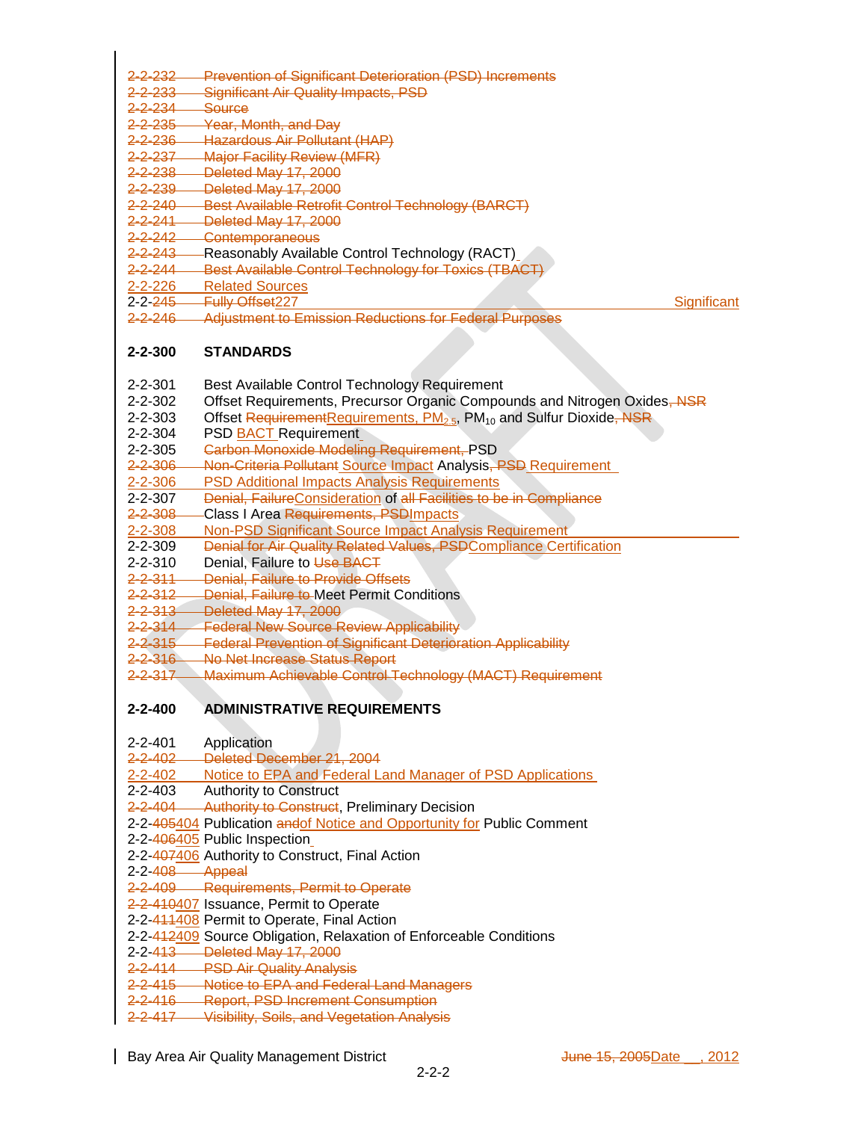- 2-2-232 Prevention of Significant Deterioration (PSD) Increments
- 2-2-233 Significant Air Quality Impacts, PSD
- 2-2-234 Source
- 2-2-235 Year, Month, and Day<br>2-2-236 Hazardous Air Pollutar
- 2-2-236 Hazardous Air Pollutant (HAP)<br>2-2-237 Maior Facility Review (MFR)
- **Major Facility Review (MFR)**
- 2-2-238 Deleted May 17, 2000
- 2-2-239 Deleted May 17, 2000
- 2-2-240 Best Available Retrofit Control Technology (BARCT)
- 2-2-241 Deleted May 17, 2000
- 2-2-242 Contemporaneous
- 2-2-243 Reasonably Available Control Technology (RACT)
- 2-2-244 Best Available Control Technology for Toxics (TBACT)<br>2-2-226 Related Sources
- **Related Sources**
- 2-2-245 Fully Offset227 Significant
- 2-2-246 Adjustment to Emission Reductions for Federal Purposes

# **2-2-300 STANDARDS**

- 2-2-301 Best Available Control Technology Requirement
- 2-2-302 Offset Requirements, Precursor Organic Compounds and Nitrogen Oxides, NSR
- 2-2-303 Offset RequirementRequirements, PM<sub>2.5</sub>, PM<sub>10</sub> and Sulfur Dioxide, NSR
- 2-2-304 PSD BACT Requirement
- 2-2-305 Carbon Monoxide Modeling Requirement, PSD
- 2-2-306 Non-Criteria Pollutant Source Impact Analysis, PSD Requirement
- 2-2-306 PSD Additional Impacts Analysis Requirements
- 2-2-307 Denial, FailureConsideration of all Facilities to be in Compliance
- 2-2-308 Class I Area Requirements, PSDImpacts
- 2-2-308 Non-PSD Significant Source Impact Analysis Requirement
- 2-2-309 Denial for Air Quality Related Values, PSDCompliance Certification
- 2-2-310 Denial, Failure to Use BACT
- 2-2-311 Denial, Failure to Provide Offsets
- 2-2-312 Denial, Failure to Meet Permit Conditions
- 2-2-313 Deleted May 17, 2000
- 2-2-314 Federal New Source Review Applicability
- 2-2-315 Federal Prevention of Significant Deterioration Applicability
- 2-2-316 No Net Increase Status Report
- 2-2-317 Maximum Achievable Control Technology (MACT) Requirement

## **2-2-400 ADMINISTRATIVE REQUIREMENTS**

- 2-2-401 Application
- 2-2-402 Deleted December 21, 2004
- 2-2-402 Notice to EPA and Federal Land Manager of PSD Applications
- 2-2-403 Authority to Construct
- 2-2-404 Authority to Construct, Preliminary Decision
- 2-2-405404 Publication andof Notice and Opportunity for Public Comment
- 2-2-406405 Public Inspection
- 2-2-407406 Authority to Construct, Final Action
- 2-2-408 Appeal
- 2-2-409 Requirements, Permit to Operate
- 2-2-410407 Issuance, Permit to Operate
- 2-2-411408 Permit to Operate, Final Action
- 2-2-412409 Source Obligation, Relaxation of Enforceable Conditions
- 2-2-413 Deleted May 17, 2000
- 2-2-414 PSD Air Quality Analysis
- 2-2-415 Notice to EPA and Federal Land Managers
- 2-2-416 Report, PSD Increment Consumption
- 2-2-417 Visibility, Soils, and Vegetation Analysis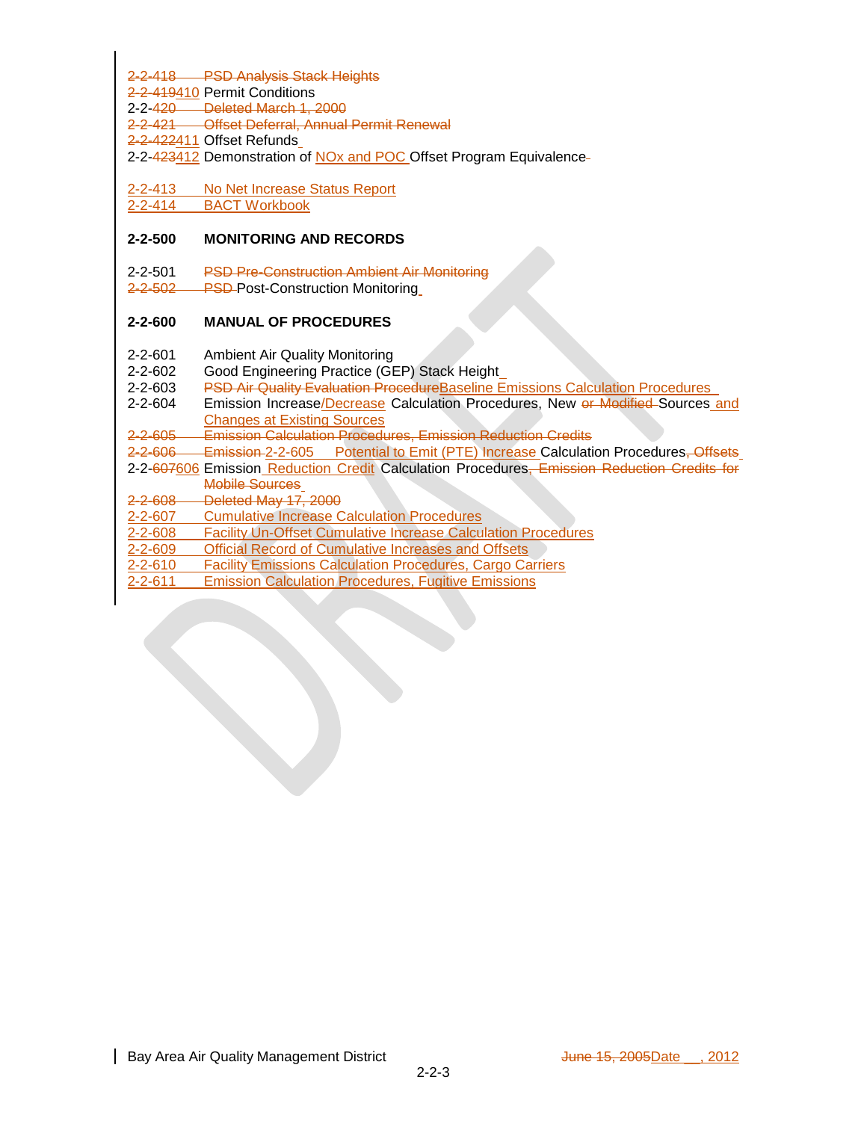2-2-418 PSD Analysis Stack Heights

2-2-419410 Permit Conditions

2-2-420 Deleted March 1, 2000

- 2-2-421 Offset Deferral, Annual Permit Renewal
- 2-2-422411 Offset Refunds
- 2-2-423412 Demonstration of NO<sub>x</sub> and POC Offset Program Equivalence-

2-2-413 No Net Increase Status Report

2-2-414 BACT Workbook

## **2-2-500 MONITORING AND RECORDS**

2-2-501 PSD Pre-Construction Ambient Air Monitoring

2-2-502 PSD-Post-Construction Monitoring

## **2-2-600 MANUAL OF PROCEDURES**

- 2-2-601 Ambient Air Quality Monitoring
- 2-2-602 Good Engineering Practice (GEP) Stack Height
- 2-2-603 PSD Air Quality Evaluation Procedure Baseline Emissions Calculation Procedures
- 2-2-604 Emission Increase/Decrease Calculation Procedures, New or Modified Sources and Changes at Existing Sources

2-2-605 Emission Calculation Procedures, Emission Reduction Credits

- 2-2-606 Emission 2-2-605 Potential to Emit (PTE) Increase Calculation Procedures, Offsets
- 2-2-607606 Emission Reduction Credit Calculation Procedures, Emission Reduction Credits for Mobile Sources
- 2-2-608 Deleted May 17, 2000
- 2-2-607 Cumulative Increase Calculation Procedures
- 2-2-608 Facility Un-Offset Cumulative Increase Calculation Procedures
- 2-2-609 Official Record of Cumulative Increases and Offsets
- **Facility Emissions Calculation Procedures, Cargo Carriers**
- 2-2-611 Emission Calculation Procedures, Fugitive Emissions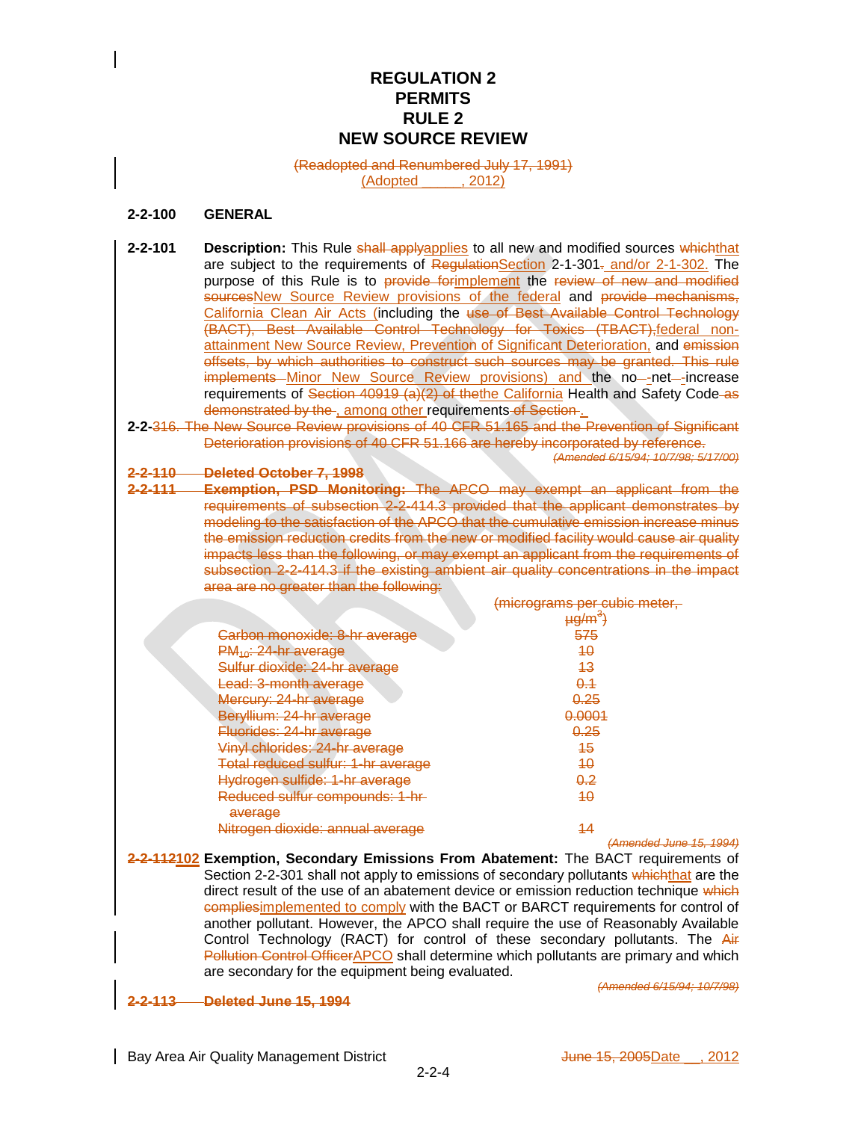# **REGULATION 2 PERMITS RULE 2 NEW SOURCE REVIEW**

#### (Readopted and Renumbered July 17, 1991) (Adopted \_\_\_\_\_, 2012)

## **2-2-100 GENERAL**

- 2-2-101 **Description:** This Rule shall applyapplies to all new and modified sources whichthat are subject to the requirements of RegulationSection 2-1-301. and/or 2-1-302. The purpose of this Rule is to provide for implement the review of new and modified sourcesNew Source Review provisions of the federal and provide mechanisms, California Clean Air Acts (including the use of Best Available Control Technology (BACT), Best Available Control Technology for Toxics (TBACT), federal nonattainment New Source Review, Prevention of Significant Deterioration, and emission offsets, by which authorities to construct such sources may be granted. This rule implements Minor New Source Review provisions) and the no-net--increase requirements of Section 40919 (a)(2) of the the California Health and Safety Code-as demonstrated by the , among other requirements of Section.
- **2-2-**316. The New Source Review provisions of 40 CFR 51.165 and the Prevention of Significant Deterioration provisions of 40 CFR 51.166 are hereby incorporated by reference. *(Amended 6/15/94; 10/7/98; 5/17/00)*

**2-2-110 Deleted October 7, 1998**

**2-2-111 Exemption, PSD Monitoring:** The APCO may exempt an applicant from the requirements of subsection 2-2-414.3 provided that the applicant demonstrates by modeling to the satisfaction of the APCO that the cumulative emission increase minus the emission reduction credits from the new or modified facility would cause air quality impacts less than the following, or may exempt an applicant from the requirements of subsection 2-2-414.3 if the existing ambient air quality concentrations in the impact area are no greater than the following:

|                                           | . <del>.</del><br><b>PY</b>  |
|-------------------------------------------|------------------------------|
|                                           | <del>µg/m<sup>3</sup>)</del> |
| Carbon monoxide: 8-hr average             | 575                          |
| PM <sub>40</sub> : 24-hr average          | 40                           |
| Sulfur dioxide: 24-hr average             | 43                           |
| Lead: 3-month average                     | <del>0.1</del>               |
| Mercury: 24-hr average                    | <u>0.25</u>                  |
| Beryllium: 24-hr average                  | 0.0001                       |
| Fluorides: 24-hr average                  | 0.25                         |
| Vinyl chlorides: 24-hr average            | 45                           |
| Total reduced sulfur: 1-hr average        | 40                           |
| Hydrogen sulfide: 1-hr average            | <del>0.2</del>               |
| Reduced sulfur compounds: 1-hr<br>average | 40                           |
| Nitrogen dioxide: annual average          | 44                           |
|                                           | (Amended June 15, 1994)      |

**2-2-112102 Exemption, Secondary Emissions From Abatement:** The BACT requirements of Section 2-2-301 shall not apply to emissions of secondary pollutants whichthat are the direct result of the use of an abatement device or emission reduction technique which compliesimplemented to comply with the BACT or BARCT requirements for control of another pollutant. However, the APCO shall require the use of Reasonably Available Control Technology (RACT) for control of these secondary pollutants. The Air **Pollution Control OfficerAPCO** shall determine which pollutants are primary and which are secondary for the equipment being evaluated.

**2-2-113 Deleted June 15, 1994**

*(Amended 6/15/94; 10/7/98)*

(micrograms per cubic meter,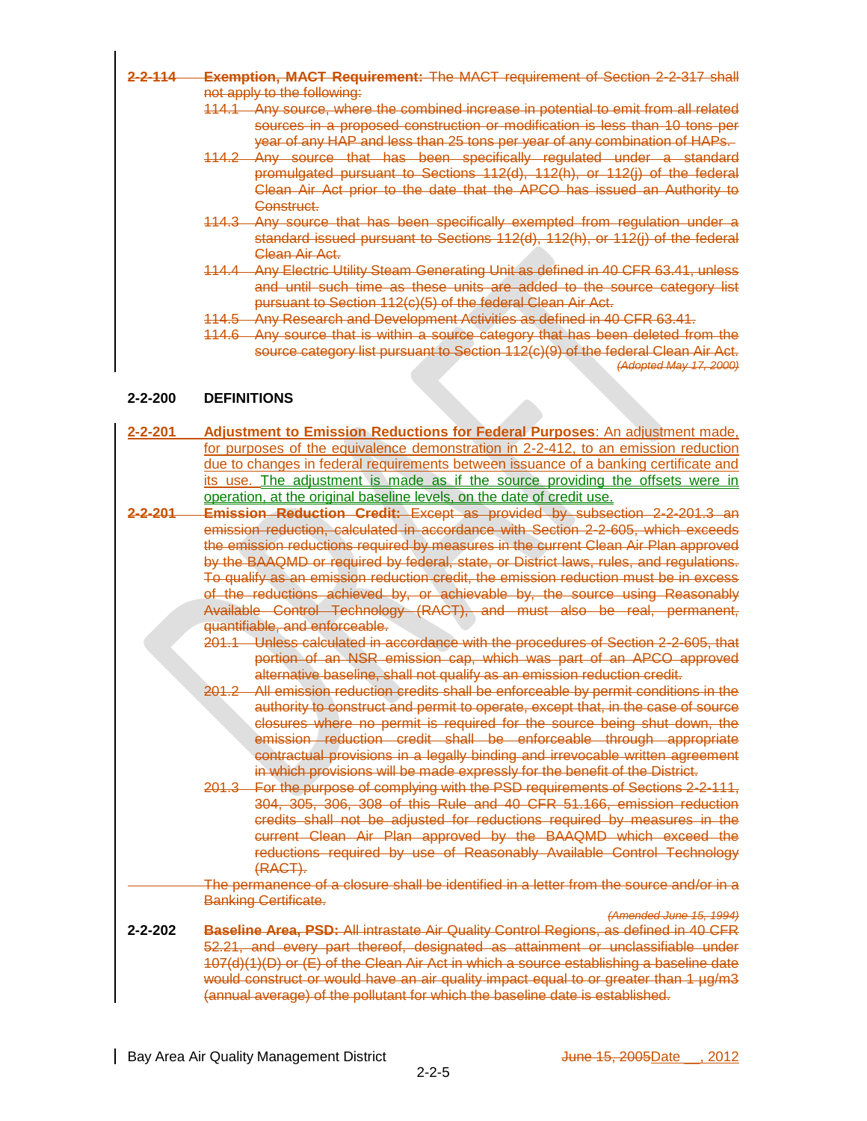- **2-2-114 Exemption, MACT Requirement:** The MACT requirement of Section 2-2-317 shall not apply to the following:
	- 114.1 Any source, where the combined increase in potential to emit from all related sources in a proposed construction or modification is less than 10 tons per year of any HAP and less than 25 tons per year of any combination of HAPs.
	- 114.2 Any source that has been specifically regulated under a standard promulgated pursuant to Sections 112(d), 112(h), or 112(j) of the federal Clean Air Act prior to the date that the APCO has issued an Authority to Construct.
	- 114.3 Any source that has been specifically exempted from regulation under a standard issued pursuant to Sections 112(d), 112(h), or 112(j) of the federal Clean Air Act.
	- 114.4 Any Electric Utility Steam Generating Unit as defined in 40 CFR 63.41, unless and until such time as these units are added to the source category list pursuant to Section 112(c)(5) of the federal Clean Air Act.
	- 114.5 Any Research and Development Activities as defined in 40 CFR 63.41.
	- 114.6 Any source that is within a source category that has been deleted from the source category list pursuant to Section 112(c)(9) of the federal Clean Air Act. *(Adopted May 17, 2000)*

## **2-2-200 DEFINITIONS**

- **2-2-201 Adjustment to Emission Reductions for Federal Purposes**: An adjustment made, for purposes of the equivalence demonstration in 2-2-412, to an emission reduction due to changes in federal requirements between issuance of a banking certificate and its use. The adjustment is made as if the source providing the offsets were in operation, at the original baseline levels, on the date of credit use.
- **2-2-201 Emission Reduction Credit:** Except as provided by subsection 2-2-201.3 an emission reduction, calculated in accordance with Section 2-2-605, which exceeds the emission reductions required by measures in the current Clean Air Plan approved by the BAAQMD or required by federal, state, or District laws, rules, and regulations. To qualify as an emission reduction credit, the emission reduction must be in excess of the reductions achieved by, or achievable by, the source using Reasonably Available Control Technology (RACT), and must also be real, permanent, quantifiable, and enforceable.
	- 201.1 Unless calculated in accordance with the procedures of Section 2-2-605, that portion of an NSR emission cap, which was part of an APCO approved alternative baseline, shall not qualify as an emission reduction credit.
	- 201.2 All emission reduction credits shall be enforceable by permit conditions in the authority to construct and permit to operate, except that, in the case of source closures where no permit is required for the source being shut down, the emission reduction credit shall be enforceable through appropriate contractual provisions in a legally binding and irrevocable written agreement in which provisions will be made expressly for the benefit of the District.
	- 201.3 For the purpose of complying with the PSD requirements of Sections 2-2-111, 304, 305, 306, 308 of this Rule and 40 CFR 51.166, emission reduction credits shall not be adjusted for reductions required by measures in the current Clean Air Plan approved by the BAAQMD which exceed the reductions required by use of Reasonably Available Control Technology (RACT).
	- The permanence of a closure shall be identified in a letter from the source and/or in a Banking Certificate.

*(Amended June 15, 1994)*

**2-2-202 Baseline Area, PSD:** All intrastate Air Quality Control Regions, as defined in 40 CFR 52.21, and every part thereof, designated as attainment or unclassifiable under 107(d)(1)(D) or (E) of the Clean Air Act in which a source establishing a baseline date would construct or would have an air quality impact equal to or greater than 1 µg/m3 (annual average) of the pollutant for which the baseline date is established.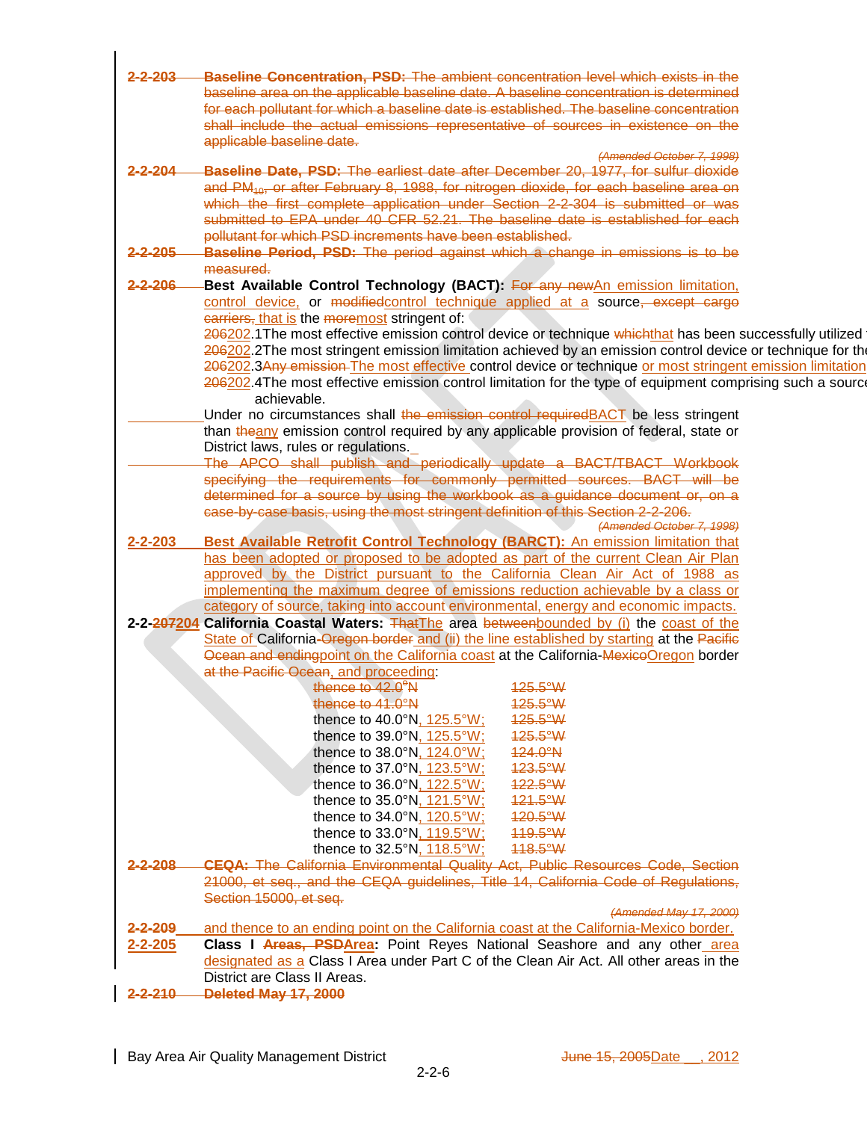| 2-2-203       |                                                                                                                                                                                     |  |
|---------------|-------------------------------------------------------------------------------------------------------------------------------------------------------------------------------------|--|
|               | <b>Baseline Concentration, PSD:</b> The ambient concentration level which exists in the                                                                                             |  |
|               | baseline area on the applicable baseline date. A baseline concentration is determined                                                                                               |  |
|               | for each pollutant for which a baseline date is established. The baseline concentration                                                                                             |  |
|               | shall include the actual emissions representative of sources in existence on the                                                                                                    |  |
|               | applicable baseline date.                                                                                                                                                           |  |
|               | (Amended October 7, 1998)                                                                                                                                                           |  |
| $2 - 2 - 204$ | -Baseline Date, PSD: The earliest date after December 20, 1977, for sulfur dioxide                                                                                                  |  |
|               |                                                                                                                                                                                     |  |
|               | and PM <sub>10</sub> , or after February 8, 1988, for nitrogen dioxide, for each baseline area on<br>which the first complete application under Section 2-2-304 is submitted or was |  |
|               |                                                                                                                                                                                     |  |
|               | submitted to EPA under 40 CFR 52.21. The baseline date is established for each                                                                                                      |  |
|               | pollutant for which PSD increments have been established.                                                                                                                           |  |
| 2-2-205       | Baseline Period, PSD: The period against which a change in emissions is to be                                                                                                       |  |
|               | measured.                                                                                                                                                                           |  |
| $2 - 2 - 206$ | -Best Available Control Technology (BACT): For any new An emission limitation,                                                                                                      |  |
|               | control device, or modifiedcontrol technique applied at a source, except cargo                                                                                                      |  |
|               | earriers, that is the moremost stringent of:                                                                                                                                        |  |
|               |                                                                                                                                                                                     |  |
|               | 206202.1 The most effective emission control device or technique whichthat has been successfully utilized                                                                           |  |
|               | 206202.2The most stringent emission limitation achieved by an emission control device or technique for the                                                                          |  |
|               | 206202.3Any emission The most effective control device or technique or most stringent emission limitation                                                                           |  |
|               | 206202.4The most effective emission control limitation for the type of equipment comprising such a source                                                                           |  |
|               | achievable.                                                                                                                                                                         |  |
|               | Under no circumstances shall the emission control required BACT be less stringent                                                                                                   |  |
|               | than theany emission control required by any applicable provision of federal, state or                                                                                              |  |
|               | District laws, rules or regulations.                                                                                                                                                |  |
|               | The APCO shall publish and periodically update a BACT/TBACT Workbook                                                                                                                |  |
|               | specifying the requirements for commonly permitted sources. BACT will be                                                                                                            |  |
|               | determined for a source by using the workbook as a guidance document or, on a                                                                                                       |  |
|               | case-by-case basis, using the most stringent definition of this Section 2-2-206.                                                                                                    |  |
|               |                                                                                                                                                                                     |  |
|               | (Amended October 7, 1998)                                                                                                                                                           |  |
| $2 - 2 - 203$ | Best Available Retrofit Control Technology (BARCT): An emission limitation that                                                                                                     |  |
|               | has been adopted or proposed to be adopted as part of the current Clean Air Plan                                                                                                    |  |
|               | approved by the District pursuant to the California Clean Air Act of 1988 as                                                                                                        |  |
|               | implementing the maximum degree of emissions reduction achievable by a class or                                                                                                     |  |
|               | category of source, taking into account environmental, energy and economic impacts.                                                                                                 |  |
|               | 2-2-207204 California Coastal Waters: ThatThe area betweenbounded by (i) the coast of the                                                                                           |  |
|               | State of California-Oregon border and (ii) the line established by starting at the Pacific                                                                                          |  |
|               |                                                                                                                                                                                     |  |
|               |                                                                                                                                                                                     |  |
|               | Ocean and endingpoint on the California coast at the California-MexicoOregon border                                                                                                 |  |
|               | at the Pacific Ocean, and proceeding:                                                                                                                                               |  |
|               | thence to 42.0 <sup>°</sup> N<br>125.5°W                                                                                                                                            |  |
|               | thence to 41.0°N<br>125.5°W                                                                                                                                                         |  |
|               | 125.5°W<br>thence to 40.0°N, 125.5°W                                                                                                                                                |  |
|               | 125.5°W<br>thence to 39.0°N, 125.5°W;                                                                                                                                               |  |
|               | 124.0°N<br>thence to 38.0°N, 124.0°W;                                                                                                                                               |  |
|               |                                                                                                                                                                                     |  |
|               | thence to 37.0°N, 123.5°W;<br>123.5°W                                                                                                                                               |  |
|               | 122.5°W<br>thence to $36.0^\circ N$ , $122.5^\circ W$ ;                                                                                                                             |  |
|               | 121.5°W<br>thence to 35.0°N, 121.5°W;                                                                                                                                               |  |
|               | thence to 34.0°N, 120.5°W;<br>120.5°W                                                                                                                                               |  |
|               | 119.5°W<br>thence to 33.0°N, 119.5°W;                                                                                                                                               |  |
|               | thence to 32.5°N, 118.5°W;<br>118.5°W                                                                                                                                               |  |
| $2 - 2 - 208$ | <b>CEQA:</b> The California Environmental Quality Act. Public Resources Code, Section                                                                                               |  |
|               |                                                                                                                                                                                     |  |
|               | 21000, et seq., and the CEQA guidelines, Title 14, California Code of Regulations.                                                                                                  |  |
|               | Section 15000, et seq.                                                                                                                                                              |  |
|               | (Amended May 17, 2000)                                                                                                                                                              |  |
| $2 - 2 - 209$ | and thence to an ending point on the California coast at the California-Mexico border.                                                                                              |  |
| $2 - 2 - 205$ | Class I Areas, PSDArea: Point Reyes National Seashore and any other area                                                                                                            |  |
|               | designated as a Class I Area under Part C of the Clean Air Act. All other areas in the                                                                                              |  |
|               | District are Class II Areas.<br>2-2-210 Deleted May 17, 2000                                                                                                                        |  |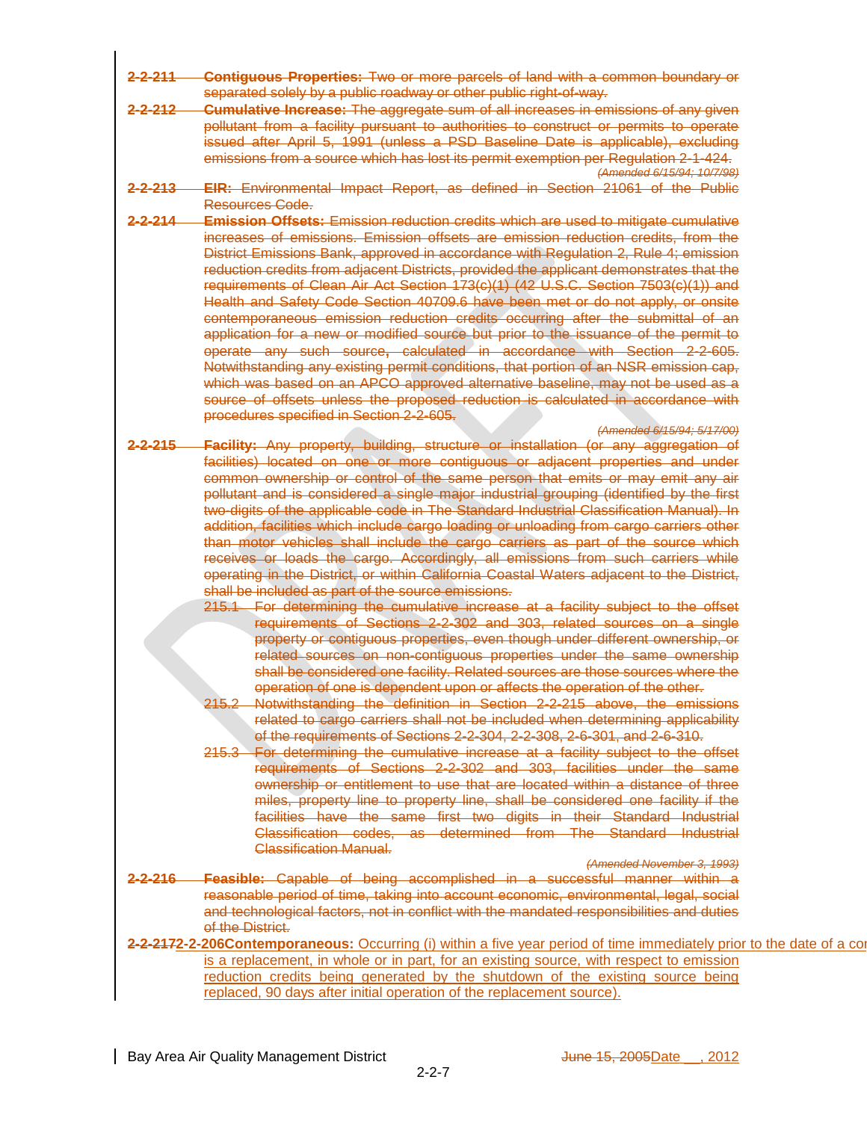- **2-2-211 Contiguous Properties:** Two or more parcels of land with a common boundary or separated solely by a public roadway or other public right-of-way.
- **2-2-212 Cumulative Increase:** The aggregate sum of all increases in emissions of any given pollutant from a facility pursuant to authorities to construct or permits to operate issued after April 5, 1991 (unless a PSD Baseline Date is applicable), excluding emissions from a source which has lost its permit exemption per Regulation 2-1-424. *(Amended 6/15/94; 10/7/98)*
- **2-2-213 EIR:** Environmental Impact Report, as defined in Section 21061 of the Public Resources Code.
- **2-2-214 Emission Offsets:** Emission reduction credits which are used to mitigate cumulative increases of emissions. Emission offsets are emission reduction credits, from the District Emissions Bank, approved in accordance with Regulation 2, Rule 4; emission reduction credits from adjacent Districts, provided the applicant demonstrates that the requirements of Clean Air Act Section 173(c)(1) (42 U.S.C. Section 7503(c)(1)) and Health and Safety Code Section 40709.6 have been met or do not apply, or onsite contemporaneous emission reduction credits occurring after the submittal of an application for a new or modified source but prior to the issuance of the permit to operate any such source**,** calculated in accordance with Section 2-2-605. Notwithstanding any existing permit conditions, that portion of an NSR emission cap, which was based on an APCO approved alternative baseline, may not be used as a source of offsets unless the proposed reduction is calculated in accordance with procedures specified in Section 2-2-605.
- *(Amended 6/15/94; 5/17/00)* **2-2-215 Facility:** Any property, building, structure or installation (or any aggregation of facilities) located on one or more contiguous or adjacent properties and under common ownership or control of the same person that emits or may emit any air pollutant and is considered a single major industrial grouping (identified by the first two-digits of the applicable code in The Standard Industrial Classification Manual). In addition, facilities which include cargo loading or unloading from cargo carriers other than motor vehicles shall include the cargo carriers as part of the source which receives or loads the cargo. Accordingly, all emissions from such carriers while operating in the District, or within California Coastal Waters adjacent to the District, shall be included as part of the source emissions.
	- 215.1 For determining the cumulative increase at a facility subject to the offset requirements of Sections 2-2-302 and 303, related sources on a single property or contiguous properties, even though under different ownership, or related sources on non-contiguous properties under the same ownership shall be considered one facility. Related sources are those sources where the operation of one is dependent upon or affects the operation of the other.
	- 215.2 Notwithstanding the definition in Section 2-2-215 above, the emissions related to cargo carriers shall not be included when determining applicability of the requirements of Sections 2-2-304, 2-2-308, 2-6-301, and 2-6-310.
	- 215.3 For determining the cumulative increase at a facility subject to the offset requirements of Sections 2-2-302 and 303, facilities under the same ownership or entitlement to use that are located within a distance of three miles, property line to property line, shall be considered one facility if the facilities have the same first two digits in their Standard Industrial Classification codes, as determined from The Standard Industrial Classification Manual.

#### *(Amended November 3, 1993)*

- **2-2-216 Feasible:** Capable of being accomplished in a successful manner within a reasonable period of time, taking into account economic, environmental, legal, social and technological factors, not in conflict with the mandated responsibilities and duties of the District.
- 2-2-2172-2-206Contemporaneous: Occurring (i) within a five year period of time immediately prior to the date of a co is a replacement, in whole or in part, for an existing source, with respect to emission reduction credits being generated by the shutdown of the existing source being replaced, 90 days after initial operation of the replacement source).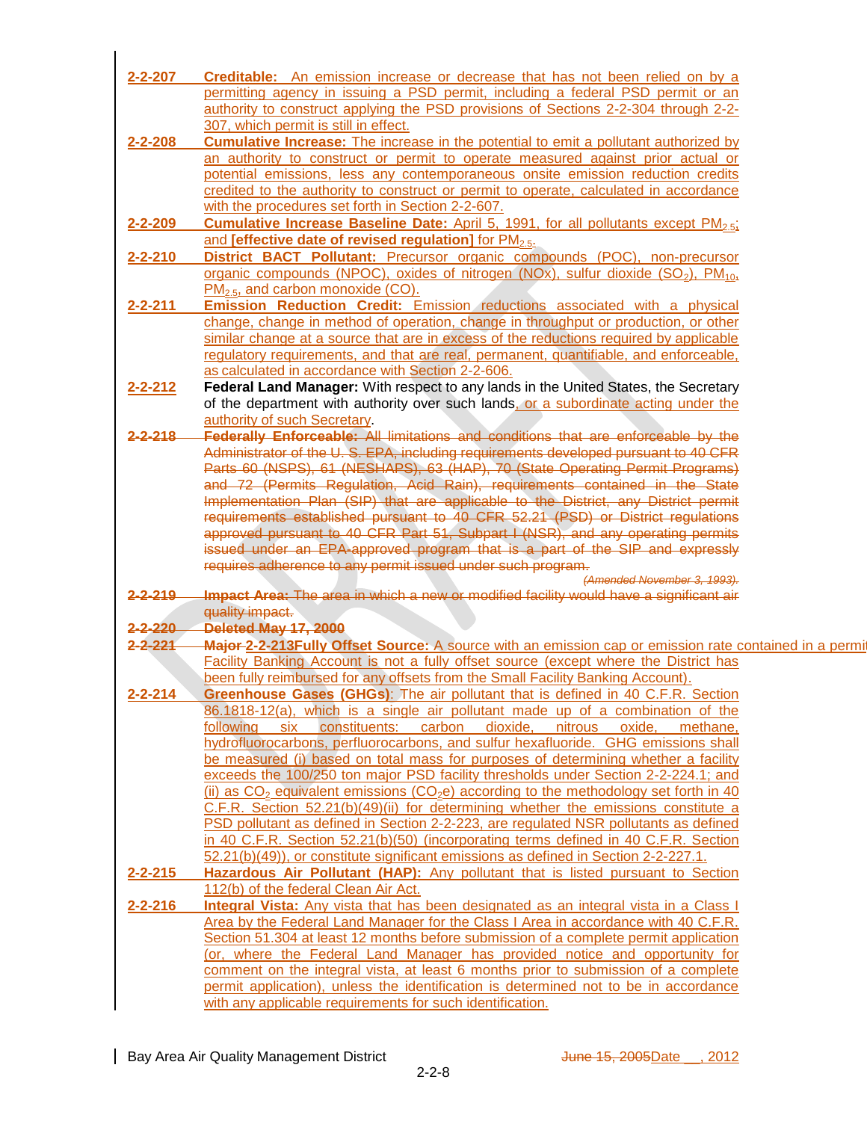| $2 - 2 - 207$      | <b>Creditable:</b> An emission increase or decrease that has not been relied on by a                                                                                                                                                 |
|--------------------|--------------------------------------------------------------------------------------------------------------------------------------------------------------------------------------------------------------------------------------|
|                    | permitting agency in issuing a PSD permit, including a federal PSD permit or an                                                                                                                                                      |
|                    | authority to construct applying the PSD provisions of Sections 2-2-304 through 2-2-                                                                                                                                                  |
|                    | 307, which permit is still in effect.                                                                                                                                                                                                |
| $2 - 2 - 208$      | <b>Cumulative Increase:</b> The increase in the potential to emit a pollutant authorized by                                                                                                                                          |
|                    | an authority to construct or permit to operate measured against prior actual or                                                                                                                                                      |
|                    | potential emissions, less any contemporaneous onsite emission reduction credits                                                                                                                                                      |
|                    | credited to the authority to construct or permit to operate, calculated in accordance                                                                                                                                                |
|                    | with the procedures set forth in Section 2-2-607.                                                                                                                                                                                    |
|                    | 2-2-209 Cumulative Increase Baseline Date: April 5, 1991, for all pollutants except PM <sub>2.51</sub>                                                                                                                               |
|                    | and [effective date of revised regulation] for PM <sub>2.5</sub> .                                                                                                                                                                   |
| $2 - 2 - 210$      | District BACT Pollutant: Precursor organic compounds (POC), non-precursor                                                                                                                                                            |
|                    | organic compounds (NPOC), oxides of nitrogen (NOx), sulfur dioxide (SO <sub>2</sub> ), PM <sub>10</sub> ,                                                                                                                            |
|                    | $PM_{2.5}$ , and carbon monoxide (CO).                                                                                                                                                                                               |
| $2 - 2 - 211$      | <b>Emission Reduction Credit:</b> Emission reductions associated with a physical                                                                                                                                                     |
|                    |                                                                                                                                                                                                                                      |
|                    | change, change in method of operation, change in throughput or production, or other                                                                                                                                                  |
|                    | similar change at a source that are in excess of the reductions required by applicable                                                                                                                                               |
|                    | regulatory requirements, and that are real, permanent, quantifiable, and enforceable,                                                                                                                                                |
|                    | as calculated in accordance with Section 2-2-606.                                                                                                                                                                                    |
| 2-2-212            | Federal Land Manager: With respect to any lands in the United States, the Secretary                                                                                                                                                  |
|                    | of the department with authority over such lands, or a subordinate acting under the                                                                                                                                                  |
|                    | authority of such Secretary.                                                                                                                                                                                                         |
| <del>2-2-218</del> | Federally Enforceable: All limitations and conditions that are enforceable by the                                                                                                                                                    |
|                    | Administrator of the U.S. EPA, including requirements developed pursuant to 40 CFR                                                                                                                                                   |
|                    | Parts 60 (NSPS), 61 (NESHAPS), 63 (HAP), 70 (State Operating Permit Programs)<br>and 72 (Permits Regulation, Acid Rain), requirements contained in the State<br>Implementation Plan (SIP) that are applicable to the District, any D |
|                    |                                                                                                                                                                                                                                      |
|                    |                                                                                                                                                                                                                                      |
|                    |                                                                                                                                                                                                                                      |
|                    | approved pursuant to 40 CFR Part 51, Subpart I (NSR), and any operating permits                                                                                                                                                      |
|                    | issued under an EPA-approved program that is a part of the SIP and expressly                                                                                                                                                         |
|                    | requires adherence to any permit issued under such program.                                                                                                                                                                          |
|                    | (Amended November 3, 1993).                                                                                                                                                                                                          |
| $2 - 2 - 219$      | Impact Area: The area in which a new or modified facility would have a significant air                                                                                                                                               |
|                    | quality impact.                                                                                                                                                                                                                      |
|                    | 2-2-220 Deleted May 17, 2000                                                                                                                                                                                                         |
| $2 - 2 - 221$      | <b>Major-2-2-213Fully Offset Source:</b> A source with an emission cap or emission rate contained in a permit                                                                                                                        |
|                    | Facility Banking Account is not a fully offset source (except where the District has                                                                                                                                                 |
|                    | been fully reimbursed for any offsets from the Small Facility Banking Account).                                                                                                                                                      |
|                    | 2-2-214 Greenhouse Gases (GHGs): The air pollutant that is defined in 40 C.F.R. Section                                                                                                                                              |
|                    | 86.1818-12(a), which is a single air pollutant made up of a combination of the                                                                                                                                                       |
|                    | following six constituents: carbon dioxide, nitrous oxide, methane,                                                                                                                                                                  |
|                    | hydrofluorocarbons, perfluorocarbons, and sulfur hexafluoride. GHG emissions shall                                                                                                                                                   |
|                    | be measured (i) based on total mass for purposes of determining whether a facility                                                                                                                                                   |
|                    | exceeds the 100/250 ton major PSD facility thresholds under Section 2-2-224.1; and                                                                                                                                                   |
|                    |                                                                                                                                                                                                                                      |
|                    | (ii) as $CO2$ equivalent emissions (CO <sub>2</sub> e) according to the methodology set forth in 40                                                                                                                                  |
|                    | C.F.R. Section 52.21(b)(49)(ii) for determining whether the emissions constitute a                                                                                                                                                   |
|                    | PSD pollutant as defined in Section 2-2-223, are regulated NSR pollutants as defined                                                                                                                                                 |
|                    | in 40 C.F.R. Section 52.21(b)(50) (incorporating terms defined in 40 C.F.R. Section                                                                                                                                                  |
|                    | 52.21(b)(49)), or constitute significant emissions as defined in Section 2-2-227.1.                                                                                                                                                  |
| $2 - 2 - 215$      | Hazardous Air Pollutant (HAP): Any pollutant that is listed pursuant to Section                                                                                                                                                      |
|                    | 112(b) of the federal Clean Air Act.                                                                                                                                                                                                 |
| $2 - 2 - 216$      | Integral Vista: Any vista that has been designated as an integral vista in a Class                                                                                                                                                   |
|                    | Area by the Federal Land Manager for the Class I Area in accordance with 40 C.F.R.                                                                                                                                                   |
|                    | Section 51.304 at least 12 months before submission of a complete permit application                                                                                                                                                 |
|                    | (or, where the Federal Land Manager has provided notice and opportunity for                                                                                                                                                          |
|                    | comment on the integral vista, at least 6 months prior to submission of a complete                                                                                                                                                   |
|                    | permit application), unless the identification is determined not to be in accordance                                                                                                                                                 |
|                    | with any applicable requirements for such identification.                                                                                                                                                                            |
|                    |                                                                                                                                                                                                                                      |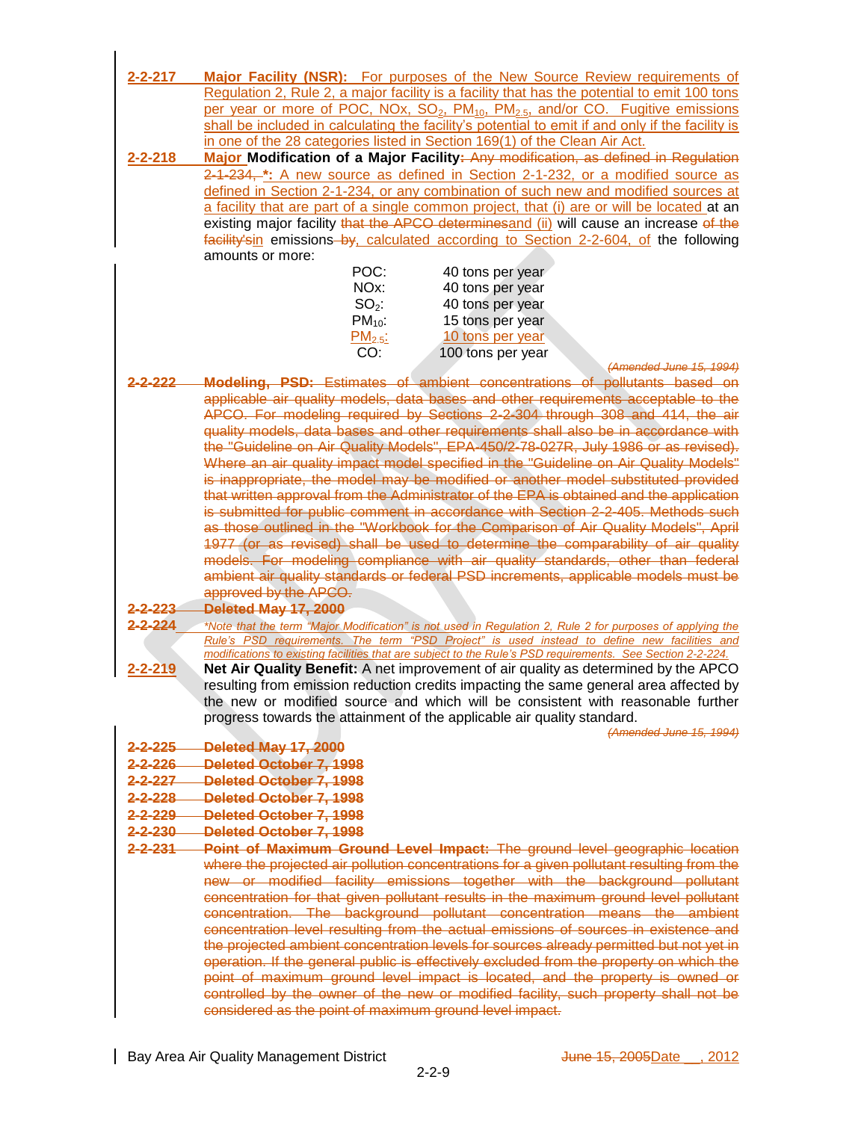| $2 - 2 - 217$                  | <b>Major Facility (NSR):</b> For purposes of the New Source Review requirements of                                                                                                                         |
|--------------------------------|------------------------------------------------------------------------------------------------------------------------------------------------------------------------------------------------------------|
|                                | Regulation 2, Rule 2, a major facility is a facility that has the potential to emit 100 tons                                                                                                               |
|                                | per year or more of POC, NOx, SO <sub>2</sub> , PM <sub>10</sub> , PM <sub>2.5</sub> , and/or CO. Fugitive emissions                                                                                       |
|                                | shall be included in calculating the facility's potential to emit if and only if the facility is                                                                                                           |
|                                | in one of the 28 categories listed in Section 169(1) of the Clean Air Act.                                                                                                                                 |
| $2 - 2 - 218$                  | Major Modification of a Major Facility: Any modification, as defined in Regulation                                                                                                                         |
|                                | 2-1-234, *: A new source as defined in Section 2-1-232, or a modified source as                                                                                                                            |
|                                | defined in Section 2-1-234, or any combination of such new and modified sources at                                                                                                                         |
|                                | a facility that are part of a single common project, that (i) are or will be located at an                                                                                                                 |
|                                | existing major facility that the APCO determinesand (ii) will cause an increase of the                                                                                                                     |
|                                | facility'sin emissions-by, calculated according to Section 2-2-604, of the following                                                                                                                       |
|                                | amounts or more:                                                                                                                                                                                           |
|                                | POC:<br>40 tons per year                                                                                                                                                                                   |
|                                | NO <sub>x</sub> :<br>40 tons per year                                                                                                                                                                      |
|                                | $SO2$ :<br>40 tons per year                                                                                                                                                                                |
|                                | $PM_{10}$ :<br>15 tons per year<br>10 tons per year                                                                                                                                                        |
|                                | PM <sub>2.5</sub><br>CO:<br>100 tons per year                                                                                                                                                              |
|                                | (Amended June 15, 1994)                                                                                                                                                                                    |
| <u>.2.222</u>                  | Modeling, PSD: Estimates of ambient concentrations of pollutants based on                                                                                                                                  |
|                                | applicable air quality models, data bases and other requirements acceptable to the                                                                                                                         |
|                                | APCO. For modeling required by Sections 2-2-304 through 308 and 414, the air                                                                                                                               |
|                                | quality models, data bases and other requirements shall also be in accordance with                                                                                                                         |
|                                | the "Guideline on Air Quality Models", EPA-450/2-78-027R, July 1986 or as revised).                                                                                                                        |
|                                | Where an air quality impact model specified in the "Guideline on Air Quality Models"                                                                                                                       |
|                                | is inappropriate, the model may be modified or another model substituted provided                                                                                                                          |
|                                | that written approval from the Administrator of the EPA is obtained and the application<br>is submitted for public comment in accordance with Section 2-2-405. Methods such                                |
|                                | as those outlined in the "Workbook for the Comparison of Air Quality Models", April                                                                                                                        |
|                                | 1977 (or as revised) shall be used to determine the comparability of air quality                                                                                                                           |
|                                | models. For modeling compliance with air quality standards, other than federal                                                                                                                             |
|                                | ambient air quality standards or federal PSD increments, applicable models must be                                                                                                                         |
|                                | approved by the APCO.                                                                                                                                                                                      |
| 2-2-223                        | <b>Deleted May 17, 2000</b>                                                                                                                                                                                |
| $2 - 2 - 224$                  | *Note that the term "Major Modification" is not used in Regulation 2, Rule 2 for purposes of applying the                                                                                                  |
|                                | Rule's PSD requirements. The term "PSD Project" is used instead to define new facilities and<br>modifications to existing facilities that are subject to the Rule's PSD requirements. See Section 2-2-224. |
| $2 - 2 - 219$                  | Net Air Quality Benefit: A net improvement of air quality as determined by the APCO                                                                                                                        |
|                                | resulting from emission reduction credits impacting the same general area affected by                                                                                                                      |
|                                | the new or modified source and which will be consistent with reasonable further                                                                                                                            |
|                                | progress towards the attainment of the applicable air quality standard.                                                                                                                                    |
|                                | (Amended June 15, 1994)                                                                                                                                                                                    |
| 2-2-225                        | Deleted May 17, 2000                                                                                                                                                                                       |
| $2 - 2 - 226$                  | <b>Deleted October 7, 1998</b>                                                                                                                                                                             |
| $2 - 2 - 227$                  | Deleted October 7, 1998                                                                                                                                                                                    |
| $2 - 2 - 228$                  | Deleted October 7, 1998                                                                                                                                                                                    |
| $2 - 2 - 229$                  | <b>Deleted October 7, 1998</b>                                                                                                                                                                             |
| $2 - 2 - 230$<br>$2 - 2 - 231$ | Deleted October 7, 1998                                                                                                                                                                                    |
|                                | Point of Maximum Ground Level Impact: The ground level geographic location<br>where the projected air pollution concentrations for a given pollutant resulting from the                                    |
|                                | new or modified facility emissions together with the background pollutant                                                                                                                                  |
|                                | concentration for that given pollutant results in the maximum ground level pollutant                                                                                                                       |
|                                | concentration. The background pollutant concentration means the ambient                                                                                                                                    |
|                                | concentration level resulting from the actual emissions of sources in existence and                                                                                                                        |
|                                | the projected ambient concentration levels for sources already permitted but not yet in                                                                                                                    |
|                                | operation. If the general public is effectively excluded from the property on which the                                                                                                                    |
|                                | point of maximum ground level impact is located, and the property is owned or                                                                                                                              |
|                                | controlled by the owner of the new or modified facility, such property shall not be                                                                                                                        |
|                                | considered as the point of maximum ground level impact.                                                                                                                                                    |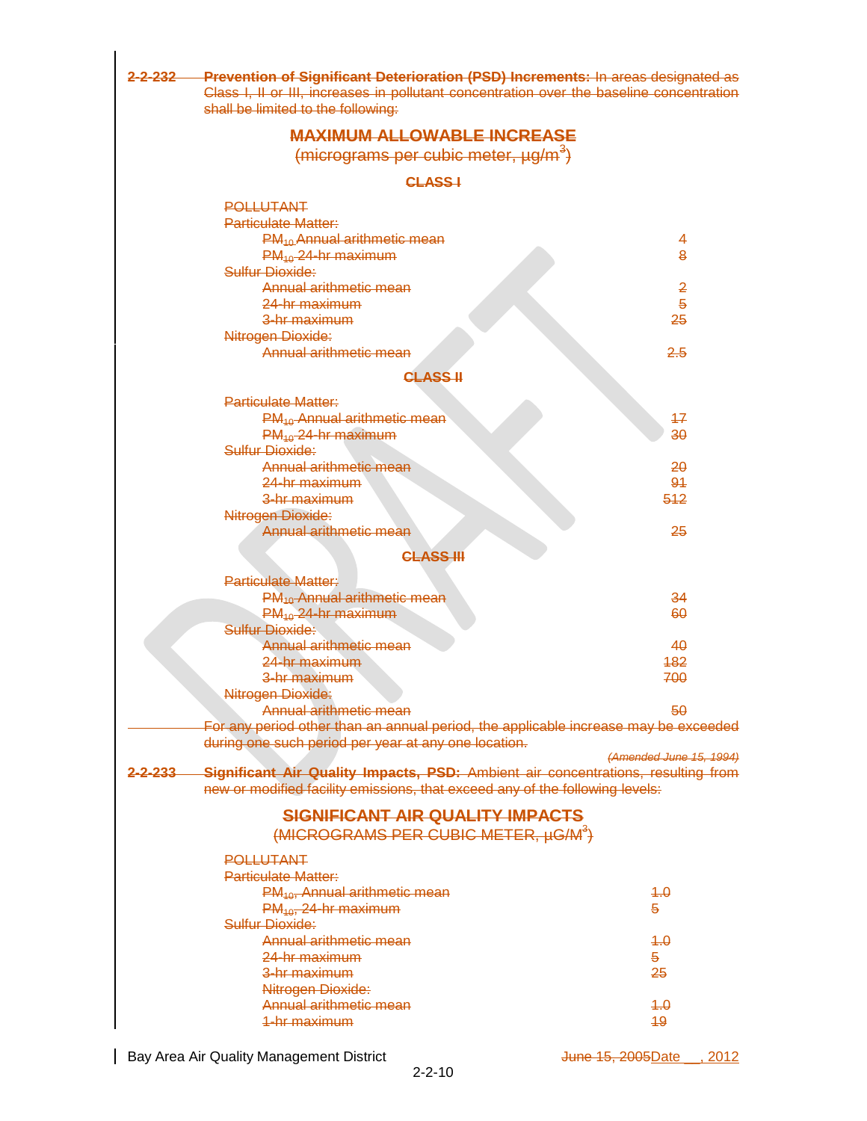| <u>2-2-232—</u>  | <b>Prevention of Significant Deterioration (PSD) Increments: In areas designated as</b><br>Class I, II or III, increases in pollutant concentration over the baseline concentration<br>shall be limited to the following: |                         |
|------------------|---------------------------------------------------------------------------------------------------------------------------------------------------------------------------------------------------------------------------|-------------------------|
|                  | <b>MAXIMUM ALLOWABLE INCREASE</b>                                                                                                                                                                                         |                         |
|                  | $(micrograms per cubic meter, \mu g/m^3)$                                                                                                                                                                                 |                         |
|                  | <b>CLASS-I</b>                                                                                                                                                                                                            |                         |
|                  | <b>POLLUTANT</b>                                                                                                                                                                                                          |                         |
|                  | Particulate Matter:                                                                                                                                                                                                       |                         |
|                  | PM <sub>10</sub> Annual arithmetic mean                                                                                                                                                                                   | 4                       |
|                  | $PM_{40}$ 24-hr maximum                                                                                                                                                                                                   | 8                       |
|                  | Sulfur Dioxide:                                                                                                                                                                                                           |                         |
|                  | Annual arithmetic mean                                                                                                                                                                                                    | $\overline{2}$          |
|                  | 24-hr maximum                                                                                                                                                                                                             | 5                       |
|                  | 3-hr maximum                                                                                                                                                                                                              | 25                      |
|                  | Nitrogen Dioxide:                                                                                                                                                                                                         |                         |
|                  | Annual arithmetic mean                                                                                                                                                                                                    | 2.5                     |
|                  | <b>CLASS II</b>                                                                                                                                                                                                           |                         |
|                  | Particulate Matter:                                                                                                                                                                                                       |                         |
|                  | $PM_{40}$ -Annual arithmetic mean                                                                                                                                                                                         | 47                      |
|                  | $PM_{40}$ -24-hr maximum                                                                                                                                                                                                  | $\overline{30}$         |
|                  | Sulfur Dioxide:                                                                                                                                                                                                           |                         |
|                  | Annual arithmetic mean                                                                                                                                                                                                    | 20                      |
|                  | 24-hr maximum                                                                                                                                                                                                             | 91                      |
|                  | 3-hr maximum                                                                                                                                                                                                              | 512                     |
|                  | Nitrogen Dioxide:                                                                                                                                                                                                         |                         |
|                  | Annual arithmetic mean                                                                                                                                                                                                    | 25                      |
|                  | <b>CLASS III</b>                                                                                                                                                                                                          |                         |
|                  | <b>Particulate Matter:</b>                                                                                                                                                                                                |                         |
|                  | PM <sub>10</sub> Annual arithmetic mean                                                                                                                                                                                   | 34                      |
|                  | $PM_{10}$ 24-hr maximum                                                                                                                                                                                                   | 60                      |
|                  | Sulfur Dioxide:                                                                                                                                                                                                           |                         |
|                  | Annual arithmetic mean                                                                                                                                                                                                    | 40                      |
|                  | <del>24 hr maximum</del>                                                                                                                                                                                                  | 482                     |
|                  | 3-hr maximum                                                                                                                                                                                                              | 700                     |
|                  | Nitrogen Dioxide:                                                                                                                                                                                                         |                         |
|                  | Annual arithmetic mean                                                                                                                                                                                                    | 50                      |
|                  | For any period other than an annual period, the applicable increase may be exceeded                                                                                                                                       |                         |
|                  | during one such period per year at any one location.                                                                                                                                                                      | (Amended June 15, 1994) |
| <u>2-2-233 —</u> | Significant Air Quality Impacts, PSD: Ambient air concentrations, resulting from                                                                                                                                          |                         |
|                  | new or modified facility emissions, that exceed any of the following levels:                                                                                                                                              |                         |
|                  | <b>SIGNIFICANT AIR QUALITY IMPACTS</b>                                                                                                                                                                                    |                         |
|                  | (MICROGRAMS PER CUBIC METER, µG/M <sup>3</sup> )                                                                                                                                                                          |                         |
|                  | <b>POLLUTANT</b>                                                                                                                                                                                                          |                         |
|                  | <b>Particulate Matter:</b>                                                                                                                                                                                                |                         |
|                  | PM <sub>40</sub> , Annual arithmetic mean                                                                                                                                                                                 | $+.\theta$              |
|                  | $PM_{10}$ , 24-hr maximum                                                                                                                                                                                                 | 5.                      |
|                  | Sulfur Dioxide:                                                                                                                                                                                                           |                         |
|                  | Annual arithmetic mean                                                                                                                                                                                                    | 4.0                     |
|                  | <del>24-hr maximum</del>                                                                                                                                                                                                  | 5.                      |
|                  | 3-hr maximum                                                                                                                                                                                                              | 25                      |
|                  | Nitrogen Dioxide:                                                                                                                                                                                                         |                         |
|                  | Annual arithmetic mean                                                                                                                                                                                                    | 4.0                     |
|                  | <del>1-hr maximum</del>                                                                                                                                                                                                   | 49                      |

Bay Area Air Quality Management District density of the State 15, 2005Date 2012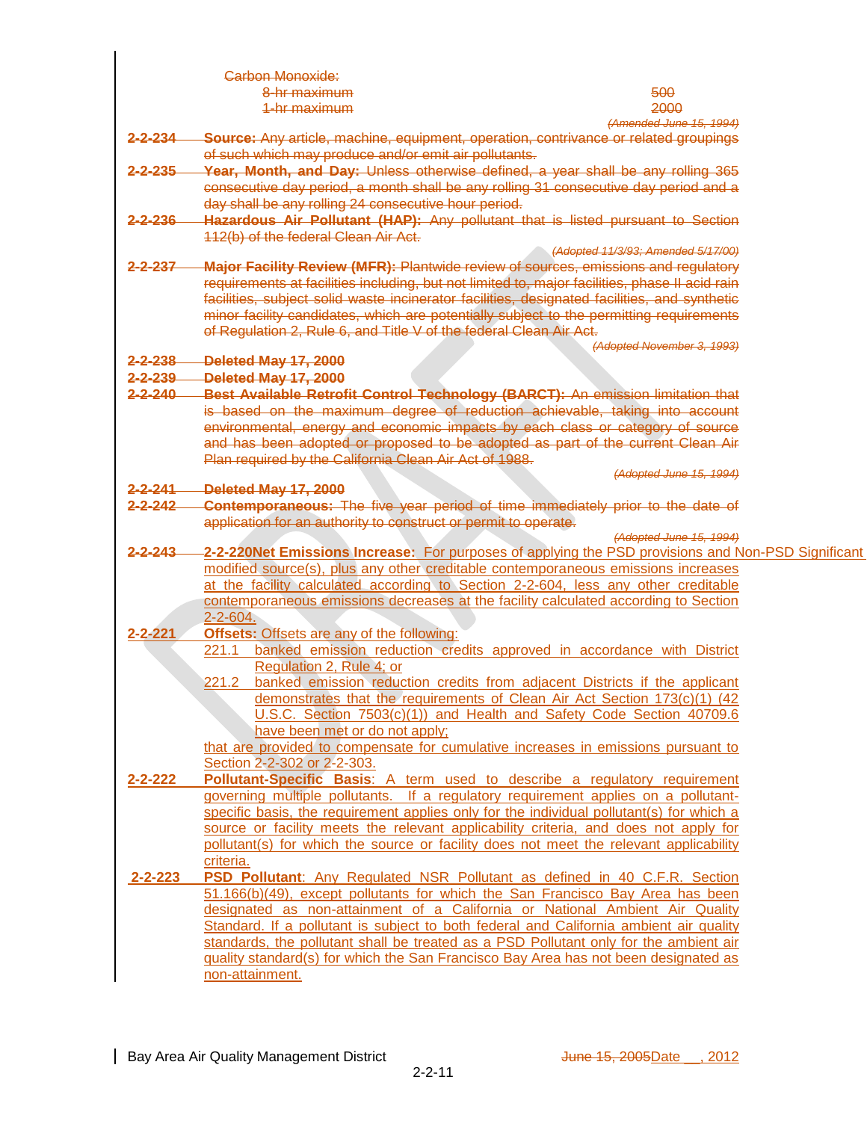|                      | Carbon Monoxide:                                                                                                                                              |                                                                            |
|----------------------|---------------------------------------------------------------------------------------------------------------------------------------------------------------|----------------------------------------------------------------------------|
|                      | 8-hr maximum                                                                                                                                                  | 500                                                                        |
|                      | 1-hr maximum                                                                                                                                                  | 2000                                                                       |
|                      |                                                                                                                                                               | (Amended June 15, 1994)                                                    |
| <del>2-2-23</del> 4— | Source: Any article, machine, equipment, operation, contrivance or related groupings                                                                          |                                                                            |
|                      | of such which may produce and/or emit air pollutants.                                                                                                         |                                                                            |
| <del>2-2-235</del>   | Year, Month, and Day: Unless otherwise defined, a year shall be any rolling 365                                                                               |                                                                            |
|                      |                                                                                                                                                               |                                                                            |
|                      | consecutive day period, a month shall be any rolling 31 consecutive day period and a                                                                          |                                                                            |
|                      | day shall be any rolling 24 consecutive hour period.                                                                                                          |                                                                            |
| <del>2-2-236</del> — | Hazardous Air Pollutant (HAP): Any pollutant that is listed pursuant to Section                                                                               |                                                                            |
|                      | 112(b) of the federal Clean Air Act.                                                                                                                          |                                                                            |
|                      |                                                                                                                                                               | (Adopted 11/3/93; Amended 5/17/00)                                         |
| <del>2-2-237</del>   | <b>Major Facility Review (MFR): Plantwide review of sources, emissions and regulatory</b>                                                                     |                                                                            |
|                      | requirements at facilities including, but not limited to, major facilities, phase II acid rain                                                                |                                                                            |
|                      | facilities, subject solid waste incinerator facilities, designated facilities, and synthetic                                                                  |                                                                            |
|                      |                                                                                                                                                               |                                                                            |
|                      | minor facility candidates, which are potentially subject to the permitting requirements<br>of Regulation 2, Rule 6, and Title V of the federal Clean Air Act. |                                                                            |
|                      |                                                                                                                                                               | (Adopted November 3, 1993)                                                 |
| <del>2-2-238</del> — | Deleted May 17, 2000                                                                                                                                          |                                                                            |
|                      |                                                                                                                                                               |                                                                            |
| <del>2-2-239</del>   | Deleted May 17, 2000                                                                                                                                          |                                                                            |
| $2 - 2 - 240$        | Best Available Retrofit Control Technology (BARCT): An emission limitation that                                                                               |                                                                            |
|                      | is based on the maximum degree of reduction achievable, taking into account                                                                                   |                                                                            |
|                      | environmental, energy and economic impacts by each class or category of source                                                                                |                                                                            |
|                      | and has been adopted or proposed to be adopted as part of the current Clean Air                                                                               |                                                                            |
|                      | Plan required by the California Clean Air Act of 1988.                                                                                                        |                                                                            |
|                      |                                                                                                                                                               | (Adopted June 15, 1994)                                                    |
| <del>2-2-241</del> — | Deleted May 17, 2000                                                                                                                                          |                                                                            |
| <del>2-2-242</del>   | <b>Contemporaneous:</b> The five year period of time immediately prior to the date of                                                                         |                                                                            |
|                      | application for an authority to construct or permit to operate.                                                                                               |                                                                            |
|                      |                                                                                                                                                               | <i>(Adopted June 15, 1994)</i>                                             |
|                      | 2-2-243 - 2-2-220Net Emissions Increase: For purposes of applying the PSD provisions and Non-PSD Significant                                                  |                                                                            |
|                      | modified source(s), plus any other creditable contemporaneous emissions increases                                                                             |                                                                            |
|                      | at the facility calculated according to Section 2-2-604, less any other creditable                                                                            |                                                                            |
|                      |                                                                                                                                                               |                                                                            |
|                      | contemporaneous emissions decreases at the facility calculated according to Section                                                                           |                                                                            |
|                      | $2 - 2 - 604$ .                                                                                                                                               |                                                                            |
| $2 - 2 - 221$        | <b>Offsets: Offsets are any of the following:</b>                                                                                                             |                                                                            |
|                      | 221.1 banked emission reduction credits approved in accordance with District                                                                                  |                                                                            |
|                      | Regulation 2, Rule 4; or                                                                                                                                      |                                                                            |
|                      | 221.2 banked emission reduction credits from adjacent Districts if the applicant                                                                              |                                                                            |
|                      |                                                                                                                                                               | demonstrates that the requirements of Clean Air Act Section 173(c)(1) (42) |
|                      | U.S.C. Section 7503(c)(1)) and Health and Safety Code Section 40709.6                                                                                         |                                                                            |
|                      | have been met or do not apply;                                                                                                                                |                                                                            |
|                      |                                                                                                                                                               |                                                                            |
|                      | that are provided to compensate for cumulative increases in emissions pursuant to                                                                             |                                                                            |
|                      | Section 2-2-302 or 2-2-303.                                                                                                                                   |                                                                            |
| 2-2-222              | Pollutant-Specific Basis: A term used to describe a regulatory requirement                                                                                    |                                                                            |
|                      | governing multiple pollutants. If a regulatory requirement applies on a pollutant-                                                                            |                                                                            |
|                      | specific basis, the requirement applies only for the individual pollutant(s) for which a                                                                      |                                                                            |
|                      | source or facility meets the relevant applicability criteria, and does not apply for                                                                          |                                                                            |
|                      | pollutant(s) for which the source or facility does not meet the relevant applicability                                                                        |                                                                            |
|                      | criteria.                                                                                                                                                     |                                                                            |
| $2 - 2 - 223$        | <b>PSD Pollutant:</b> Any Regulated NSR Pollutant as defined in 40 C.F.R. Section                                                                             |                                                                            |
|                      | 51.166(b)(49), except pollutants for which the San Francisco Bay Area has been                                                                                |                                                                            |
|                      |                                                                                                                                                               |                                                                            |
|                      | designated as non-attainment of a California or National Ambient Air Quality                                                                                  |                                                                            |
|                      | Standard. If a pollutant is subject to both federal and California ambient air quality                                                                        |                                                                            |
|                      | standards, the pollutant shall be treated as a PSD Pollutant only for the ambient air                                                                         |                                                                            |
|                      | guality standard(s) for which the San Francisco Bay Area has not been designated as                                                                           |                                                                            |
|                      | non-attainment.                                                                                                                                               |                                                                            |
|                      |                                                                                                                                                               |                                                                            |

 $\overline{1}$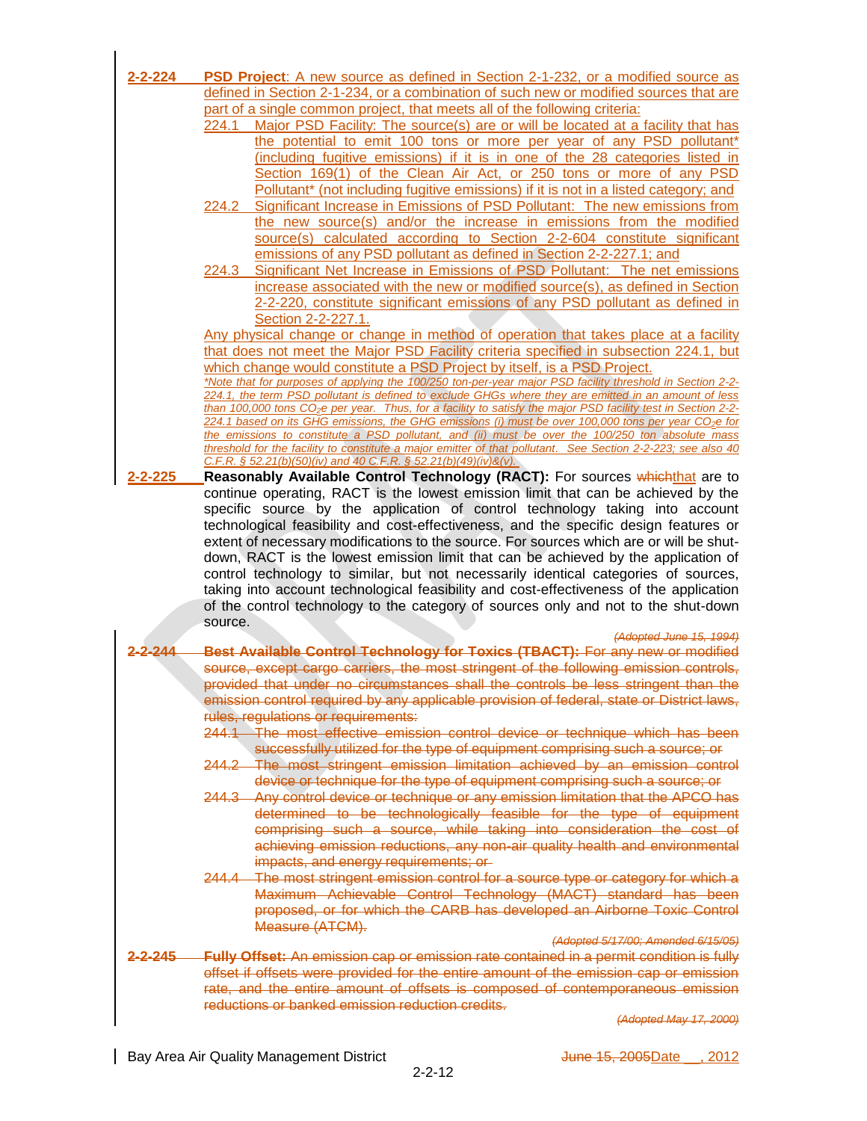| 2-2-224            | <b>PSD Project:</b> A new source as defined in Section 2-1-232, or a modified source as                                                                                               |
|--------------------|---------------------------------------------------------------------------------------------------------------------------------------------------------------------------------------|
|                    | defined in Section 2-1-234, or a combination of such new or modified sources that are                                                                                                 |
|                    | part of a single common project, that meets all of the following criteria:                                                                                                            |
|                    | Major PSD Facility: The source(s) are or will be located at a facility that has<br>224.1                                                                                              |
|                    | the potential to emit 100 tons or more per year of any PSD pollutant*                                                                                                                 |
|                    | (including fugitive emissions) if it is in one of the 28 categories listed in                                                                                                         |
|                    | Section 169(1) of the Clean Air Act, or 250 tons or more of any PSD                                                                                                                   |
|                    | Pollutant* (not including fugitive emissions) if it is not in a listed category; and                                                                                                  |
|                    | Significant Increase in Emissions of PSD Pollutant: The new emissions from<br>224.2                                                                                                   |
|                    | the new source(s) and/or the increase in emissions from the modified                                                                                                                  |
|                    | source(s) calculated according to Section 2-2-604 constitute significant                                                                                                              |
|                    | emissions of any PSD pollutant as defined in Section 2-2-227.1; and                                                                                                                   |
|                    | Significant Net Increase in Emissions of PSD Pollutant: The net emissions<br>224.3                                                                                                    |
|                    | increase associated with the new or modified source(s), as defined in Section                                                                                                         |
|                    | 2-2-220, constitute significant emissions of any PSD pollutant as defined in                                                                                                          |
|                    | Section 2-2-227.1.                                                                                                                                                                    |
|                    | Any physical change or change in method of operation that takes place at a facility                                                                                                   |
|                    | that does not meet the Major PSD Facility criteria specified in subsection 224.1, but                                                                                                 |
|                    | which change would constitute a PSD Project by itself, is a PSD Project.<br>*Note that for purposes of applying the 100/250 ton-per-year major PSD facility threshold in Section 2-2- |
|                    | 224.1, the term PSD pollutant is defined to exclude GHGs where they are emitted in an amount of less                                                                                  |
|                    | than 100,000 tons CO <sub>2</sub> e per year. Thus, for a facility to satisfy the major PSD facility test in Section 2-2-                                                             |
|                    | 224.1 based on its GHG emissions, the GHG emissions (i) must be over 100,000 tons per year CO <sub>2</sub> e for                                                                      |
|                    | the emissions to constitute a PSD pollutant, and (ii) must be over the 100/250 ton absolute mass                                                                                      |
|                    | threshold for the facility to constitute a major emitter of that pollutant. See Section 2-2-223; see also 40<br>C.F.R. § 52.21(b)(50)(iv) and 40 C.F.R. § 52.21(b)(49)(iv)&(v).       |
| 2-2-225            | Reasonably Available Control Technology (RACT): For sources whichthat are to                                                                                                          |
|                    | continue operating, RACT is the lowest emission limit that can be achieved by the                                                                                                     |
|                    | specific source by the application of control technology taking into account                                                                                                          |
|                    | technological feasibility and cost-effectiveness, and the specific design features or                                                                                                 |
|                    | extent of necessary modifications to the source. For sources which are or will be shut-                                                                                               |
|                    | down, RACT is the lowest emission limit that can be achieved by the application of                                                                                                    |
|                    | control technology to similar, but not necessarily identical categories of sources,                                                                                                   |
|                    | taking into account technological feasibility and cost-effectiveness of the application                                                                                               |
|                    | of the control technology to the category of sources only and not to the shut-down                                                                                                    |
|                    | source.                                                                                                                                                                               |
|                    | (Adopted June 15, 1994)                                                                                                                                                               |
|                    | Best Available Control Technology for Toxics (TBACT): For any new or modified                                                                                                         |
|                    | source, except cargo carriers, the most stringent of the following emission controls,                                                                                                 |
|                    | provided that under no circumstances shall the controls be less stringent than the                                                                                                    |
|                    | emission control required by any applicable provision of federal, state or District laws,                                                                                             |
|                    | rules, regulations or requirements:                                                                                                                                                   |
|                    | 244.1 The most effective emission control device or technique which has been                                                                                                          |
|                    | successfully utilized for the type of equipment comprising such a source; or                                                                                                          |
|                    | 244.2 The most stringent emission limitation achieved by an emission control                                                                                                          |
|                    | device or technique for the type of equipment comprising such a source; or                                                                                                            |
|                    | 244.3 Any control device or technique or any emission limitation that the APCO has                                                                                                    |
|                    | determined to be technologically feasible for the type of equipment                                                                                                                   |
|                    | comprising such a source, while taking into consideration the cost of                                                                                                                 |
|                    | achieving emission reductions, any non-air quality health and environmental                                                                                                           |
|                    | impacts, and energy requirements; or                                                                                                                                                  |
|                    | 244.4 The most stringent emission control for a source type or category for which a                                                                                                   |
|                    | Maximum Achievable Control Technology (MACT) standard has been                                                                                                                        |
|                    | proposed, or for which the CARB has developed an Airborne Toxic Control                                                                                                               |
|                    | Measure (ATCM).                                                                                                                                                                       |
|                    | (Adopted 5/17/00; Amended 6/15/05)                                                                                                                                                    |
| <del>2-2-245</del> | Fully Offset: An emission cap or emission rate contained in a permit condition is fully                                                                                               |
|                    | offset if offsets were provided for the entire amount of the emission cap or emission                                                                                                 |
|                    | rate, and the entire amount of offsets is composed of contemporaneous emission                                                                                                        |
|                    | reductions or banked emission reduction credits.                                                                                                                                      |
|                    | (Adopted May 17, 2000)                                                                                                                                                                |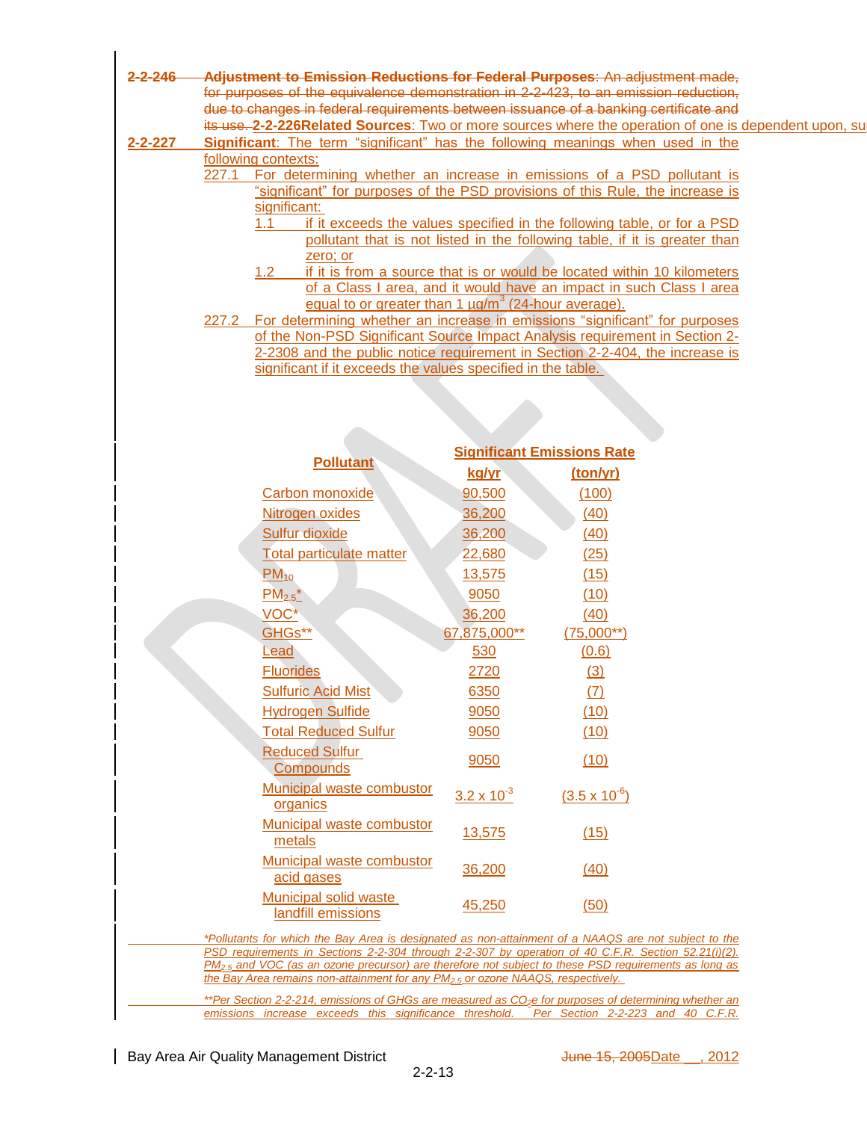- **2-2-246 Adjustment to Emission Reductions for Federal Purposes**: An adjustment made, for purposes of the equivalence demonstration in 2-2-423, to an emission reduction, due to changes in federal requirements between issuance of a banking certificate and its use. **2-2-226Related Sources**: Two or more sources where the operation of one is dependent upon, su **2-2-227 Significant**: The term "significant" has the following meanings when used in the following contexts: 227.1 For determining whether an increase in emissions of a PSD pollutant is "significant" for purposes of the PSD provisions of this Rule, the increase is significant: 1.1 if it exceeds the values specified in the following table, or for a PSD pollutant that is not listed in the following table, if it is greater than zero; or 1.2 if it is from a source that is or would be located within 10 kilometers of a Class I area, and it would have an impact in such Class I area equal to or greater than 1  $\mu$ g/m<sup>3</sup> (24-hour average). 227.2 For determining whether an increase in emissions "significant" for purposes
	- of the Non-PSD Significant Source Impact Analysis requirement in Section 2- 2-2308 and the public notice requirement in Section 2-2-404, the increase is significant if it exceeds the values specified in the table.

|                                                    | <b>Significant Emissions Rate</b> |                        |  |
|----------------------------------------------------|-----------------------------------|------------------------|--|
| <b>Pollutant</b>                                   | kg/yr                             | (ton/yr)               |  |
| <b>Carbon monoxide</b>                             | 90,500                            | (100)                  |  |
| Nitrogen oxides                                    | 36,200                            | (40)                   |  |
| <b>Sulfur dioxide</b>                              | 36,200                            | (40)                   |  |
| <b>Total particulate matter</b>                    | 22,680                            | (25)                   |  |
| $PM_{10}$                                          | 13,575                            | (15)                   |  |
| $PM_{2.5}^{\ast}$                                  | 9050                              | (10)                   |  |
| VOC*                                               | 36,200                            | (40)                   |  |
| GHGs**                                             | 67,875,000**                      | $(75,000**)$           |  |
| Lead                                               | 530                               | (0.6)                  |  |
| <b>Fluorides</b>                                   | 2720                              | (3)                    |  |
| <b>Sulfuric Acid Mist</b>                          | 6350                              | (7)                    |  |
| <b>Hydrogen Sulfide</b>                            | 9050                              | (10)                   |  |
| <b>Total Reduced Sulfur</b>                        | 9050                              | (10)                   |  |
| <b>Reduced Sulfur</b><br><b>Compounds</b>          | 9050                              | (10)                   |  |
| <b>Municipal waste combustor</b><br>organics       | $3.2 \times 10^{-3}$              | $(3.5 \times 10^{-6})$ |  |
| <b>Municipal waste combustor</b><br>metals         | 13,575                            | (15)                   |  |
| <b>Municipal waste combustor</b><br>acid gases     | 36,200                            | (40)                   |  |
| <b>Municipal solid waste</b><br>landfill emissions | 45,250                            | (50)                   |  |

*\*Pollutants for which the Bay Area is designated as non-attainment of a NAAQS are not subject to the PSD requirements in Sections 2-2-304 through 2-2-307 by operation of 40 C.F.R. Section 52.21(i)(2). PM2.5 and VOC (as an ozone precursor) are therefore not subject to these PSD requirements as long as the Bay Area remains non-attainment for any PM2.5 or ozone NAAQS, respectively.*

*\*\*Per Section 2-2-214, emissions of GHGs are measured as CO2e for purposes of determining whether an emissions increase exceeds this significance threshold. Per Section 2-2-223 and 40 C.F.R.*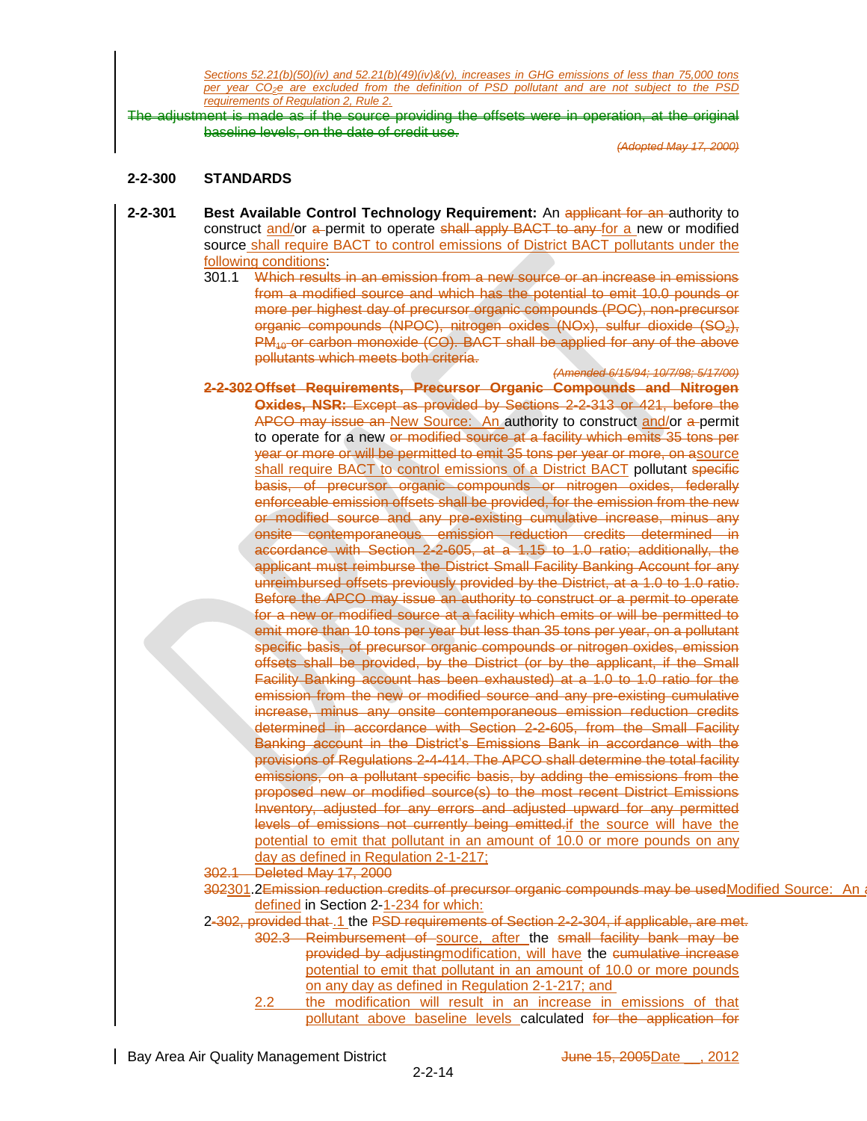*Sections 52.21(b)(50)(iv) and 52.21(b)(49)(iv)&(v), increases in GHG emissions of less than 75,000 tons per year CO2e are excluded from the definition of PSD pollutant and are not subject to the PSD requirements of Regulation 2, Rule 2.*

The adjustment is made as if the source providing the offsets were in operation, at the original baseline levels, on the date of credit use.

*(Adopted May 17, 2000)*

## **2-2-300 STANDARDS**

- **2-2-301 Best Available Control Technology Requirement:** An applicant for an authority to construct and/or a permit to operate shall apply BACT to any for a new or modified source shall require BACT to control emissions of District BACT pollutants under the following conditions:
	- 301.1 Which results in an emission from a new source or an increase in emissions from a modified source and which has the potential to emit 10.0 pounds or more per highest day of precursor organic compounds (POC), non-precursor organic compounds (NPOC), nitrogen oxides (NOx), sulfur dioxide (SO<sub>2</sub>),  $PM_{40}$  or carbon monoxide (CO). BACT shall be applied for any of the above pollutants which meets both criteria. *(Amended 6/15/94; 10/7/98; 5/17/00)*
	- **2-2-302 Offset Requirements, Precursor Organic Compounds and Nitrogen Oxides, NSR:** Except as provided by Sections 2-2-313 or 421, before the APCO may issue an New Source: An authority to construct and/or a permit to operate for a new or modified source at a facility which emits 35 tons per year or more or will be permitted to emit 35 tons per year or more, on asource shall require BACT to control emissions of a District BACT pollutant specific basis, of precursor organic compounds or nitrogen oxides, federally enforceable emission offsets shall be provided, for the emission from the new or modified source and any pre-existing cumulative increase, minus any onsite contemporaneous emission reduction credits determined in accordance with Section 2-2-605, at a 1.15 to 1.0 ratio; additionally, the applicant must reimburse the District Small Facility Banking Account for any unreimbursed offsets previously provided by the District, at a 1.0 to 1.0 ratio. Before the APCO may issue an authority to construct or a permit to operate for a new or modified source at a facility which emits or will be permitted to emit more than 10 tons per year but less than 35 tons per year, on a pollutant specific basis, of precursor organic compounds or nitrogen oxides, emission offsets shall be provided, by the District (or by the applicant, if the Small Facility Banking account has been exhausted) at a 1.0 to 1.0 ratio for the emission from the new or modified source and any pre-existing cumulative increase, minus any onsite contemporaneous emission reduction credits determined in accordance with Section 2-2-605, from the Small Facility Banking account in the District's Emissions Bank in accordance with the provisions of Regulations 2-4-414. The APCO shall determine the total facility emissions, on a pollutant specific basis, by adding the emissions from the proposed new or modified source(s) to the most recent District Emissions Inventory, adjusted for any errors and adjusted upward for any permitted levels of emissions not currently being emitted.if the source will have the potential to emit that pollutant in an amount of 10.0 or more pounds on any day as defined in Regulation 2-1-217;

302.1 Deleted May 17, 2000

- 302301.2Emission reduction credits of precursor organic compounds may be usedModified Source: An defined in Section 2-1-234 for which:
- 2-302, provided that .1 the PSD requirements of Section 2-2-304, if applicable, are met.
	- 302.3 Reimbursement of source, after the small facility bank may be provided by adjustingmodification, will have the cumulative increase potential to emit that pollutant in an amount of 10.0 or more pounds on any day as defined in Regulation 2-1-217; and
		- 2.2 the modification will result in an increase in emissions of that pollutant above baseline levels calculated for the application for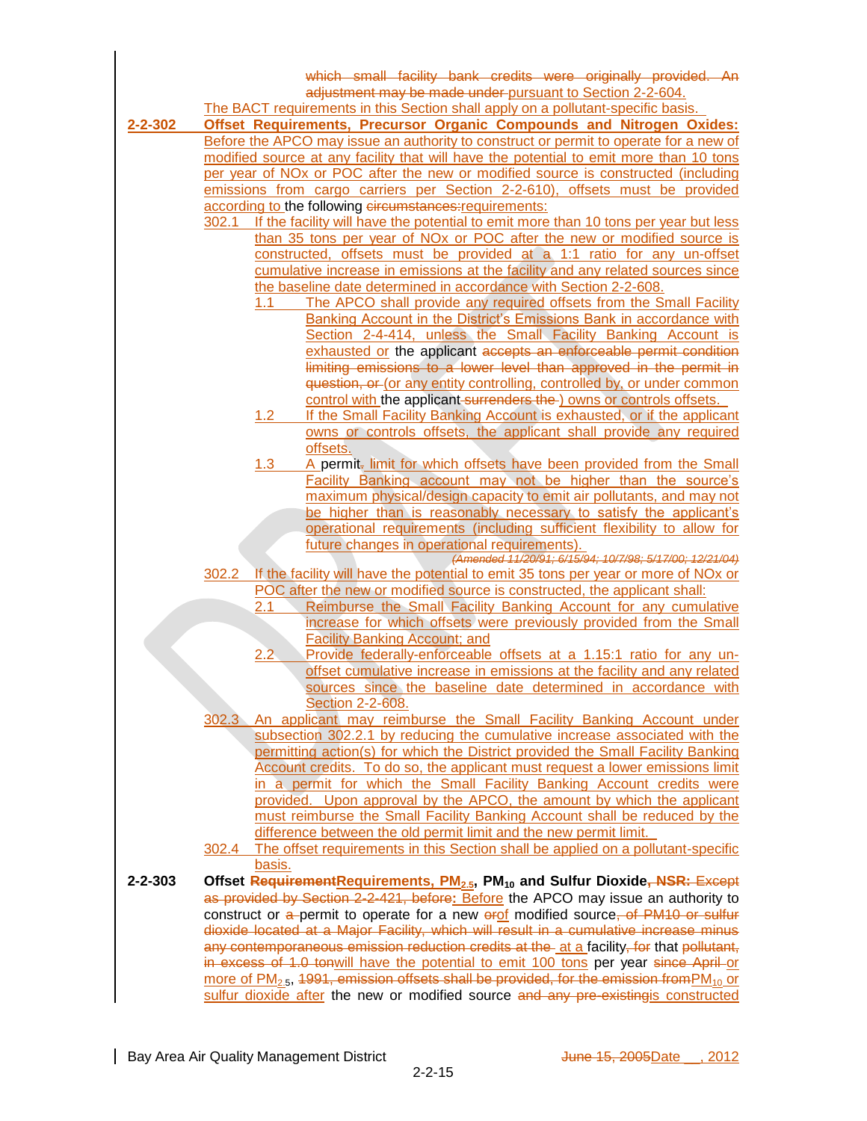|               |       | which small facility bank credits were originally provided. An                                                                                                             |
|---------------|-------|----------------------------------------------------------------------------------------------------------------------------------------------------------------------------|
|               |       | adjustment may be made under pursuant to Section 2-2-604.<br>The BACT requirements in this Section shall apply on a pollutant-specific basis.                              |
| $2 - 2 - 302$ |       | <b>Offset Requirements, Precursor Organic Compounds and Nitrogen Oxides:</b>                                                                                               |
|               |       | Before the APCO may issue an authority to construct or permit to operate for a new of                                                                                      |
|               |       | modified source at any facility that will have the potential to emit more than 10 tons                                                                                     |
|               |       | per year of NO <sub>x</sub> or POC after the new or modified source is constructed (including                                                                              |
|               |       | emissions from cargo carriers per Section 2-2-610), offsets must be provided                                                                                               |
|               |       | according to the following circumstances: requirements:                                                                                                                    |
|               | 302.1 | If the facility will have the potential to emit more than 10 tons per year but less<br>than 35 tons per year of NO <sub>x</sub> or POC after the new or modified source is |
|               |       | constructed, offsets must be provided at a 1:1 ratio for any un-offset                                                                                                     |
|               |       | cumulative increase in emissions at the facility and any related sources since                                                                                             |
|               |       | the baseline date determined in accordance with Section 2-2-608.                                                                                                           |
|               |       | The APCO shall provide any required offsets from the Small Facility<br>1.1                                                                                                 |
|               |       | Banking Account in the District's Emissions Bank in accordance with                                                                                                        |
|               |       | Section 2-4-414, unless the Small Facility Banking Account is                                                                                                              |
|               |       | exhausted or the applicant accepts an enforceable permit condition<br>limiting emissions to a lower level than approved in the permit in                                   |
|               |       | question, or (or any entity controlling, controlled by, or under common                                                                                                    |
|               |       | control with the applicant-surrenders the ) owns or controls offsets.                                                                                                      |
|               |       | 1.2<br>If the Small Facility Banking Account is exhausted, or if the applicant                                                                                             |
|               |       | owns or controls offsets, the applicant shall provide any required                                                                                                         |
|               |       | offsets.                                                                                                                                                                   |
|               |       | 1.3<br>A permit- limit for which offsets have been provided from the Small<br>Facility Banking account may not be higher than the source's                                 |
|               |       | maximum physical/design capacity to emit air pollutants, and may not                                                                                                       |
|               |       | be higher than is reasonably necessary to satisfy the applicant's                                                                                                          |
|               |       | operational requirements (including sufficient flexibility to allow for                                                                                                    |
|               |       | future changes in operational requirements).                                                                                                                               |
|               | 302.2 | (Amended 11/20/91; 6/15/94; 10/7/98; 5/17/00; 12/21/04)<br>If the facility will have the potential to emit 35 tons per year or more of NO <sub>x</sub> or                  |
|               |       | POC after the new or modified source is constructed, the applicant shall:                                                                                                  |
|               |       | 2.1<br>Reimburse the Small Facility Banking Account for any cumulative                                                                                                     |
|               |       | increase for which offsets were previously provided from the Small                                                                                                         |
|               |       | <b>Facility Banking Account; and</b>                                                                                                                                       |
|               |       | Provide federally-enforceable offsets at a 1.15:1 ratio for any un-<br>2.2<br>offset cumulative increase in emissions at the facility and any related                      |
|               |       | sources since the baseline date determined in accordance with                                                                                                              |
|               |       | Section 2-2-608.                                                                                                                                                           |
|               |       | 302.3 An applicant may reimburse the Small Facility Banking Account under                                                                                                  |
|               |       | subsection 302.2.1 by reducing the cumulative increase associated with the                                                                                                 |
|               |       | permitting action(s) for which the District provided the Small Facility Banking                                                                                            |
|               |       | Account credits. To do so, the applicant must request a lower emissions limit                                                                                              |
|               |       | in a permit for which the Small Facility Banking Account credits were<br>provided. Upon approval by the APCO, the amount by which the applicant                            |
|               |       | must reimburse the Small Facility Banking Account shall be reduced by the                                                                                                  |
|               |       | difference between the old permit limit and the new permit limit.                                                                                                          |
|               |       | 302.4 The offset requirements in this Section shall be applied on a pollutant-specific                                                                                     |
|               |       | basis.                                                                                                                                                                     |
| $2 - 2 - 303$ |       | Offset RequirementRequirements, PM <sub>2.5</sub> , PM <sub>10</sub> and Sulfur Dioxide, NSR: Except                                                                       |
|               |       | as provided by Section 2-2-421, before: Before the APCO may issue an authority to<br>construct or a permit to operate for a new erof modified source, of PM10 or sulfur    |
|               |       | dioxide located at a Major Facility, which will result in a cumulative increase minus                                                                                      |
|               |       | any contemporaneous emission reduction credits at the at a facility, for that pollutant,                                                                                   |
|               |       | in excess of 1.0 tonwill have the potential to emit 100 tons per year since April or                                                                                       |
|               |       | more of $PM_{2.5}$ , 1991, emission offsets shall be provided, for the emission from $PM_{10}$ or                                                                          |

sulfur dioxide after the new or modified source and any pre-existingis constructed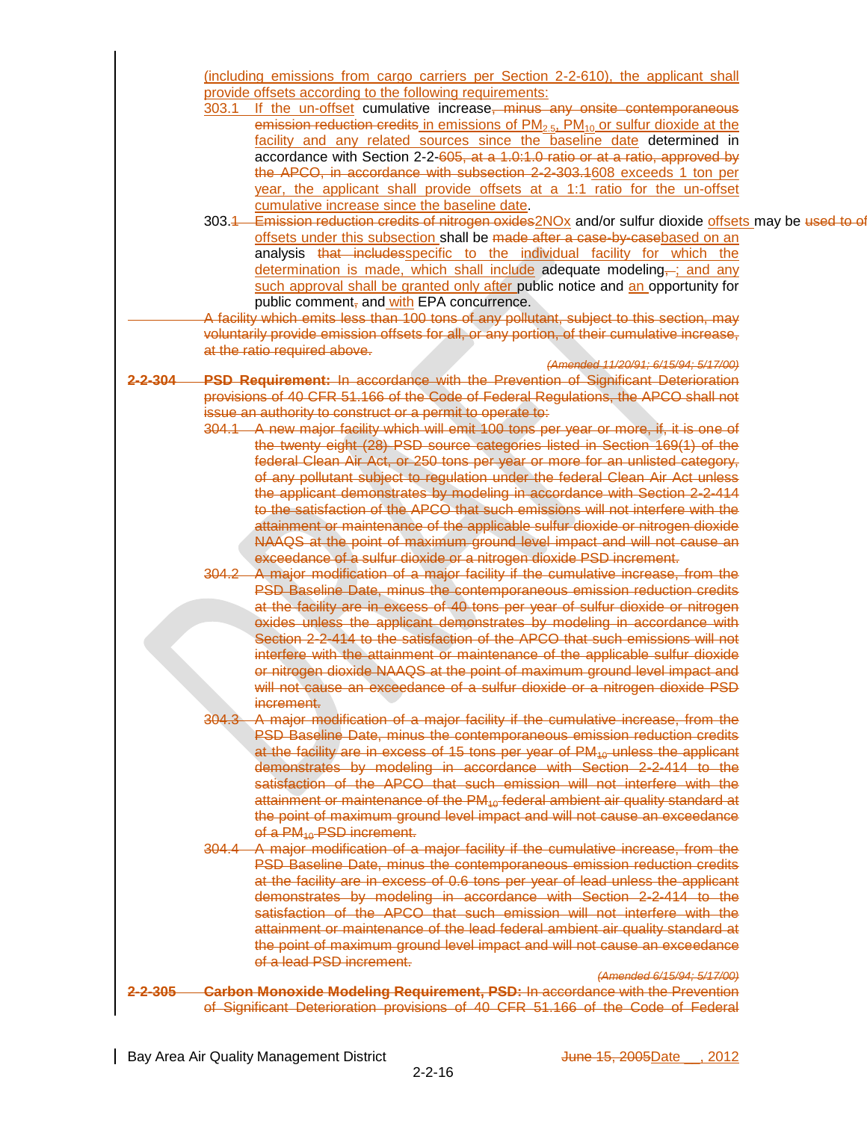(including emissions from cargo carriers per Section 2-2-610), the applicant shall provide offsets according to the following requirements:

- 303.1 If the un-offset cumulative increase, minus any onsite contemporaneous emission reduction credits in emissions of  $PM<sub>2.5</sub>$ ,  $PM<sub>10</sub>$  or sulfur dioxide at the facility and any related sources since the baseline date determined in accordance with Section 2-2-605, at a 1.0:1.0 ratio or at a ratio, approved by the APCO, in accordance with subsection 2-2-303.1608 exceeds 1 ton per year, the applicant shall provide offsets at a 1:1 ratio for the un-offset cumulative increase since the baseline date.
- 303.4 Emission reduction credits of nitrogen oxides 2NOx and/or sulfur dioxide offsets may be used to of offsets under this subsection shall be made after a case-by-casebased on an analysis that includesspecific to the individual facility for which the determination is made, which shall include adequate modeling,-; and any such approval shall be granted only after public notice and an opportunity for public comment, and with EPA concurrence.
- A facility which emits less than 100 tons of any pollutant, subject to this section, may voluntarily provide emission offsets for all, or any portion, of their cumulative increase, at the ratio required above.
- *(Amended 11/20/91; 6/15/94; 5/17/00)* **2-2-304 PSD Requirement:** In accordance with the Prevention of Significant Deterioration provisions of 40 CFR 51.166 of the Code of Federal Regulations, the APCO shall not issue an authority to construct or a permit to operate to:
	- 304.1 A new major facility which will emit 100 tons per year or more, if, it is one of the twenty eight (28) PSD source categories listed in Section 169(1) of the federal Clean Air Act, or 250 tons per year or more for an unlisted category, of any pollutant subject to regulation under the federal Clean Air Act unless the applicant demonstrates by modeling in accordance with Section 2-2-414 to the satisfaction of the APCO that such emissions will not interfere with the attainment or maintenance of the applicable sulfur dioxide or nitrogen dioxide NAAQS at the point of maximum ground level impact and will not cause an exceedance of a sulfur dioxide or a nitrogen dioxide PSD increment.
	- 304.2 A major modification of a major facility if the cumulative increase, from the PSD Baseline Date, minus the contemporaneous emission reduction credits at the facility are in excess of 40 tons per year of sulfur dioxide or nitrogen oxides unless the applicant demonstrates by modeling in accordance with Section 2-2-414 to the satisfaction of the APCO that such emissions will not interfere with the attainment or maintenance of the applicable sulfur dioxide or nitrogen dioxide NAAQS at the point of maximum ground level impact and will not cause an exceedance of a sulfur dioxide or a nitrogen dioxide PSD increment.
	- 304.3 A major modification of a major facility if the cumulative increase, from the PSD Baseline Date, minus the contemporaneous emission reduction credits at the facility are in excess of 15 tons per year of  $PM_{40}$  unless the applicant demonstrates by modeling in accordance with Section 2-2-414 to the satisfaction of the APCO that such emission will not interfere with the attainment or maintenance of the  $PM_{10}$  federal ambient air quality standard at the point of maximum ground level impact and will not cause an exceedance of a PM<sub>10</sub> PSD increment.
	- 304.4 A major modification of a major facility if the cumulative increase, from the PSD Baseline Date, minus the contemporaneous emission reduction credits at the facility are in excess of 0.6 tons per year of lead unless the applicant demonstrates by modeling in accordance with Section 2-2-414 to the satisfaction of the APCO that such emission will not interfere with the attainment or maintenance of the lead federal ambient air quality standard at the point of maximum ground level impact and will not cause an exceedance of a lead PSD increment.

*(Amended 6/15/94; 5/17/00)*

**2-2-305 Carbon Monoxide Modeling Requirement, PSD:** In accordance with the Prevention of Significant Deterioration provisions of 40 CFR 51.166 of the Code of Federal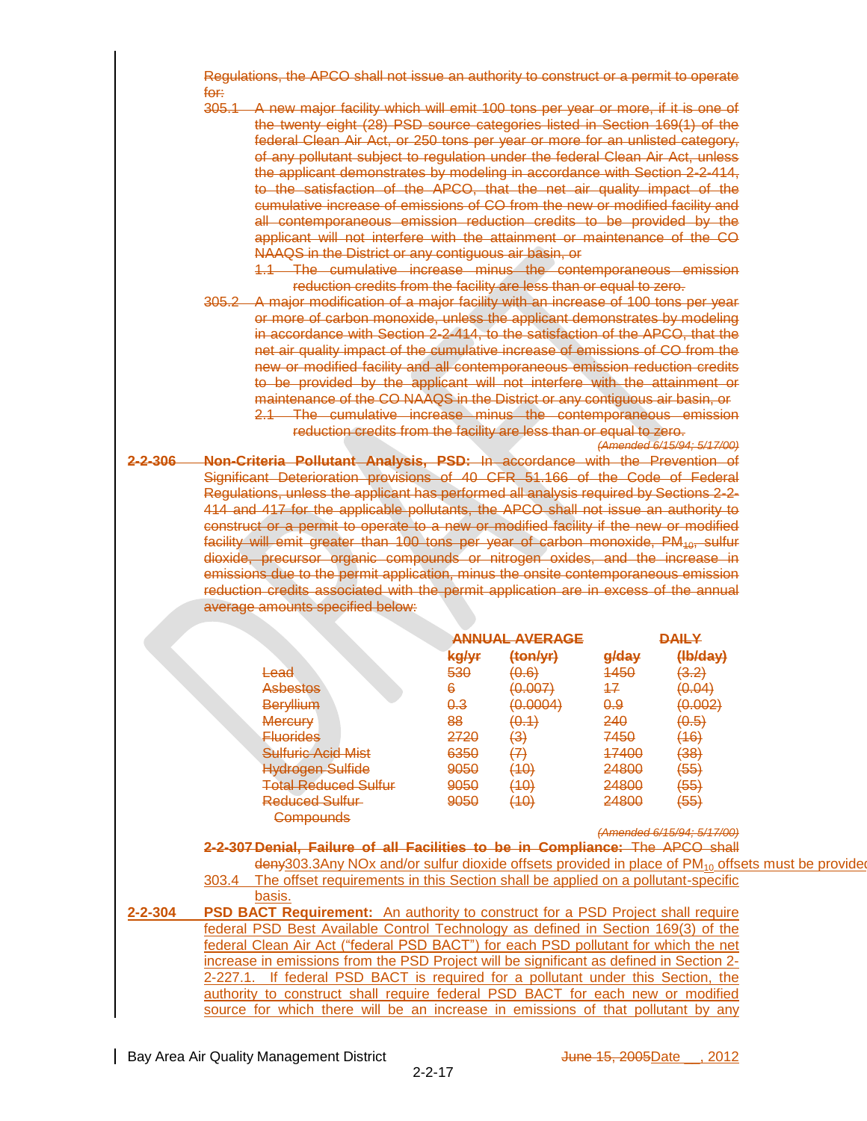Regulations, the APCO shall not issue an authority to construct or a permit to operate for:

305.1 A new major facility which will emit 100 tons per year or more, if it is one of the twenty eight (28) PSD source categories listed in Section 169(1) of the federal Clean Air Act, or 250 tons per year or more for an unlisted category, of any pollutant subject to regulation under the federal Clean Air Act, unless the applicant demonstrates by modeling in accordance with Section 2-2-414, to the satisfaction of the APCO, that the net air quality impact of the cumulative increase of emissions of CO from the new or modified facility and all contemporaneous emission reduction credits to be provided by the applicant will not interfere with the attainment or maintenance of the CO NAAQS in the District or any contiguous air basin, or

1.1 The cumulative increase minus the contemporaneous emission reduction credits from the facility are less than or equal to zero.

305.2 A major modification of a major facility with an increase of 100 tons per year or more of carbon monoxide, unless the applicant demonstrates by modeling in accordance with Section 2-2-414, to the satisfaction of the APCO, that the net air quality impact of the cumulative increase of emissions of CO from the new or modified facility and all contemporaneous emission reduction credits to be provided by the applicant will not interfere with the attainment or maintenance of the CO NAAQS in the District or any contiguous air basin, or 2.1 The cumulative increase minus the contemporaneous emission reduction credits from the facility are less than or equal to zero.

*(Amended 6/15/94; 5/17/00)*

**2-2-306 Non-Criteria Pollutant Analysis, PSD:** In accordance with the Prevention of Significant Deterioration provisions of 40 CFR 51.166 of the Code of Federal Regulations, unless the applicant has performed all analysis required by Sections 2-2- 414 and 417 for the applicable pollutants, the APCO shall not issue an authority to construct or a permit to operate to a new or modified facility if the new or modified facility will emit greater than 100 tons per year of carbon monoxide,  $PM_{10}$ , sulfur dioxide, precursor organic compounds or nitrogen oxides, and the increase in emissions due to the permit application, minus the onsite contemporaneous emission reduction credits associated with the permit application are in excess of the annual average amounts specified below:

|               |                                                       |                | ANNUAL AVERAGE                           | <b>DAILY</b>               |                                   |
|---------------|-------------------------------------------------------|----------------|------------------------------------------|----------------------------|-----------------------------------|
|               |                                                       | kg/yr          | (ton/yr)                                 | g/day                      | (Hb/day)                          |
|               | <del>Lead</del>                                       | 530            | ഥ ഭൂ<br><del>וט.טו</del>                 | 4450                       | יפ פ<br>ᢦ.౽                       |
|               | <b>Asbestos</b>                                       | 6              | <u> (MAN)</u><br><del>v.vu j</del>       | 47                         | (0.04)                            |
|               | Beryllium                                             | <del>0.3</del> | <u>(N NON) (N</u><br><del>,,,,,,,,</del> | <del>0.9</del>             | <u>(വസാ</u><br>ו⊭ <del>ט.טו</del> |
|               | <b>Mercury</b>                                        | 88             | <u>( 1 ^ </u><br><del>o.i</del>          | 240                        | ᡃᠣᠣ                               |
|               | <b>Fluorides</b>                                      | 2720           | (3)                                      | 7450                       | (16)                              |
|               | <b>Sulfuric Acid Mist</b>                             | 6350           | (7)                                      | 47400                      | (38)                              |
|               | <b>Hydrogen Sulfide</b>                               | 9050           | (10)                                     | 24800                      | (55)                              |
|               | <b>Total Reduced Sulfur</b>                           | 9050           | (1∩)<br>٣U                               | 24800                      | (55)                              |
|               | Reduced Sulfur                                        | 9050           | (10)                                     | 24800                      | (55)                              |
|               | <b>Compounds</b>                                      |                |                                          |                            |                                   |
|               |                                                       |                |                                          | (Amended 6/15/94; 5/17/00) |                                   |
| -2-307 Danial | <u>Eailure of all Eacilities to be in Compliance:</u> |                |                                          | Tha                        | <b>ADC</b><br>choll<br>णाणा       |

- deny303.3Any NOx and/or sulfur dioxide offsets provided in place of PM<sub>10</sub> offsets must be provide 303.4 The offset requirements in this Section shall be applied on a pollutant-specific basis.
- **2-2-304 PSD BACT Requirement:** An authority to construct for a PSD Project shall require federal PSD Best Available Control Technology as defined in Section 169(3) of the federal Clean Air Act ("federal PSD BACT") for each PSD pollutant for which the net increase in emissions from the PSD Project will be significant as defined in Section 2- 2-227.1. If federal PSD BACT is required for a pollutant under this Section, the authority to construct shall require federal PSD BACT for each new or modified source for which there will be an increase in emissions of that pollutant by any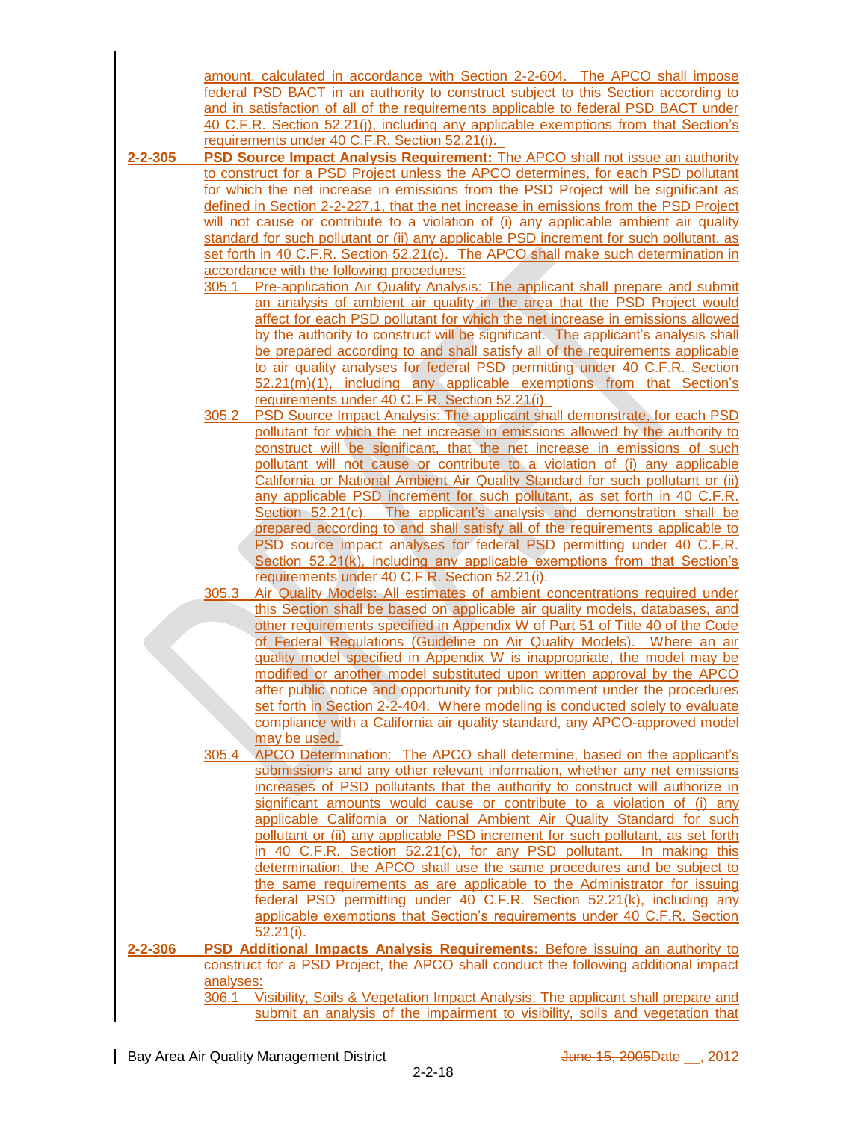|         |                                           | amount, calculated in accordance with Section 2-2-604. The APCO shall impose            |  |
|---------|-------------------------------------------|-----------------------------------------------------------------------------------------|--|
|         |                                           | federal PSD BACT in an authority to construct subject to this Section according to      |  |
|         |                                           | and in satisfaction of all of the requirements applicable to federal PSD BACT under     |  |
|         |                                           | 40 C.F.R. Section 52.21(j), including any applicable exemptions from that Section's     |  |
|         |                                           | requirements under 40 C.F.R. Section 52.21(i).                                          |  |
| 2-2-305 |                                           | <b>PSD Source Impact Analysis Requirement:</b> The APCO shall not issue an authority    |  |
|         |                                           | to construct for a PSD Project unless the APCO determines, for each PSD pollutant       |  |
|         |                                           | for which the net increase in emissions from the PSD Project will be significant as     |  |
|         |                                           | defined in Section 2-2-227.1, that the net increase in emissions from the PSD Project   |  |
|         |                                           | will not cause or contribute to a violation of (i) any applicable ambient air quality   |  |
|         |                                           | standard for such pollutant or (ii) any applicable PSD increment for such pollutant, as |  |
|         |                                           | set forth in 40 C.F.R. Section 52.21(c). The APCO shall make such determination in      |  |
|         | accordance with the following procedures: |                                                                                         |  |
|         | 305.1                                     |                                                                                         |  |
|         |                                           | Pre-application Air Quality Analysis: The applicant shall prepare and submit            |  |
|         |                                           | an analysis of ambient air quality in the area that the PSD Project would               |  |
|         |                                           | affect for each PSD pollutant for which the net increase in emissions allowed           |  |
|         |                                           | by the authority to construct will be significant. The applicant's analysis shall       |  |
|         |                                           | be prepared according to and shall satisfy all of the requirements applicable           |  |
|         |                                           | to air quality analyses for federal PSD permitting under 40 C.F.R. Section              |  |
|         |                                           | $52.21(m)(1)$ , including any applicable exemptions from that Section's                 |  |
|         |                                           | requirements under 40 C.F.R. Section 52.21(i).                                          |  |
|         | 305.2                                     | PSD Source Impact Analysis: The applicant shall demonstrate, for each PSD               |  |
|         |                                           | pollutant for which the net increase in emissions allowed by the authority to           |  |
|         |                                           | construct will be significant, that the net increase in emissions of such               |  |
|         |                                           | pollutant will not cause or contribute to a violation of (i) any applicable             |  |
|         |                                           | California or National Ambient Air Quality Standard for such pollutant or (ii)          |  |
|         |                                           | any applicable PSD increment for such pollutant, as set forth in 40 C.F.R.              |  |
|         |                                           | Section $52.21(c)$ . The applicant's analysis and demonstration shall be                |  |
|         |                                           | prepared according to and shall satisfy all of the requirements applicable to           |  |
|         |                                           | PSD source impact analyses for federal PSD permitting under 40 C.F.R.                   |  |
|         |                                           | Section 52.21(k), including any applicable exemptions from that Section's               |  |
|         |                                           | requirements under 40 C.F.R. Section 52.21(i).                                          |  |
|         | 305.3                                     | Air Quality Models: All estimates of ambient concentrations required under              |  |
|         |                                           | this Section shall be based on applicable air quality models, databases, and            |  |
|         |                                           | other requirements specified in Appendix W of Part 51 of Title 40 of the Code           |  |
|         |                                           | of Federal Regulations (Guideline on Air Quality Models). Where an air                  |  |
|         |                                           | quality model specified in Appendix W is inappropriate, the model may be                |  |
|         |                                           | modified or another model substituted upon written approval by the APCO                 |  |
|         |                                           | after public notice and opportunity for public comment under the procedures             |  |
|         |                                           |                                                                                         |  |
|         |                                           | set forth in Section 2-2-404. Where modeling is conducted solely to evaluate            |  |
|         |                                           | compliance with a California air quality standard, any APCO-approved model              |  |
|         |                                           | may be used.                                                                            |  |
|         | 305.4                                     | APCO Determination: The APCO shall determine, based on the applicant's                  |  |
|         |                                           | submissions and any other relevant information, whether any net emissions               |  |
|         |                                           | increases of PSD pollutants that the authority to construct will authorize in           |  |
|         |                                           | significant amounts would cause or contribute to a violation of (i) any                 |  |
|         |                                           | applicable California or National Ambient Air Quality Standard for such                 |  |
|         |                                           | pollutant or (ii) any applicable PSD increment for such pollutant, as set forth         |  |
|         |                                           | in 40 C.F.R. Section 52.21(c), for any PSD pollutant. In making this                    |  |
|         |                                           | determination, the APCO shall use the same procedures and be subject to                 |  |
|         |                                           | the same requirements as are applicable to the Administrator for issuing                |  |
|         |                                           | federal PSD permitting under 40 C.F.R. Section 52.21(k), including any                  |  |
|         |                                           | applicable exemptions that Section's requirements under 40 C.F.R. Section               |  |
|         |                                           | $52.21(i)$ .                                                                            |  |
| 2-2-306 |                                           | PSD Additional Impacts Analysis Requirements: Before issuing an authority to            |  |
|         |                                           | construct for a PSD Project, the APCO shall conduct the following additional impact     |  |
|         | analyses:                                 |                                                                                         |  |
|         |                                           | 306.1 Visibility, Soils & Vegetation Impact Analysis: The applicant shall prepare and   |  |
|         |                                           | submit an analysis of the impairment to visibility, soils and vegetation that           |  |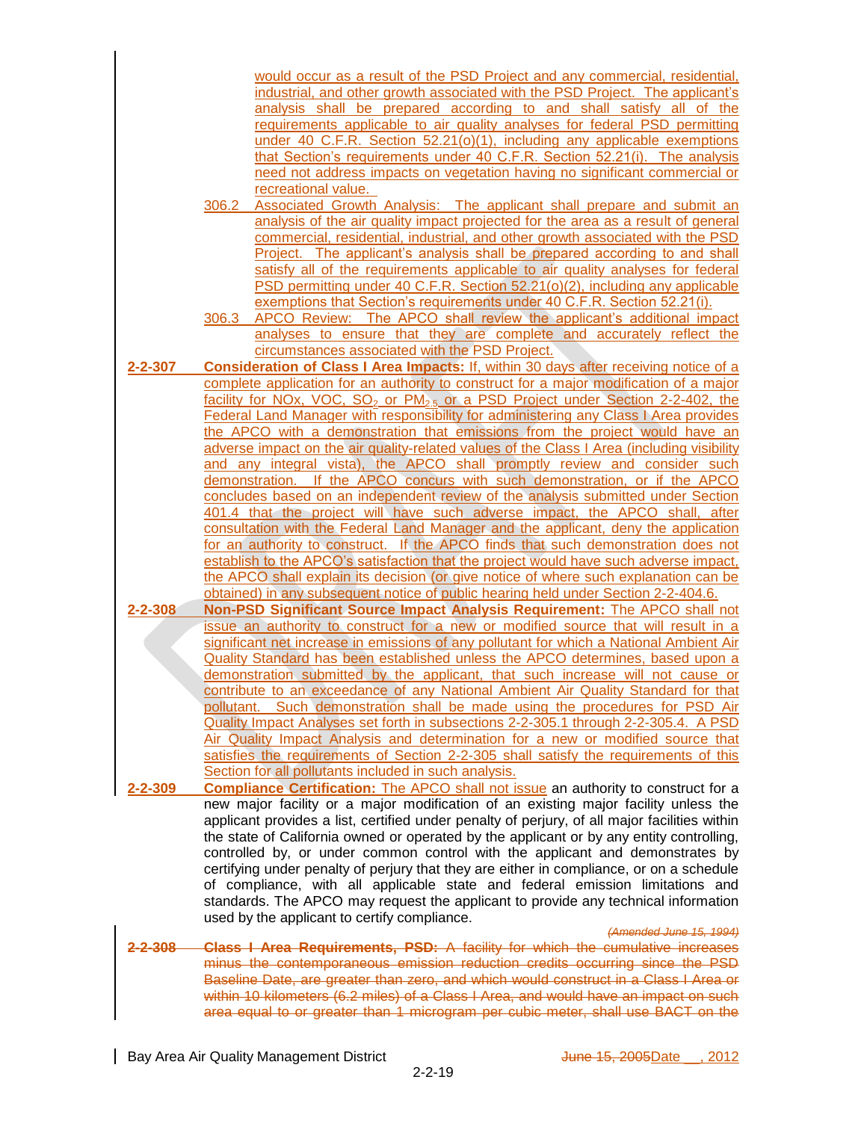|               |       | would occur as a result of the PSD Project and any commercial, residential,                             |
|---------------|-------|---------------------------------------------------------------------------------------------------------|
|               |       | industrial, and other growth associated with the PSD Project. The applicant's                           |
|               |       | analysis shall be prepared according to and shall satisfy all of the                                    |
|               |       | requirements applicable to air quality analyses for federal PSD permitting                              |
|               |       | under 40 C.F.R. Section $52.21(0)(1)$ , including any applicable exemptions                             |
|               |       | that Section's requirements under 40 C.F.R. Section 52.21(i). The analysis                              |
|               |       | need not address impacts on vegetation having no significant commercial or                              |
|               |       | recreational value.                                                                                     |
|               | 306.2 | Associated Growth Analysis: The applicant shall prepare and submit an                                   |
|               |       | analysis of the air quality impact projected for the area as a result of general                        |
|               |       | commercial, residential, industrial, and other growth associated with the PSD                           |
|               |       | Project. The applicant's analysis shall be prepared according to and shall                              |
|               |       | satisfy all of the requirements applicable to air quality analyses for federal                          |
|               |       | PSD permitting under 40 C.F.R. Section 52.21(o)(2), including any applicable                            |
|               |       | exemptions that Section's requirements under 40 C.F.R. Section 52.21(i).                                |
|               | 306.3 | APCO Review: The APCO shall review the applicant's additional impact                                    |
|               |       | analyses to ensure that they are complete and accurately reflect the                                    |
|               |       | circumstances associated with the PSD Project.                                                          |
| $2 - 2 - 307$ |       | <b>Consideration of Class I Area Impacts: If, within 30 days after receiving notice of a</b>            |
|               |       | complete application for an authority to construct for a major modification of a major                  |
|               |       | facility for NOx, VOC, SO <sub>2</sub> or PM <sub>2.5</sub> or a PSD Project under Section 2-2-402, the |
|               |       | <b>Federal Land Manager with responsibility for administering any Class I Area provides</b>             |
|               |       | the APCO with a demonstration that emissions from the project would have an                             |
|               |       | adverse impact on the air quality-related values of the Class I Area (including visibility              |
|               |       | and any integral vista), the APCO shall promptly review and consider such                               |
|               |       | demonstration. If the APCO concurs with such demonstration, or if the APCO                              |
|               |       | concludes based on an independent review of the analysis submitted under Section                        |
|               |       | 401.4 that the project will have such adverse impact, the APCO shall, after                             |
|               |       | consultation with the Federal Land Manager and the applicant, deny the application                      |
|               |       | for an authority to construct. If the APCO finds that such demonstration does not                       |
|               |       |                                                                                                         |
|               |       | establish to the APCO's satisfaction that the project would have such adverse impact,                   |
|               |       | the APCO shall explain its decision (or give notice of where such explanation can be                    |
|               |       | obtained) in any subsequent notice of public hearing held under Section 2-2-404.6.                      |
| $2 - 2 - 308$ |       | Non-PSD Significant Source Impact Analysis Requirement: The APCO shall not                              |
|               |       | issue an authority to construct for a new or modified source that will result in a                      |
|               |       | significant net increase in emissions of any pollutant for which a National Ambient Air                 |
|               |       | Quality Standard has been established unless the APCO determines, based upon a                          |
|               |       | demonstration submitted by the applicant, that such increase will not cause or                          |
|               |       | contribute to an exceedance of any National Ambient Air Quality Standard for that                       |
|               |       | pollutant. Such demonstration shall be made using the procedures for PSD Air                            |
|               |       | Quality Impact Analyses set forth in subsections 2-2-305.1 through 2-2-305.4. A PSD                     |
|               |       | Air Quality Impact Analysis and determination for a new or modified source that                         |
|               |       | satisfies the requirements of Section 2-2-305 shall satisfy the requirements of this                    |
|               |       | Section for all pollutants included in such analysis.                                                   |
| $2 - 2 - 309$ |       | <b>Compliance Certification:</b> The APCO shall not issue an authority to construct for a               |
|               |       | new major facility or a major modification of an existing major facility unless the                     |
|               |       | applicant provides a list, certified under penalty of perjury, of all major facilities within           |
|               |       | the state of California owned or operated by the applicant or by any entity controlling,                |
|               |       | controlled by, or under common control with the applicant and demonstrates by                           |
|               |       | certifying under penalty of perjury that they are either in compliance, or on a schedule                |
|               |       | of compliance, with all applicable state and federal emission limitations and                           |
|               |       | standards. The APCO may request the applicant to provide any technical information                      |
|               |       | used by the applicant to certify compliance.                                                            |
|               |       | (Amended June 15, 1994)                                                                                 |
| 308           |       | Class I Area Requirements, PSD: A facility for which the cumulative increases                           |
|               |       | minus the contemporaneous emission reduction credits occurring since the PSD                            |
|               |       | Baseline Date, are greater than zero, and which would construct in a Class I Area or                    |
|               |       | within 10 kilometers (6.2 miles) of a Class I Area, and would have an impact on such                    |
|               |       | area equal to or greater than 1 microgram per cubic meter, shall use BACT on the                        |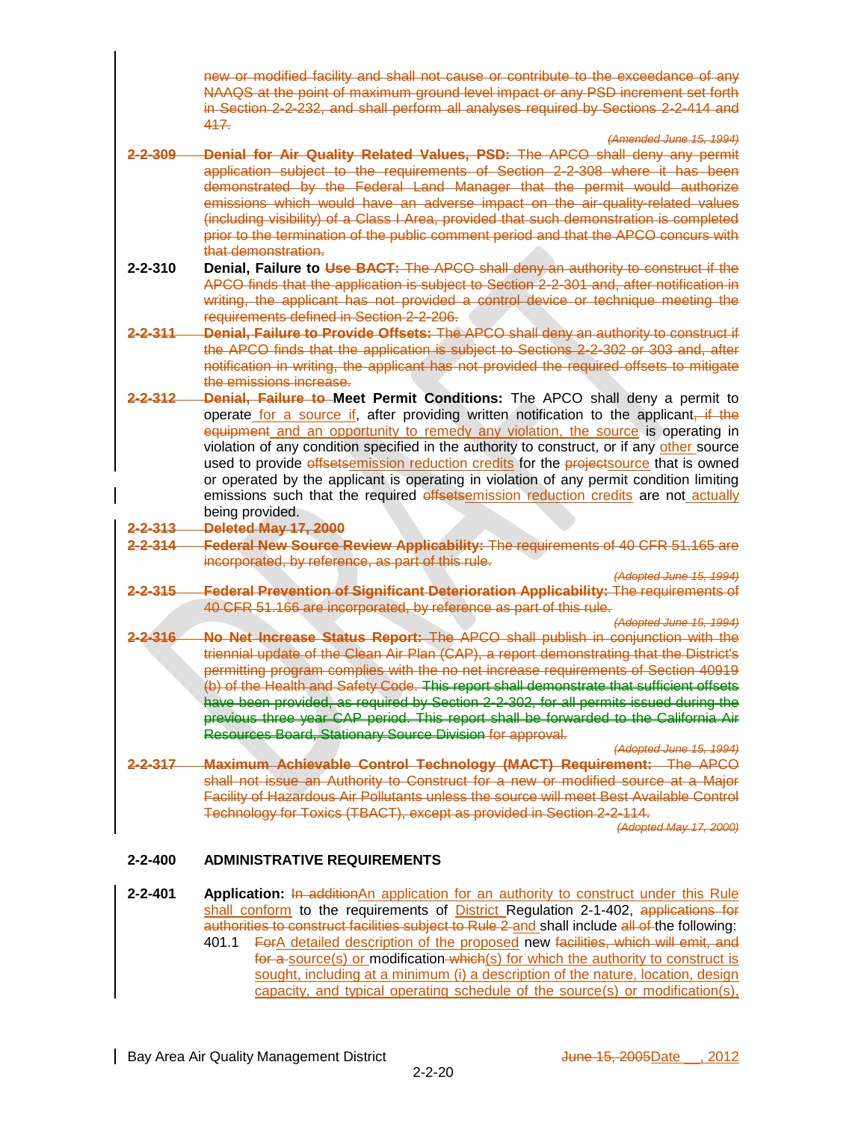new or modified facility and shall not cause or contribute to the exceedance of any NAAQS at the point of maximum ground level impact or any PSD increment set forth in Section 2-2-232, and shall perform all analyses required by Sections 2-2-414 and 417.

*(Amended June 15, 1994)*

- **2-2-309 Denial for Air Quality Related Values, PSD:** The APCO shall deny any permit application subject to the requirements of Section 2-2-308 where it has been demonstrated by the Federal Land Manager that the permit would authorize emissions which would have an adverse impact on the air-quality-related values (including visibility) of a Class I Area, provided that such demonstration is completed prior to the termination of the public comment period and that the APCO concurs with that demonstration.
- **2-2-310 Denial, Failure to Use BACT:** The APCO shall deny an authority to construct if the APCO finds that the application is subject to Section 2-2-301 and, after notification in writing, the applicant has not provided a control device or technique meeting the requirements defined in Section 2-2-206.
- **2-2-311 Denial, Failure to Provide Offsets:** The APCO shall deny an authority to construct if the APCO finds that the application is subject to Sections 2-2-302 or 303 and, after notification in writing, the applicant has not provided the required offsets to mitigate the emissions increase.
- **2-2-312 Denial, Failure to Meet Permit Conditions:** The APCO shall deny a permit to operate for a source if, after providing written notification to the applicant, if the equipment and an opportunity to remedy any violation, the source is operating in violation of any condition specified in the authority to construct, or if any other source used to provide *effsetsemission reduction credits* for the **projectsource** that is owned or operated by the applicant is operating in violation of any permit condition limiting emissions such that the required offsetsemission reduction credits are not actually being provided.
- **2-2-313 Deleted May 17, 2000**
- **2-2-314 Federal New Source Review Applicability:** The requirements of 40 CFR 51.165 are incorporated, by reference, as part of this rule.

*(Adopted June 15, 1994)*

- **2-2-315 Federal Prevention of Significant Deterioration Applicability:** The requirements of 40 CFR 51.166 are incorporated, by reference as part of this rule.
- *(Adopted June 15, 1994)* **2-2-316 No Net Increase Status Report:** The APCO shall publish in conjunction with the triennial update of the Clean Air Plan (CAP), a report demonstrating that the District's permitting program complies with the no net increase requirements of Section 40919 (b) of the Health and Safety Code. This report shall demonstrate that sufficient offsets have been provided, as required by Section 2-2-302, for all permits issued during the previous three year CAP period. This report shall be forwarded to the California Air Resources Board, Stationary Source Division for approval.
- *(Adopted June 15, 1994)* **2-2-317 Maximum Achievable Control Technology (MACT) Requirement:** The APCO shall not issue an Authority to Construct for a new or modified source at a Major Facility of Hazardous Air Pollutants unless the source will meet Best Available Control Technology for Toxics (TBACT), except as provided in Section 2-2-114.

*(Adopted May 17, 2000)*

## **2-2-400 ADMINISTRATIVE REQUIREMENTS**

**2-2-401 Application:** In additionAn application for an authority to construct under this Rule shall conform to the requirements of District Regulation 2-1-402, applications for authorities to construct facilities subject to Rule 2 and shall include all of the following:

401.1 ForA detailed description of the proposed new facilities, which will emit, and for a source(s) or modification which (s) for which the authority to construct is sought, including at a minimum (i) a description of the nature, location, design capacity, and typical operating schedule of the source(s) or modification(s),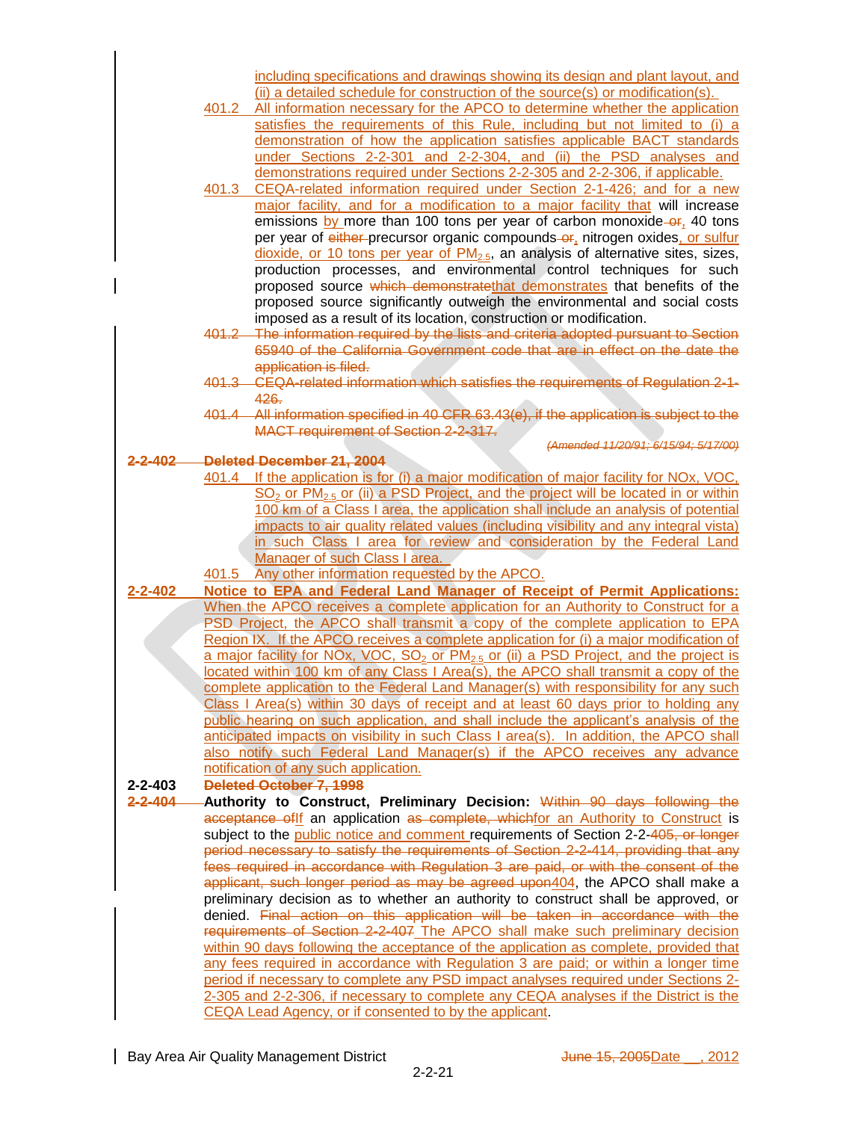|               |       | including specifications and drawings showing its design and plant layout, and                                                                                             |
|---------------|-------|----------------------------------------------------------------------------------------------------------------------------------------------------------------------------|
|               |       | (ii) a detailed schedule for construction of the source(s) or modification(s).                                                                                             |
|               | 401.2 | All information necessary for the APCO to determine whether the application                                                                                                |
|               |       | satisfies the requirements of this Rule, including but not limited to (i) a                                                                                                |
|               |       | demonstration of how the application satisfies applicable BACT standards                                                                                                   |
|               |       | under Sections 2-2-301 and 2-2-304, and (ii) the PSD analyses and                                                                                                          |
|               |       | demonstrations required under Sections 2-2-305 and 2-2-306, if applicable.                                                                                                 |
|               |       | 401.3 CEQA-related information required under Section 2-1-426; and for a new                                                                                               |
|               |       | major facility, and for a modification to a major facility that will increase                                                                                              |
|               |       | emissions by more than 100 tons per year of carbon monoxide-or, 40 tons                                                                                                    |
|               |       | per year of either-precursor organic compounds-or, nitrogen oxides, or sulfur                                                                                              |
|               |       | dioxide, or 10 tons per year of $PM2.5$ , an analysis of alternative sites, sizes,                                                                                         |
|               |       | production processes, and environmental control techniques for such                                                                                                        |
|               |       | proposed source which demonstratethat demonstrates that benefits of the                                                                                                    |
|               |       | proposed source significantly outweigh the environmental and social costs                                                                                                  |
|               |       | imposed as a result of its location, construction or modification.                                                                                                         |
|               |       | 401.2 The information required by the lists and criteria adopted pursuant to Section                                                                                       |
|               |       | 65940 of the California Government code that are in effect on the date the                                                                                                 |
|               |       | application is filed.                                                                                                                                                      |
|               |       | 401.3 CEQA-related information which satisfies the requirements of Regulation 2-1-                                                                                         |
|               |       | 426.                                                                                                                                                                       |
|               |       | 401.4 All information specified in 40 CFR 63.43(e), if the application is subject to the                                                                                   |
|               |       | MACT requirement of Section 2-2-317.                                                                                                                                       |
| 2-402         |       | (Amended 11/20/91: 6/15/94: 5/17/00)<br>Deleted December 21, 2004                                                                                                          |
|               |       | 401.4 If the application is for (i) a major modification of major facility for NOx, VOC,                                                                                   |
|               |       | SO <sub>2</sub> or PM <sub>2.5</sub> or (ii) a PSD Project, and the project will be located in or within                                                                   |
|               |       | 100 km of a Class I area, the application shall include an analysis of potential                                                                                           |
|               |       | impacts to air quality related values (including visibility and any integral vista)                                                                                        |
|               |       | in such Class I area for review and consideration by the Federal Land                                                                                                      |
|               |       | Manager of such Class I area.                                                                                                                                              |
|               | 401.5 | Any other information requested by the APCO.                                                                                                                               |
| $2 - 2 - 402$ |       | Notice to EPA and Federal Land Manager of Receipt of Permit Applications:                                                                                                  |
|               |       | When the APCO receives a complete application for an Authority to Construct for a                                                                                          |
|               |       |                                                                                                                                                                            |
|               |       | PSD Project, the APCO shall transmit a copy of the complete application to EPA                                                                                             |
|               |       | Region IX. If the APCO receives a complete application for (i) a major modification of                                                                                     |
|               |       | a major facility for NOx, VOC, SO <sub>2</sub> or PM <sub>2.5</sub> or (ii) a PSD Project, and the project is                                                              |
|               |       | located within 100 km of any Class I Area(s), the APCO shall transmit a copy of the                                                                                        |
|               |       | complete application to the Federal Land Manager(s) with responsibility for any such                                                                                       |
|               |       | Class I Area(s) within 30 days of receipt and at least 60 days prior to holding any                                                                                        |
|               |       | public hearing on such application, and shall include the applicant's analysis of the                                                                                      |
|               |       | anticipated impacts on visibility in such Class I area(s). In addition, the APCO shall                                                                                     |
|               |       | also notify such Federal Land Manager(s) if the APCO receives any advance                                                                                                  |
|               |       | notification of any such application.                                                                                                                                      |
| $2 - 2 - 403$ |       | <b>Deleted October 7, 1998</b>                                                                                                                                             |
| $2 - 2 - 404$ |       | Authority to Construct, Preliminary Decision: Within 90 days following the                                                                                                 |
|               |       | acceptance of If an application as complete, which for an Authority to Construct is                                                                                        |
|               |       | subject to the public notice and comment requirements of Section 2-2-405, or longer                                                                                        |
|               |       | period necessary to satisfy the requirements of Section 2-2-414, providing that any                                                                                        |
|               |       | fees required in accordance with Requlation 3 are paid, or with the consent of the                                                                                         |
|               |       | applicant, such longer period as may be agreed upon404, the APCO shall make a                                                                                              |
|               |       | preliminary decision as to whether an authority to construct shall be approved, or                                                                                         |
|               |       | denied. Final action on this application will be taken in accordance with the                                                                                              |
|               |       | requirements of Section 2-2-407 The APCO shall make such preliminary decision                                                                                              |
|               |       | within 90 days following the acceptance of the application as complete, provided that                                                                                      |
|               |       | any fees required in accordance with Regulation 3 are paid; or within a longer time                                                                                        |
|               |       | period if necessary to complete any PSD impact analyses required under Sections 2-<br>2-305 and 2-2-306, if necessary to complete any CEQA analyses if the District is the |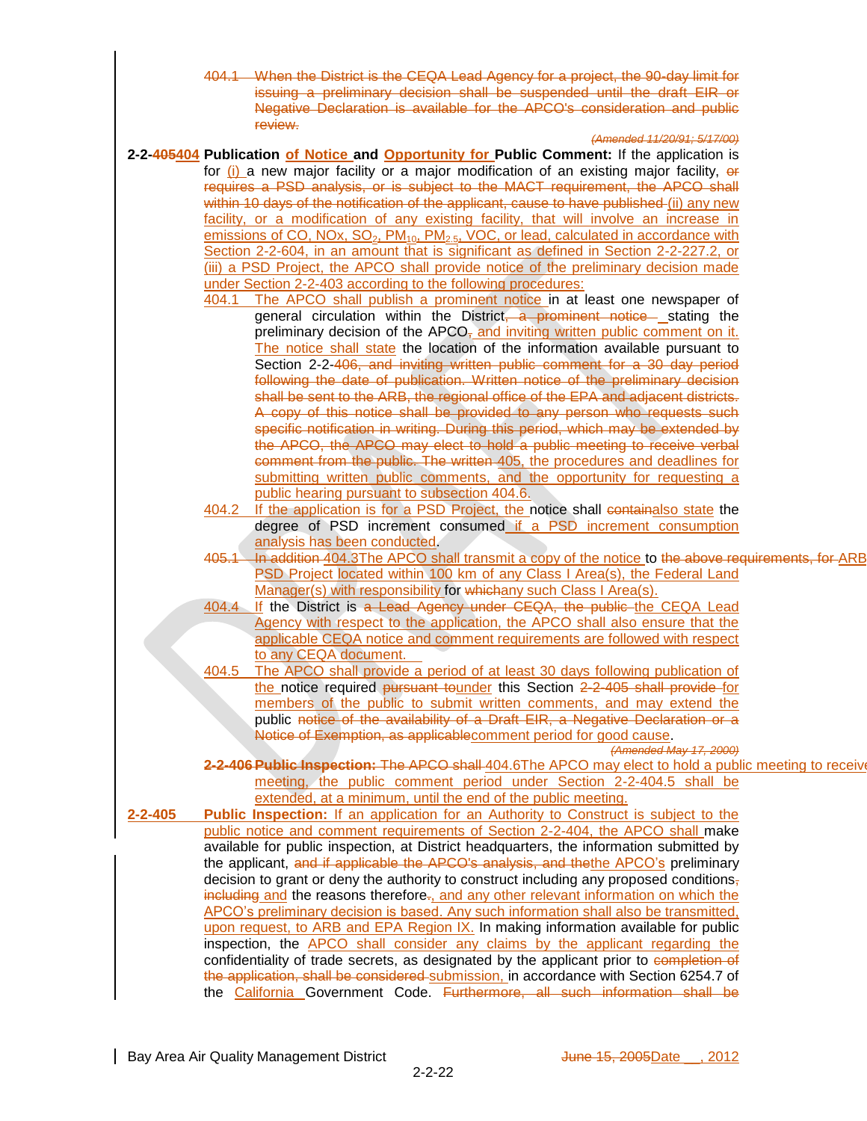404.1 When the District is the CEQA Lead Agency for a project, the 90-day limit for issuing a preliminary decision shall be suspended until the draft EIR or Negative Declaration is available for the APCO's consideration and public review.

#### *(Amended 11/20/91; 5/17/00)*

**2-2-405404 Publication of Notice and Opportunity for Public Comment:** If the application is for  $(i)$  a new major facility or a major modification of an existing major facility,  $\theta$ requires a PSD analysis, or is subject to the MACT requirement, the APCO shall within 10 days of the notification of the applicant, cause to have published (ii) any new facility, or a modification of any existing facility, that will involve an increase in emissions of CO, NOx,  $SO_2$ ,  $PM_{10}$ ,  $PM_{2.5}$ , VOC, or lead, calculated in accordance with Section 2-2-604, in an amount that is significant as defined in Section 2-2-227.2, or (iii) a PSD Project, the APCO shall provide notice of the preliminary decision made under Section 2-2-403 according to the following procedures: 404.1 The APCO shall publish a prominent notice in at least one newspaper of general circulation within the District, a prominent notice stating the preliminary decision of the  $APCO<sub>z</sub>$  and inviting written public comment on it. The notice shall state the location of the information available pursuant to Section 2-2-406, and inviting written public comment for a 30 day period following the date of publication. Written notice of the preliminary decision shall be sent to the ARB, the regional office of the EPA and adjacent districts. A copy of this notice shall be provided to any person who requests such specific notification in writing. During this period, which may be extended by the APCO, the APCO may elect to hold a public meeting to receive verbal comment from the public. The written 405, the procedures and deadlines for submitting written public comments, and the opportunity for requesting a public hearing pursuant to subsection 404.6. 404.2 If the application is for a PSD Project, the notice shall containalso state the degree of PSD increment consumed if a PSD increment consumption analysis has been conducted. 405.1 In addition 404.3The APCO shall transmit a copy of the notice to the above requirements, for ARB PSD Project located within 100 km of any Class I Area(s), the Federal Land Manager(s) with responsibility for whichany such Class I Area(s). 404.4 If the District is a Lead Agency under CEQA, the public the CEQA Lead Agency with respect to the application, the APCO shall also ensure that the applicable CEQA notice and comment requirements are followed with respect to any CEQA document. 404.5 The APCO shall provide a period of at least 30 days following publication of the notice required pursuant tounder this Section 2-2-405 shall provide for members of the public to submit written comments, and may extend the public notice of the availability of a Draft EIR, a Negative Declaration or a Notice of Exemption, as applicablecomment period for good cause. *(Amended May 17, 2000)* 2-2-406 Public Inspection: The APCO shall 404.6The APCO may elect to hold a public meeting to receive meeting, the public comment period under Section 2-2-404.5 shall be extended, at a minimum, until the end of the public meeting. **2-2-405 Public Inspection:** If an application for an Authority to Construct is subject to the public notice and comment requirements of Section 2-2-404, the APCO shall make available for public inspection, at District headquarters, the information submitted by the applicant, and if applicable the APCO's analysis, and thethe APCO's preliminary decision to grant or deny the authority to construct including any proposed conditions, including and the reasons therefore., and any other relevant information on which the APCO's preliminary decision is based. Any such information shall also be transmitted, upon request, to ARB and EPA Region IX. In making information available for public inspection, the APCO shall consider any claims by the applicant regarding the confidentiality of trade secrets, as designated by the applicant prior to completion of the application, shall be considered submission, in accordance with Section 6254.7 of the California Government Code. Furthermore, all such information shall be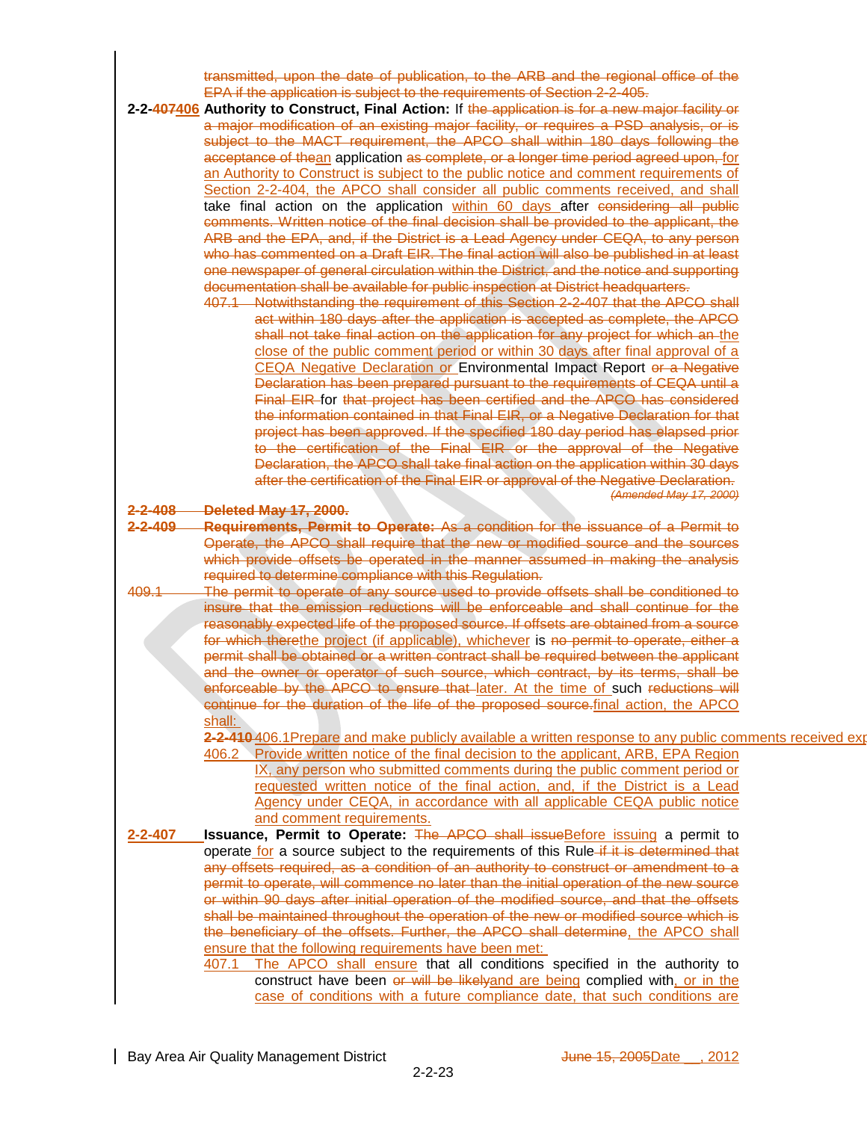transmitted, upon the date of publication, to the ARB and the regional office of the EPA if the application is subject to the requirements of Section 2-2-405.

- **2-2-407406 Authority to Construct, Final Action:** If the application is for a new major facility or a major modification of an existing major facility, or requires a PSD analysis, or is subject to the MACT requirement, the APCO shall within 180 days following the acceptance of thean application as complete, or a longer time period agreed upon, for an Authority to Construct is subject to the public notice and comment requirements of Section 2-2-404, the APCO shall consider all public comments received, and shall take final action on the application within 60 days after considering all public comments. Written notice of the final decision shall be provided to the applicant, the ARB and the EPA, and, if the District is a Lead Agency under CEQA, to any person who has commented on a Draft EIR. The final action will also be published in at least one newspaper of general circulation within the District, and the notice and supporting documentation shall be available for public inspection at District headquarters.
	- 407.1 Notwithstanding the requirement of this Section 2-2-407 that the APCO shall act within 180 days after the application is accepted as complete, the APCO shall not take final action on the application for any project for which an the close of the public comment period or within 30 days after final approval of a CEQA Negative Declaration or Environmental Impact Report or a Negative Declaration has been prepared pursuant to the requirements of CEQA until a Final EIR for that project has been certified and the APCO has considered the information contained in that Final EIR, or a Negative Declaration for that project has been approved. If the specified 180 day period has elapsed prior to the certification of the Final EIR or the approval of the Negative Declaration, the APCO shall take final action on the application within 30 days after the certification of the Final EIR or approval of the Negative Declaration. *(Amended May 17, 2000)*

**2-2-408 Deleted May 17, 2000.**

- **2-2-409 Requirements, Permit to Operate:** As a condition for the issuance of a Permit to Operate, the APCO shall require that the new or modified source and the sources which provide offsets be operated in the manner assumed in making the analysis required to determine compliance with this Regulation.
- 409.1 The permit to operate of any source used to provide offsets shall be conditioned to insure that the emission reductions will be enforceable and shall continue for the reasonably expected life of the proposed source. If offsets are obtained from a source for which therethe project (if applicable), whichever is no permit to operate, either a permit shall be obtained or a written contract shall be required between the applicant and the owner or operator of such source, which contract, by its terms, shall be enforceable by the APCO to ensure that later. At the time of such reductions will continue for the duration of the life of the proposed source.final action, the APCO shall:

**2-2-410** 406.1Prepare and make publicly available a written response to any public comments received explaining how the APCO has considered such a final decisions; and a final decision; and a final decision; and a final d

- 406.2 Provide written notice of the final decision to the applicant, ARB, EPA Region IX, any person who submitted comments during the public comment period or requested written notice of the final action, and, if the District is a Lead Agency under CEQA, in accordance with all applicable CEQA public notice and comment requirements.
- **2-2-407 Issuance, Permit to Operate:** The APCO shall issueBefore issuing a permit to operate for a source subject to the requirements of this Rule-if it is determined that any offsets required, as a condition of an authority to construct or amendment to a permit to operate, will commence no later than the initial operation of the new source or within 90 days after initial operation of the modified source, and that the offsets shall be maintained throughout the operation of the new or modified source which is the beneficiary of the offsets. Further, the APCO shall determine, the APCO shall ensure that the following requirements have been met: 407.1 The APCO shall ensure that all conditions specified in the authority to
	- construct have been or will be likelyand are being complied with, or in the case of conditions with a future compliance date, that such conditions are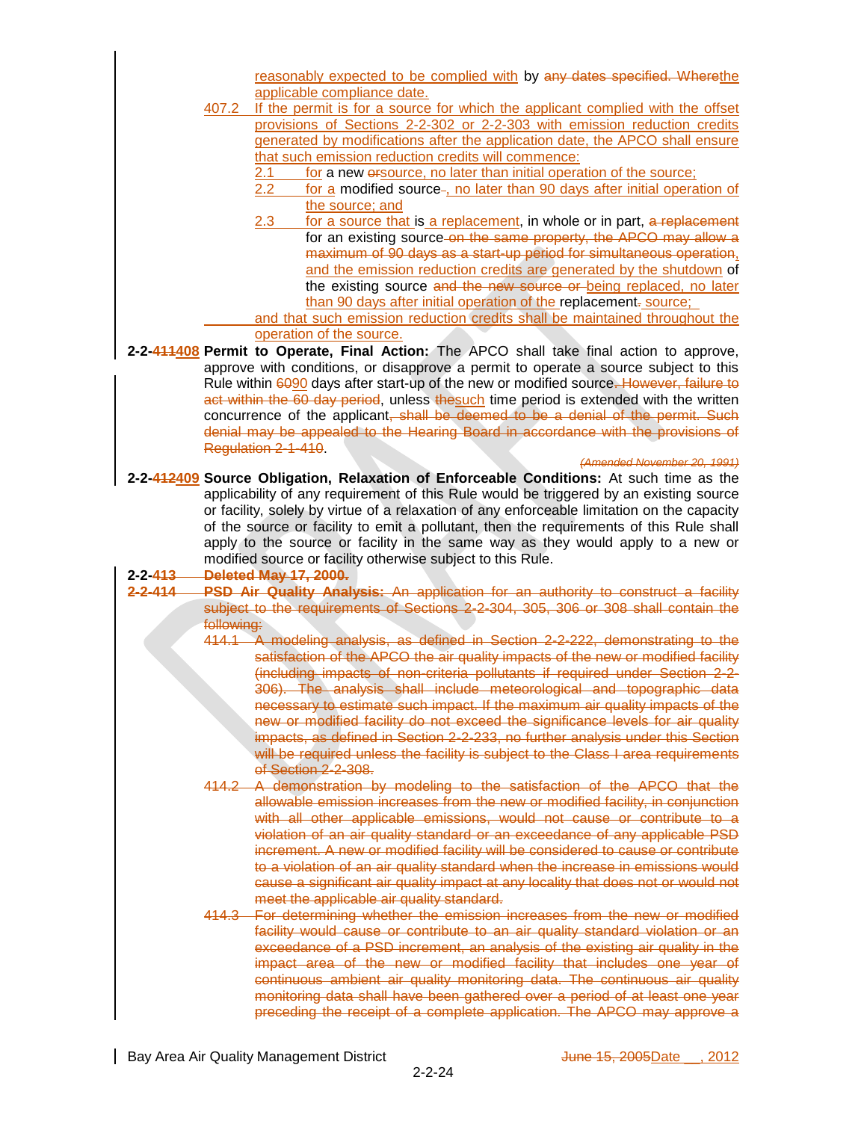|                                |            | reasonably expected to be complied with by any dates specified. Wherethe                                                                                                |
|--------------------------------|------------|-------------------------------------------------------------------------------------------------------------------------------------------------------------------------|
|                                |            | applicable compliance date.                                                                                                                                             |
|                                | 407.2      | If the permit is for a source for which the applicant complied with the offset                                                                                          |
|                                |            | provisions of Sections 2-2-302 or 2-2-303 with emission reduction credits                                                                                               |
|                                |            | generated by modifications after the application date, the APCO shall ensure<br>that such emission reduction credits will commence:                                     |
|                                |            | 2.1<br>for a new ersource, no later than initial operation of the source;                                                                                               |
|                                |            | 2.2<br>for a modified source-, no later than 90 days after initial operation of                                                                                         |
|                                |            | the source; and                                                                                                                                                         |
|                                |            | 2.3<br>for a source that is a replacement, in whole or in part, a replacement                                                                                           |
|                                |            | for an existing source-on the same property, the APCO may allow a                                                                                                       |
|                                |            | maximum of 90 days as a start-up period for simultaneous operation,                                                                                                     |
|                                |            | and the emission reduction credits are generated by the shutdown of                                                                                                     |
|                                |            | the existing source and the new source or being replaced, no later<br>than 90 days after initial operation of the replacement-source;                                   |
|                                |            | and that such emission reduction credits shall be maintained throughout the                                                                                             |
|                                |            | operation of the source.                                                                                                                                                |
|                                |            | 2-2-411408 Permit to Operate, Final Action: The APCO shall take final action to approve,                                                                                |
|                                |            | approve with conditions, or disapprove a permit to operate a source subject to this                                                                                     |
|                                |            | Rule within 6090 days after start-up of the new or modified source. However, failure to                                                                                 |
|                                |            | act within the 60 day period, unless thesuch time period is extended with the written                                                                                   |
|                                |            | concurrence of the applicant, shall be deemed to be a denial of the permit. Such<br>denial may be appealed to the Hearing Board in accordance with the provisions of    |
|                                |            | Regulation 2-1-410                                                                                                                                                      |
|                                |            | (Amended November 20, 1991)                                                                                                                                             |
|                                |            | 2-2-412409 Source Obligation, Relaxation of Enforceable Conditions: At such time as the                                                                                 |
|                                |            | applicability of any requirement of this Rule would be triggered by an existing source                                                                                  |
|                                |            | or facility, solely by virtue of a relaxation of any enforceable limitation on the capacity                                                                             |
|                                |            |                                                                                                                                                                         |
|                                |            | of the source or facility to emit a pollutant, then the requirements of this Rule shall                                                                                 |
|                                |            | apply to the source or facility in the same way as they would apply to a new or                                                                                         |
|                                |            | modified source or facility otherwise subject to this Rule.                                                                                                             |
| $2 - 2 - 413$<br>$2 - 2 - 414$ |            | <b>Deleted May 17, 2000.</b>                                                                                                                                            |
|                                |            | PSD Air Quality Analysis: An application for an authority to construct a facility<br>subject to the requirements of Sections 2-2-304, 305, 306 or 308 shall contain the |
|                                | following: |                                                                                                                                                                         |
|                                |            | 414.1 A modeling analysis, as defined in Section 2-2-222, demonstrating to the                                                                                          |
|                                |            |                                                                                                                                                                         |
|                                |            | (including impacts of non-criteria pollutants if required under Section 2-2-                                                                                            |
|                                |            | satisfaction of the APCO the air quality impacts of the new or modified facility<br>306). The analysis shall include meteorological and topographic data                |
|                                |            | necessary to estimate such impact. If the maximum air quality impacts of the                                                                                            |
|                                |            | new or modified facility do not exceed the significance levels for air quality                                                                                          |
|                                |            | impacts, as defined in Section 2-2-233, no further analysis under this Section<br>will be required unless the facility is subject to the Class I area requirements      |
|                                |            | of Section 2-2-308.                                                                                                                                                     |
|                                |            | 414.2 A demonstration by modeling to the satisfaction of the APCO that the                                                                                              |
|                                |            | allowable emission increases from the new or modified facility, in conjunction                                                                                          |
|                                |            | with all other applicable emissions, would not cause or contribute to a                                                                                                 |
|                                |            | violation of an air quality standard or an exceedance of any applicable PSD                                                                                             |
|                                |            | increment. A new or modified facility will be considered to cause or contribute                                                                                         |
|                                |            | to a violation of an air quality standard when the increase in emissions would<br>cause a significant air quality impact at any locality that does not or would not     |
|                                |            | meet the applicable air quality standard.                                                                                                                               |
|                                |            | 414.3 For determining whether the emission increases from the new or modified                                                                                           |
|                                |            | facility would cause or contribute to an air quality standard violation or an                                                                                           |
|                                |            | exceedance of a PSD increment, an analysis of the existing air quality in the                                                                                           |
|                                |            | impact area of the new or modified facility that includes one year of                                                                                                   |
|                                |            | continuous ambient air quality monitoring data. The continuous air quality                                                                                              |
|                                |            | monitoring data shall have been gathered over a period of at least one year<br>preceding the receipt of a complete application. The APCO may approve a                  |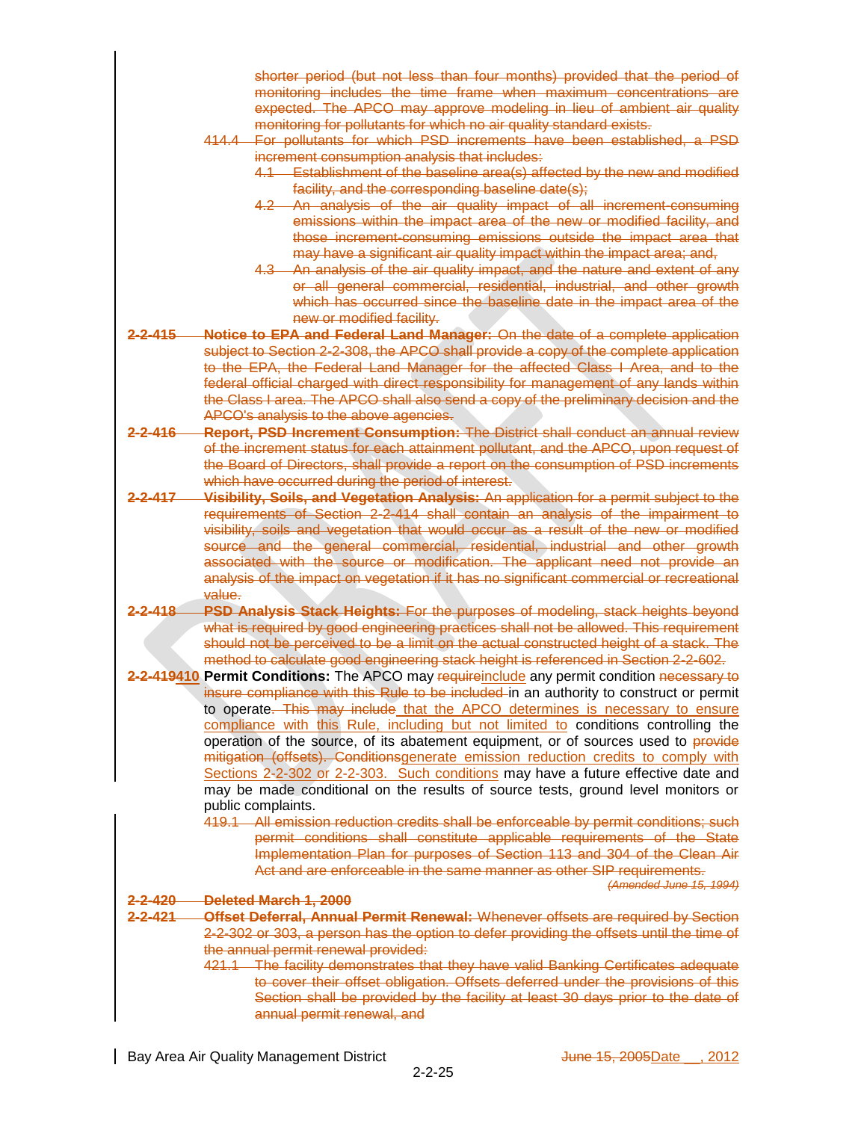|                   | shorter period (but not less than four months) provided that the period of                                                                                                                                                  |
|-------------------|-----------------------------------------------------------------------------------------------------------------------------------------------------------------------------------------------------------------------------|
|                   | monitoring includes the time frame when maximum concentrations are                                                                                                                                                          |
|                   | expected. The APCO may approve modeling in lieu of ambient air quality                                                                                                                                                      |
|                   | monitoring for pollutants for which no air quality standard exists.                                                                                                                                                         |
|                   | 414.4 For pollutants for which PSD increments have been established, a PSD<br>increment consumption analysis that includes:                                                                                                 |
|                   | 4.1 Establishment of the baseline area(s) affected by the new and modified<br>facility, and the corresponding baseline date(s);                                                                                             |
|                   | 4.2 An analysis of the air quality impact of all increment-consuming                                                                                                                                                        |
|                   | emissions within the impact area of the new or modified facility, and<br>those increment-consuming emissions outside the impact area that                                                                                   |
|                   | may have a significant air quality impact within the impact area; and,                                                                                                                                                      |
|                   | 4.3 An analysis of the air quality impact, and the nature and extent of any<br>or all general commercial, residential, industrial, and other growth<br>which has occurred since the baseline date in the impact area of the |
|                   | new or modified facility.                                                                                                                                                                                                   |
| <u>2-2-415 </u>   | <b>Notice to EPA and Federal Land Manager:</b> On the date of a complete application                                                                                                                                        |
|                   | subject to Section 2-2-308, the APCO shall provide a copy of the complete application<br>to the EPA, the Federal Land Manager for the affected Class I Area, and to the                                                     |
|                   | federal official charged with direct responsibility for management of any lands within                                                                                                                                      |
|                   | the Class I area. The APCO shall also send a copy of the preliminary decision and the                                                                                                                                       |
|                   | APCO's analysis to the above agencies.                                                                                                                                                                                      |
| <u>2-2-416 - </u> | Report, PSD Increment Consumption: The District shall conduct an annual review                                                                                                                                              |
|                   | of the increment status for each attainment pollutant, and the APCO, upon request of                                                                                                                                        |
|                   | the Board of Directors, shall provide a report on the consumption of PSD increments                                                                                                                                         |
| 2-2-417           | which have occurred during the period of interest.                                                                                                                                                                          |
|                   | Visibility, Soils, and Vegetation Analysis: An application for a permit subject to the<br>requirements of Section 2-2-414 shall contain an analysis of the impairment to                                                    |
|                   | visibility, soils and vegetation that would occur as a result of the new or modified                                                                                                                                        |
|                   | source and the general commercial, residential, industrial and other growth                                                                                                                                                 |
|                   | associated with the source or modification. The applicant need not provide an                                                                                                                                               |
|                   | analysis of the impact on vegetation if it has no significant commercial or recreational<br>value.                                                                                                                          |
| <u>2-2-418 —</u>  | <b>PSD Analysis Stack Heights: For the purposes of modeling, stack heights beyond</b>                                                                                                                                       |
|                   | what is required by good engineering practices shall not be allowed. This requirement                                                                                                                                       |
|                   | should not be perceived to be a limit on the actual constructed height of a stack. The                                                                                                                                      |
|                   | method to calculate good engineering stack height is referenced in Section 2-2-602.                                                                                                                                         |
|                   | 2-2-419410 Permit Conditions: The APCO may requireinclude any permit condition necessary to<br>insure compliance with this Rule to be included in an authority to construct or permit                                       |
|                   | to operate. This may include that the APCO determines is necessary to ensure                                                                                                                                                |
|                   | compliance with this Rule, including but not limited to conditions controlling the                                                                                                                                          |
|                   | operation of the source, of its abatement equipment, or of sources used to provide                                                                                                                                          |
|                   | mitigation (offsets). Conditionsgenerate emission reduction credits to comply with                                                                                                                                          |
|                   | Sections 2-2-302 or 2-2-303. Such conditions may have a future effective date and<br>may be made conditional on the results of source tests, ground level monitors or                                                       |
|                   | public complaints.                                                                                                                                                                                                          |
|                   | 419.1 All emission reduction credits shall be enforceable by permit conditions; such                                                                                                                                        |
|                   | permit conditions shall constitute applicable requirements of the State                                                                                                                                                     |
|                   | Implementation Plan for purposes of Section 113 and 304 of the Clean Air                                                                                                                                                    |
|                   | Act and are enforceable in the same manner as other SIP requirements.                                                                                                                                                       |
| 2-2-420           | (Amended June 15, 1994)<br>Deleted March 1, 2000                                                                                                                                                                            |
| 2-2-421           | Offset Deferral, Annual Permit Renewal: Whenever offsets are required by Section                                                                                                                                            |
|                   | 2-2-302 or 303, a person has the option to defer providing the offsets until the time of                                                                                                                                    |
|                   | the annual permit renewal provided:                                                                                                                                                                                         |
|                   | 421.1 The facility demonstrates that they have valid Banking Certificates adequate                                                                                                                                          |
|                   | to cover their offset obligation. Offsets deferred under the provisions of this                                                                                                                                             |
|                   | Section shall be provided by the facility at least 30 days prior to the date of<br>annual permit renewal, and                                                                                                               |
|                   |                                                                                                                                                                                                                             |
|                   |                                                                                                                                                                                                                             |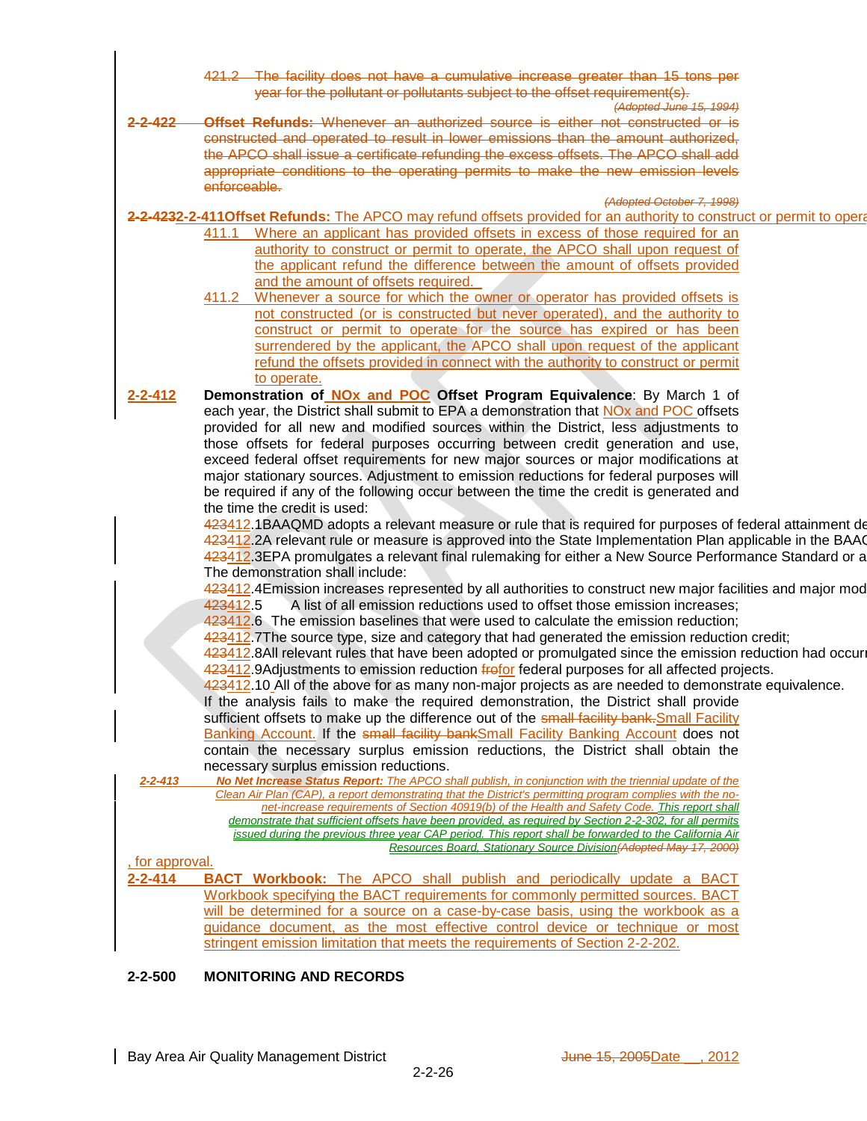The facility does not have a cumulative increase greater than 15 tons per year for the pollutant or pollutants subject to the offset requirement(s).

- *<i>(Adopted June 1*)
- **2-2-422 Offset Refunds:** Whenever an authorized source is either not constructed or is constructed and operated to result in lower emissions than the amount authorized, the APCO shall issue a certificate refunding the excess offsets. The APCO shall add appropriate conditions to the operating permits to make the new emission levels enforceable.

*(Adopted October 7, 1998)*

2-2-4232-2-411Offset Refunds: The APCO may refund offsets provided for an authority to construct or permit to opera

- 411.1 Where an applicant has provided offsets in excess of those required for an authority to construct or permit to operate, the APCO shall upon request of the applicant refund the difference between the amount of offsets provided and the amount of offsets required.
- 411.2 Whenever a source for which the owner or operator has provided offsets is not constructed (or is constructed but never operated), and the authority to construct or permit to operate for the source has expired or has been surrendered by the applicant, the APCO shall upon request of the applicant refund the offsets provided in connect with the authority to construct or permit to operate.
- **2-2-412 Demonstration of NOx and POC Offset Program Equivalence**: By March 1 of each year, the District shall submit to EPA a demonstration that NOx and POC offsets provided for all new and modified sources within the District, less adjustments to those offsets for federal purposes occurring between credit generation and use, exceed federal offset requirements for new major sources or major modifications at major stationary sources. Adjustment to emission reductions for federal purposes will be required if any of the following occur between the time the credit is generated and the time the credit is used:

423412.1BAAQMD adopts a relevant measure or rule that is required for purposes of federal attainment demonstration 423412.2A relevant rule or measure is approved into the State Implementation Plan applicable in the BAA 423412.3EPA promulgates a relevant final rulemaking for either a New Source Performance Standard or a The demonstration shall include:

423412.4Emission increases represented by all authorities to construct new major facilities and major mod 423412.5 A list of all emission reductions used to offset those emission increases;

423412.6 The emission baselines that were used to calculate the emission reduction;

423412.7The source type, size and category that had generated the emission reduction credit;

423412.8All relevant rules that have been adopted or promulgated since the emission reduction had occur 423412.9Adjustments to emission reduction frotor federal purposes for all affected projects.

423412.10 All of the above for as many non-major projects as are needed to demonstrate equivalence.

If the analysis fails to make the required demonstration, the District shall provide sufficient offsets to make up the difference out of the small facility bank. Small Facility Banking Account. If the small facility bankSmall Facility Banking Account does not contain the necessary surplus emission reductions, the District shall obtain the necessary surplus emission reductions.

*2-2-413 No Net Increase Status Report: The APCO shall publish, in conjunction with the triennial update of the Clean Air Plan (CAP), a report demonstrating that the District's permitting program complies with the nonet-increase requirements of Section 40919(b) of the Health and Safety Code. This report shall demonstrate that sufficient offsets have been provided, as required by Section 2-2-302, for all permits issued during the previous three year CAP period. This report shall be forwarded to the California Air Resources Board, Stationary Source Division(Adopted May 17, 2000)*

, for approval.

**2-2-414 BACT Workbook:** The APCO shall publish and periodically update a BACT Workbook specifying the BACT requirements for commonly permitted sources. BACT will be determined for a source on a case-by-case basis, using the workbook as a guidance document, as the most effective control device or technique or most stringent emission limitation that meets the requirements of Section 2-2-202.

# **2-2-500 MONITORING AND RECORDS**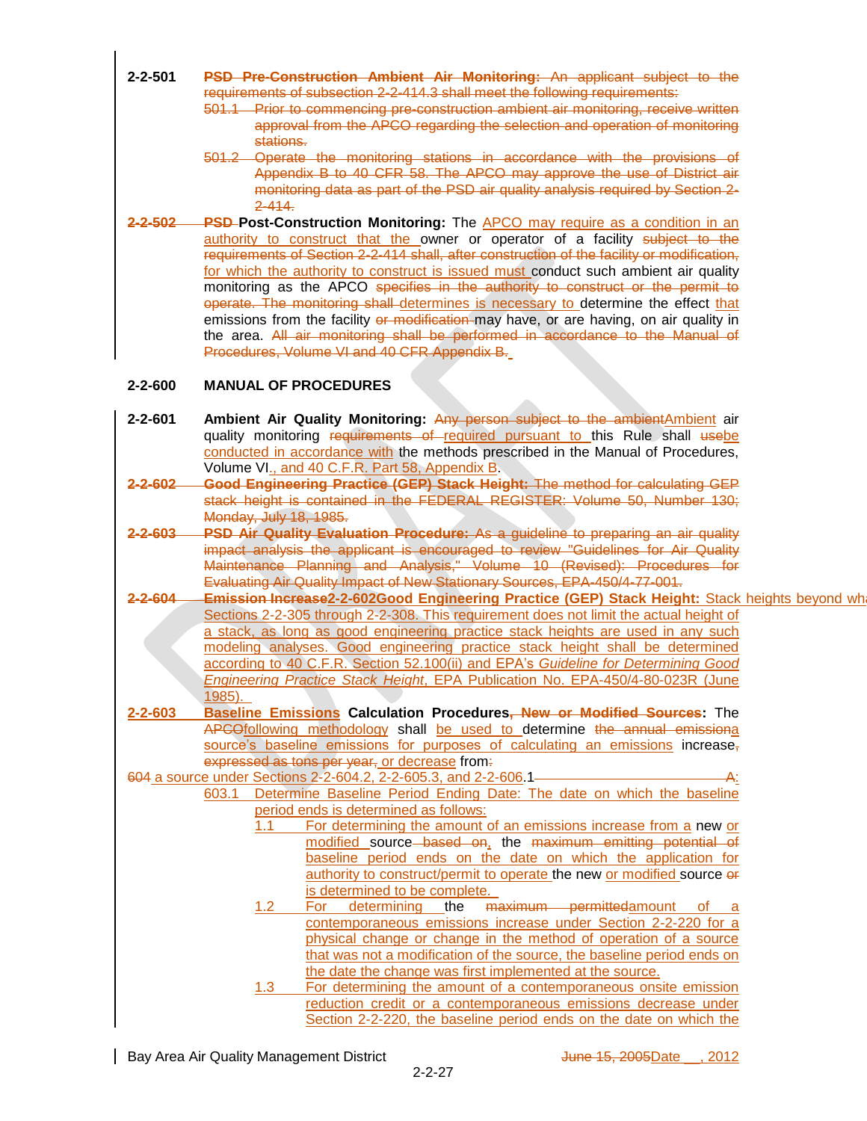- **2-2-501 PSD Pre-Construction Ambient Air Monitoring:** An applicant subject to the requirements of subsection 2-2-414.3 shall meet the following requirements:
	- 501.1 Prior to commencing pre-construction ambient air monitoring, receive written approval from the APCO regarding the selection and operation of monitoring stations.
	- 501.2 Operate the monitoring stations in accordance with the provisions of Appendix B to 40 CFR 58. The APCO may approve the use of District air monitoring data as part of the PSD air quality analysis required by Section 2- 2-414.
- **2-2-502 PSD Post-Construction Monitoring:** The APCO may require as a condition in an authority to construct that the owner or operator of a facility subject to the requirements of Section 2-2-414 shall, after construction of the facility or modification, for which the authority to construct is issued must conduct such ambient air quality monitoring as the APCO specifies in the authority to construct or the permit to operate. The monitoring shall determines is necessary to determine the effect that emissions from the facility or modification may have, or are having, on air quality in the area. All air monitoring shall be performed in accordance to the Manual of Procedures, Volume VI and 40 CFR Appendix B.

## **2-2-600 MANUAL OF PROCEDURES**

- **2-2-601 Ambient Air Quality Monitoring:** Any person subject to the ambient Ambient air quality monitoring requirements of required pursuant to this Rule shall usebe conducted in accordance with the methods prescribed in the Manual of Procedures, Volume VI., and 40 C.F.R. Part 58, Appendix B.
- **2-2-602 Good Engineering Practice (GEP) Stack Height:** The method for calculating GEP stack height is contained in the FEDERAL REGISTER: Volume 50, Number 130; Monday, July 18, 1985.
- **2-2-603 PSD Air Quality Evaluation Procedure:** As a guideline to preparing an air quality impact analysis the applicant is encouraged to review "Guidelines for Air Quality Maintenance Planning and Analysis," Volume 10 (Revised): Procedures for Evaluating Air Quality Impact of New Stationary Sources, EPA-450/4-77-001.
- 2-2-604 Emission Increase2-2-602Good Engineering Practice (GEP) Stack Height: Stack heights beyond wh Sections 2-2-305 through 2-2-308. This requirement does not limit the actual height of a stack, as long as good engineering practice stack heights are used in any such modeling analyses. Good engineering practice stack height shall be determined according to 40 C.F.R. Section 52.100(ii) and EPA's *Guideline for Determining Good Engineering Practice Stack Height*, EPA Publication No. EPA-450/4-80-023R (June 1985).
- **2-2-603 Baseline Emissions Calculation Procedures, New or Modified Sources:** The APCOfollowing methodology shall be used to determine the annual emissiona source's baseline emissions for purposes of calculating an emissions increase, expressed as tons per year, or decrease from.
- 604 a source under Sections 2-2-604.2, 2-2-605.3, and 2-2-606.1-
	- 603.1 Determine Baseline Period Ending Date: The date on which the baseline period ends is determined as follows:
		- 1.1 For determining the amount of an emissions increase from a new or modified source based on, the maximum emitting potential of baseline period ends on the date on which the application for authority to construct/permit to operate the new or modified source or is determined to be complete.<br>For determining the m
		- 1.2 For determining the maximum permittedamount of contemporaneous emissions increase under Section 2-2-220 for a physical change or change in the method of operation of a source that was not a modification of the source, the baseline period ends on the date the change was first implemented at the source.
		- 1.3 For determining the amount of a contemporaneous onsite emission reduction credit or a contemporaneous emissions decrease under Section 2-2-220, the baseline period ends on the date on which the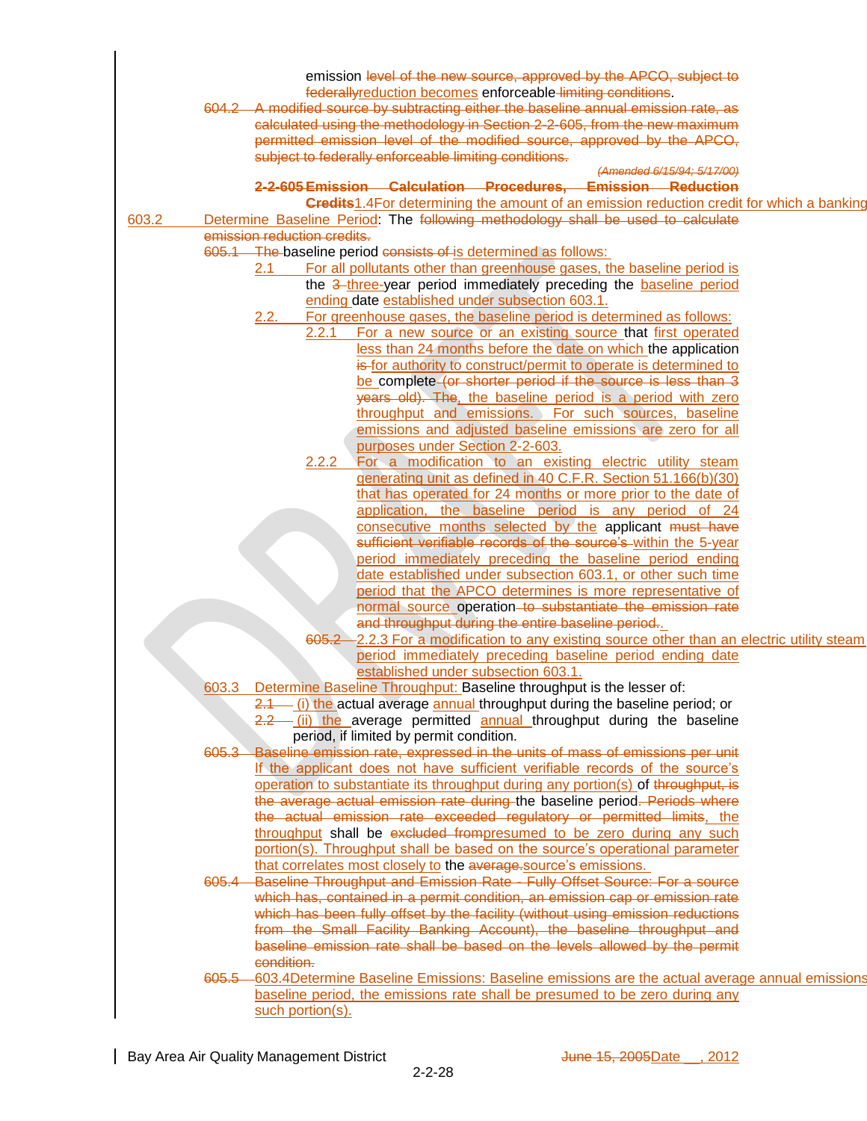| emission level of the new source, approved by the APCO, subject to                                                        |  |
|---------------------------------------------------------------------------------------------------------------------------|--|
| federallyreduction becomes enforceable limiting conditions.                                                               |  |
| 604.2 A modified source by subtracting either the baseline annual emission rate, as                                       |  |
|                                                                                                                           |  |
| calculated using the methodology in Section 2-2-605, from the new maximum                                                 |  |
| permitted emission level of the modified source, approved by the APCO,                                                    |  |
| subject to federally enforceable limiting conditions.                                                                     |  |
| (Amended 6/15/94; 5/17/00)                                                                                                |  |
| 2-2-605 Emission Calculation Procedures, Emission Reduction                                                               |  |
| <b>Credits1.4For determining the amount of an emission reduction credit for which a banking</b>                           |  |
| Determine Baseline Period: The following methodology shall be used to calculate<br>603.2                                  |  |
| emission reduction credits.                                                                                               |  |
| 605.1 The baseline period consists of is determined as follows:                                                           |  |
| 2.1 For all pollutants other than greenhouse gases, the baseline period is                                                |  |
| the 3-three-year period immediately preceding the <b>baseline period</b>                                                  |  |
| ending date established under subsection 603.1.                                                                           |  |
| For greenhouse gases, the baseline period is determined as follows:                                                       |  |
| 2.2.1 For a new source or an existing source that first operated                                                          |  |
| less than 24 months before the date on which the application                                                              |  |
| is for authority to construct/permit to operate is determined to                                                          |  |
| be complete (or shorter period if the source is less than 3                                                               |  |
| years old). The, the baseline period is a period with zero                                                                |  |
| throughput and emissions. For such sources, baseline                                                                      |  |
| emissions and adjusted baseline emissions are zero for all                                                                |  |
|                                                                                                                           |  |
| purposes under Section 2-2-603.                                                                                           |  |
| 2.2.2 For a modification to an existing electric utility steam                                                            |  |
| generating unit as defined in 40 C.F.R. Section 51.166(b)(30)                                                             |  |
| that has operated for 24 months or more prior to the date of                                                              |  |
| application, the baseline period is any period of 24                                                                      |  |
| consecutive months selected by the applicant must have<br>sufficient verifiable records of the source's within the 5-year |  |
|                                                                                                                           |  |
| period immediately preceding the baseline period ending                                                                   |  |
| date established under subsection 603.1, or other such time                                                               |  |
| period that the APCO determines is more representative of                                                                 |  |
| normal source operation to substantiate the emission rate                                                                 |  |
| and throughput during the entire baseline period.                                                                         |  |
| 605.2 - 2.2.3 For a modification to any existing source other than an electric utility steam                              |  |
| period immediately preceding baseline period ending date                                                                  |  |
| established under subsection 603.1                                                                                        |  |
| 603.3 Determine Baseline Throughput: Baseline throughput is the lesser of:                                                |  |
|                                                                                                                           |  |
| $2.1$ (i) the actual average annual throughput during the baseline period; or                                             |  |
| 2.2 (ii) the average permitted annual throughput during the baseline                                                      |  |
| period, if limited by permit condition.                                                                                   |  |
| 605.3 Baseline emission rate, expressed in the units of mass of emissions per unit                                        |  |
| If the applicant does not have sufficient verifiable records of the source's                                              |  |
| operation to substantiate its throughput during any portion(s) of throughput, is                                          |  |
| the average actual emission rate during the baseline period. Periods where                                                |  |
| the actual emission rate exceeded regulatory or permitted limits, the                                                     |  |
| throughput shall be excluded frompresumed to be zero during any such                                                      |  |
|                                                                                                                           |  |
| portion(s). Throughput shall be based on the source's operational parameter                                               |  |
| that correlates most closely to the average-source's emissions.                                                           |  |
| 605.4 Baseline Throughput and Emission Rate - Fully Offset Source: For a source                                           |  |
|                                                                                                                           |  |
| which has, contained in a permit condition, an emission cap or emission rate                                              |  |
| which has been fully offset by the facility (without using emission reductions                                            |  |
| from the Small Facility Banking Account), the baseline throughput and                                                     |  |
| baseline emission rate shall be based on the levels allowed by the permit                                                 |  |
| condition.                                                                                                                |  |
| 605.5 603.4 Determine Baseline Emissions: Baseline emissions are the actual average annual emissions                      |  |
| baseline period, the emissions rate shall be presumed to be zero during any<br>such portion(s).                           |  |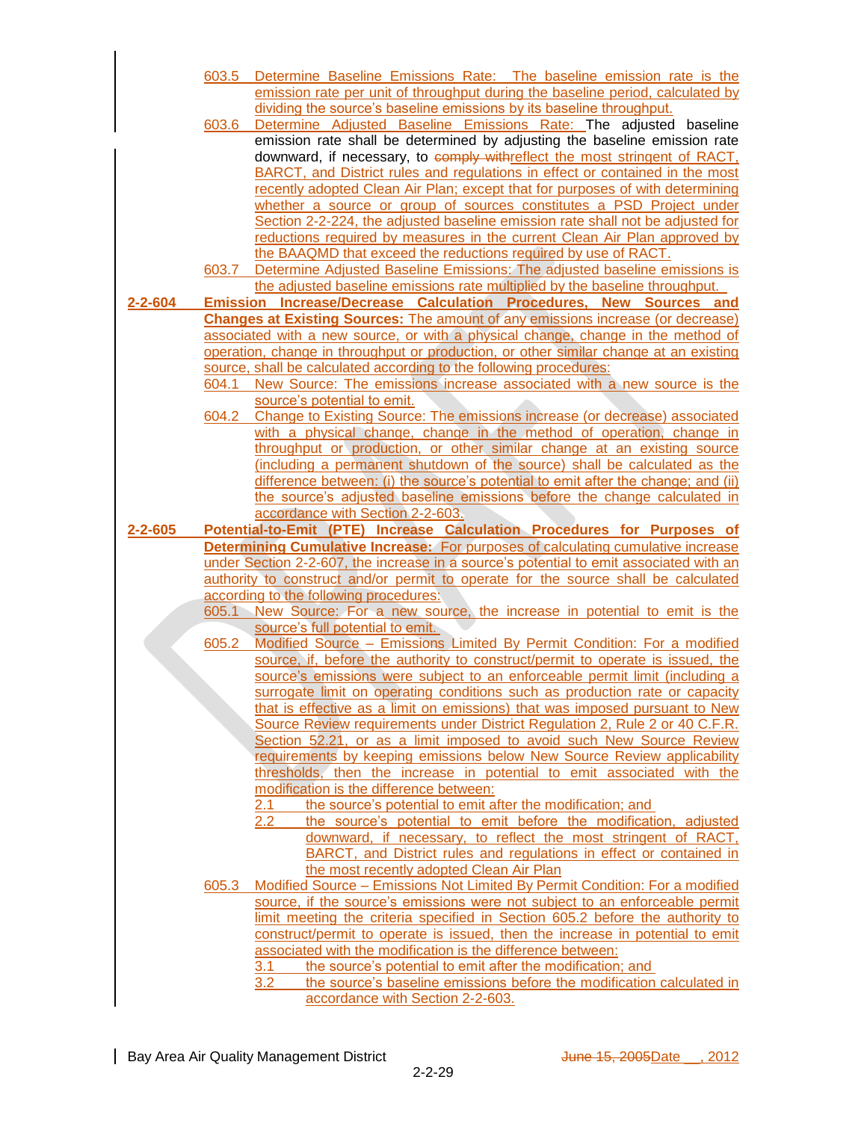|               | 603.5 | Determine Baseline Emissions Rate: The baseline emission rate is the                                                                         |
|---------------|-------|----------------------------------------------------------------------------------------------------------------------------------------------|
|               |       | emission rate per unit of throughput during the baseline period, calculated by                                                               |
|               |       | dividing the source's baseline emissions by its baseline throughput.                                                                         |
|               | 603.6 | Determine Adjusted Baseline Emissions Rate: The adjusted baseline                                                                            |
|               |       | emission rate shall be determined by adjusting the baseline emission rate                                                                    |
|               |       | downward, if necessary, to comply withreflect the most stringent of RACT,                                                                    |
|               |       | BARCT, and District rules and regulations in effect or contained in the most                                                                 |
|               |       | recently adopted Clean Air Plan; except that for purposes of with determining                                                                |
|               |       | whether a source or group of sources constitutes a PSD Project under                                                                         |
|               |       | Section 2-2-224, the adjusted baseline emission rate shall not be adjusted for                                                               |
|               |       | reductions required by measures in the current Clean Air Plan approved by<br>the BAAQMD that exceed the reductions required by use of RACT.  |
|               | 603.7 | Determine Adjusted Baseline Emissions: The adjusted baseline emissions is                                                                    |
|               |       | the adjusted baseline emissions rate multiplied by the baseline throughput.                                                                  |
| $2 - 2 - 604$ |       | Emission Increase/Decrease Calculation Procedures, New Sources and                                                                           |
|               |       | <b>Changes at Existing Sources:</b> The amount of any emissions increase (or decrease)                                                       |
|               |       | associated with a new source, or with a physical change, change in the method of                                                             |
|               |       | operation, change in throughput or production, or other similar change at an existing                                                        |
|               |       | source, shall be calculated according to the following procedures:                                                                           |
|               | 604.1 | New Source: The emissions increase associated with a new source is the                                                                       |
|               |       | source's potential to emit.                                                                                                                  |
|               | 604.2 | Change to Existing Source: The emissions increase (or decrease) associated                                                                   |
|               |       | with a physical change, change in the method of operation, change in                                                                         |
|               |       | throughput or production, or other similar change at an existing source                                                                      |
|               |       | (including a permanent shutdown of the source) shall be calculated as the                                                                    |
|               |       | difference between: (i) the source's potential to emit after the change; and (ii)                                                            |
|               |       | the source's adjusted baseline emissions before the change calculated in<br>accordance with Section 2-2-603.                                 |
|               |       |                                                                                                                                              |
|               |       |                                                                                                                                              |
| $2 - 2 - 605$ |       | Potential-to-Emit (PTE) Increase Calculation Procedures for Purposes of                                                                      |
|               |       | <b>Determining Cumulative Increase:</b> For purposes of calculating cumulative increase                                                      |
|               |       | under Section 2-2-607, the increase in a source's potential to emit associated with an                                                       |
|               |       | authority to construct and/or permit to operate for the source shall be calculated<br>according to the following procedures:                 |
|               |       | 605.1 New Source: For a new source, the increase in potential to emit is the                                                                 |
|               |       | source's full potential to emit.                                                                                                             |
|               | 605.2 | Modified Source - Emissions Limited By Permit Condition: For a modified                                                                      |
|               |       | source, if, before the authority to construct/permit to operate is issued, the                                                               |
|               |       | source's emissions were subject to an enforceable permit limit (including a                                                                  |
|               |       | surrogate limit on operating conditions such as production rate or capacity                                                                  |
|               |       | that is effective as a limit on emissions) that was imposed pursuant to New                                                                  |
|               |       | Source Review requirements under District Regulation 2, Rule 2 or 40 C.F.R.                                                                  |
|               |       | Section 52.21, or as a limit imposed to avoid such New Source Review                                                                         |
|               |       | requirements by keeping emissions below New Source Review applicability                                                                      |
|               |       | thresholds, then the increase in potential to emit associated with the<br>modification is the difference between:                            |
|               |       | the source's potential to emit after the modification; and<br><u>2.1 </u>                                                                    |
|               |       | the source's potential to emit before the modification, adjusted<br>$2.2\,$                                                                  |
|               |       | downward, if necessary, to reflect the most stringent of RACT,                                                                               |
|               |       | BARCT, and District rules and regulations in effect or contained in                                                                          |
|               |       | the most recently adopted Clean Air Plan                                                                                                     |
|               | 605.3 | Modified Source - Emissions Not Limited By Permit Condition: For a modified                                                                  |
|               |       | source, if the source's emissions were not subject to an enforceable permit                                                                  |
|               |       | limit meeting the criteria specified in Section 605.2 before the authority to                                                                |
|               |       | construct/permit to operate is issued, then the increase in potential to emit<br>associated with the modification is the difference between: |
|               |       | the source's potential to emit after the modification; and<br>3.1                                                                            |
|               |       | the source's baseline emissions before the modification calculated in<br>3.2<br>accordance with Section 2-2-603.                             |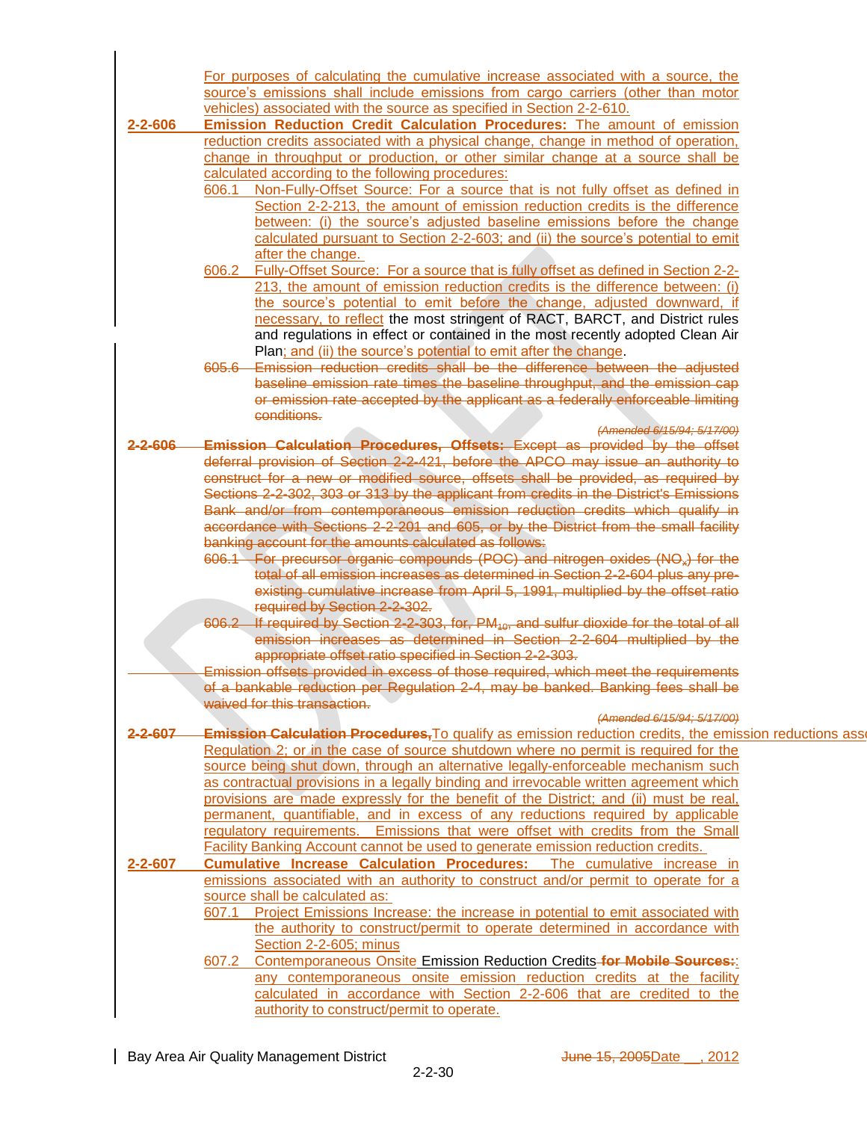|               | For purposes of calculating the cumulative increase associated with a source, the                                                                                            |  |  |
|---------------|------------------------------------------------------------------------------------------------------------------------------------------------------------------------------|--|--|
|               | source's emissions shall include emissions from cargo carriers (other than motor                                                                                             |  |  |
|               | vehicles) associated with the source as specified in Section 2-2-610.                                                                                                        |  |  |
| $2 - 2 - 606$ | Emission Reduction Credit Calculation Procedures: The amount of emission                                                                                                     |  |  |
|               | reduction credits associated with a physical change, change in method of operation,                                                                                          |  |  |
|               | change in throughput or production, or other similar change at a source shall be                                                                                             |  |  |
|               | calculated according to the following procedures:                                                                                                                            |  |  |
|               | 606.1 Non-Fully-Offset Source: For a source that is not fully offset as defined in                                                                                           |  |  |
|               | Section 2-2-213, the amount of emission reduction credits is the difference                                                                                                  |  |  |
|               | between: (i) the source's adjusted baseline emissions before the change                                                                                                      |  |  |
|               | calculated pursuant to Section 2-2-603; and (ii) the source's potential to emit                                                                                              |  |  |
|               | after the change.                                                                                                                                                            |  |  |
|               | 606.2 Fully-Offset Source: For a source that is fully offset as defined in Section 2-2-                                                                                      |  |  |
|               | 213, the amount of emission reduction credits is the difference between: (i)                                                                                                 |  |  |
|               | the source's potential to emit before the change, adjusted downward, if                                                                                                      |  |  |
|               |                                                                                                                                                                              |  |  |
|               | necessary, to reflect the most stringent of RACT, BARCT, and District rules                                                                                                  |  |  |
|               | and regulations in effect or contained in the most recently adopted Clean Air                                                                                                |  |  |
|               | Plan; and (ii) the source's potential to emit after the change.                                                                                                              |  |  |
|               | 605.6 Emission reduction credits shall be the difference between the adjusted                                                                                                |  |  |
|               | baseline emission rate times the baseline throughput, and the emission caper of passion rate accepted by the applicant as a federally enforceable limiting                   |  |  |
|               |                                                                                                                                                                              |  |  |
|               | conditions.                                                                                                                                                                  |  |  |
|               | (Amended 6/15/94; 5/17/00)                                                                                                                                                   |  |  |
| $2 - 2 - 606$ | <b>Emission Calculation Procedures, Offsets: Except as provided by the offset</b>                                                                                            |  |  |
|               | deferral provision of Section 2-2-421, before the APCO may issue an authority to                                                                                             |  |  |
|               |                                                                                                                                                                              |  |  |
|               | construct for a new or modified source, offsets shall be provided, as required by<br>Sections 2-2-302, 303 or 313 by the applicant from credits in the District's Emissions  |  |  |
|               | Bank and/or from contemporaneous emission reduction credits which qualify in                                                                                                 |  |  |
|               | accordance with Sections 2-2-201 and 605, or by the District from the small facility                                                                                         |  |  |
|               | banking account for the amounts calculated as follows                                                                                                                        |  |  |
|               | 606.1 For precursor organic compounds (POC) and nitrogen oxides (NO <sub>x</sub> ) for the<br>total of all emission increases as determined in Section 2-2-604 plus any pre- |  |  |
|               |                                                                                                                                                                              |  |  |
|               | existing cumulative increase from April 5, 1991, multiplied by the offset ratio                                                                                              |  |  |
|               | required by Section 2-2-302.                                                                                                                                                 |  |  |
|               | 606.2 If required by Section 2-2-303, for, PM <sub>10</sub> , and sulfur dioxide for the total of all                                                                        |  |  |
|               |                                                                                                                                                                              |  |  |
|               | emission increases as determined in Section 2-2-604 multiplied by the appropriate offset ratio specified in Section 2-2-303.                                                 |  |  |
|               | Fmission offsets provided in excess of those required, which meet the requirements                                                                                           |  |  |
|               | of a bankable reduction per Regulation 2-4, may be banked. Banking fees shall be                                                                                             |  |  |
|               | $\sim$ $\sim$                                                                                                                                                                |  |  |
|               | waived for this transaction.                                                                                                                                                 |  |  |
|               | (Amended 6/15/94; 5/17/00)                                                                                                                                                   |  |  |
|               | 2-2-607 Emission Calculation Procedures. To qualify as emission reduction credits, the emission reductions asset                                                             |  |  |
|               | Regulation 2; or in the case of source shutdown where no permit is required for the                                                                                          |  |  |
|               | source being shut down, through an alternative legally-enforceable mechanism such                                                                                            |  |  |
|               | as contractual provisions in a legally binding and irrevocable written agreement which                                                                                       |  |  |
|               | provisions are made expressly for the benefit of the District; and (ii) must be real,                                                                                        |  |  |
|               | permanent, quantifiable, and in excess of any reductions required by applicable                                                                                              |  |  |
|               | regulatory requirements. Emissions that were offset with credits from the Small                                                                                              |  |  |
|               | Facility Banking Account cannot be used to generate emission reduction credits.                                                                                              |  |  |
| 2-2-607       | Cumulative <b>Increase Calculation Procedures:</b> The cumulative increase in                                                                                                |  |  |
|               | emissions associated with an authority to construct and/or permit to operate for a                                                                                           |  |  |
|               | source shall be calculated as:                                                                                                                                               |  |  |
|               | 607.1 Project Emissions Increase: the increase in potential to emit associated with                                                                                          |  |  |
|               | the authority to construct/permit to operate determined in accordance with                                                                                                   |  |  |
|               | Section 2-2-605; minus                                                                                                                                                       |  |  |
|               | 607.2 Contemporaneous Onsite Emission Reduction Credits-for Mobile Sources:                                                                                                  |  |  |
|               |                                                                                                                                                                              |  |  |
|               | any contemporaneous onsite emission reduction credits at the facility                                                                                                        |  |  |
|               | calculated in accordance with Section 2-2-606 that are credited to the                                                                                                       |  |  |
|               | authority to construct/permit to operate.                                                                                                                                    |  |  |
|               |                                                                                                                                                                              |  |  |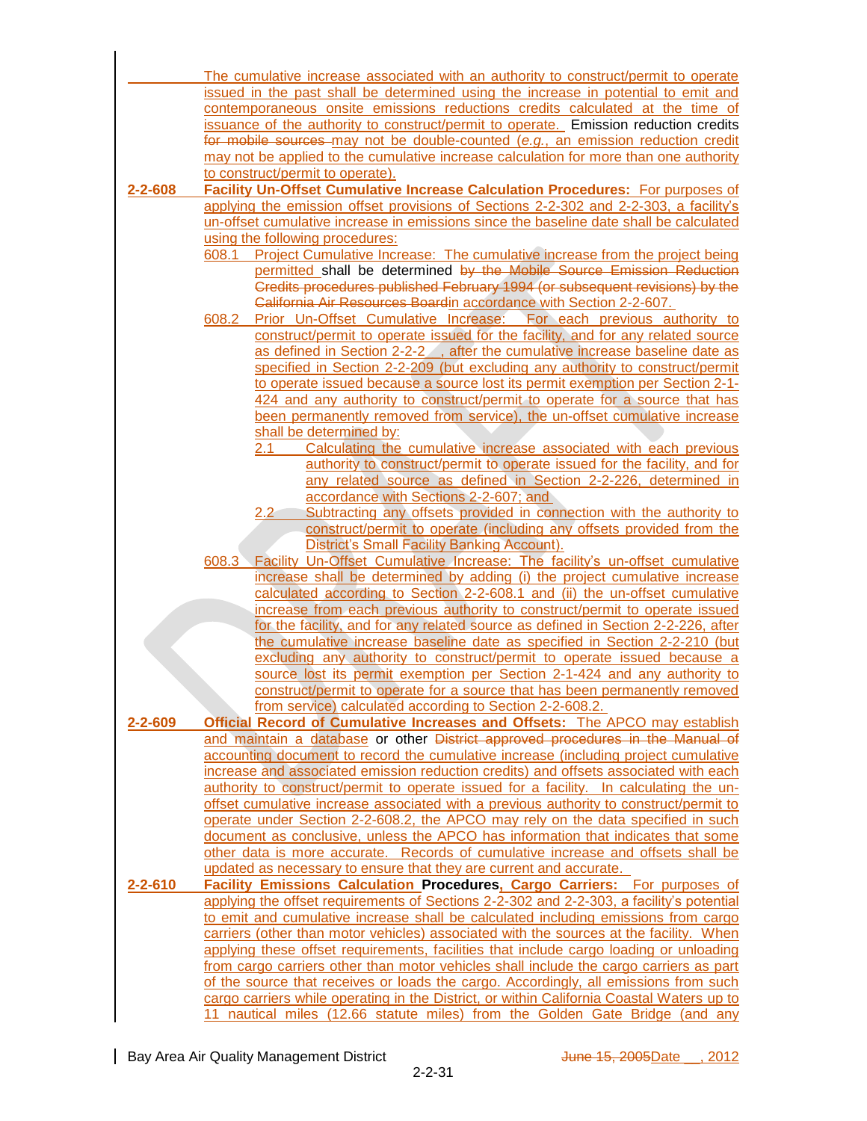| issued in the past shall be determined using the increase in potential to emit and<br>contemporaneous onsite emissions reductions credits calculated at the time of<br>issuance of the authority to construct/permit to operate. Emission reduction credits<br>for mobile sources may not be double-counted (e.g., an emission reduction credit<br>may not be applied to the cumulative increase calculation for more than one authority<br>to construct/permit to operate).<br>Facility Un-Offset Cumulative Increase Calculation Procedures: For purposes of<br>$2 - 2 - 608$<br>applying the emission offset provisions of Sections 2-2-302 and 2-2-303, a facility's<br>un-offset cumulative increase in emissions since the baseline date shall be calculated<br>using the following procedures:<br>Project Cumulative Increase: The cumulative increase from the project being<br>608.1<br>permitted shall be determined by the Mobile Source Emission Reduction<br>Credits procedures published February 1994 (or subsequent revisions) by the<br>California Air Resources Boardin accordance with Section 2-2-607.<br>Prior Un-Offset Cumulative Increase: For each previous authority to<br>608.2<br>construct/permit to operate issued for the facility, and for any related source<br>as defined in Section 2-2-2 , after the cumulative increase baseline date as<br>specified in Section 2-2-209 (but excluding any authority to construct/permit<br>to operate issued because a source lost its permit exemption per Section 2-1-<br>424 and any authority to construct/permit to operate for a source that has<br>been permanently removed from service), the un-offset cumulative increase<br>shall be determined by:<br>2.1<br>Calculating the cumulative increase associated with each previous<br>authority to construct/permit to operate issued for the facility, and for<br>any related source as defined in Section 2-2-226, determined in<br>accordance with Sections 2-2-607; and<br>Subtracting any offsets provided in connection with the authority to<br>2.2<br>construct/permit to operate (including any offsets provided from the<br><b>District's Small Facility Banking Account).</b><br>Facility Un-Offset Cumulative Increase: The facility's un-offset cumulative<br>608.3<br>increase shall be determined by adding (i) the project cumulative increase<br>calculated according to Section 2-2-608.1 and (ii) the un-offset cumulative<br>increase from each previous authority to construct/permit to operate issued<br>for the facility, and for any related source as defined in Section 2-2-226, after<br>the cumulative increase baseline date as specified in Section 2-2-210 (but<br>excluding any authority to construct/permit to operate issued because a<br>source lost its permit exemption per Section 2-1-424 and any authority to<br>construct/permit to operate for a source that has been permanently removed<br>from service) calculated according to Section 2-2-608.2.<br>Official Record of Cumulative Increases and Offsets: The APCO may establish<br>$2 - 2 - 609$<br>and maintain a database or other District approved procedures in the Manual of<br>accounting document to record the cumulative increase (including project cumulative<br>increase and associated emission reduction credits) and offsets associated with each<br>authority to construct/permit to operate issued for a facility. In calculating the un-<br>offset cumulative increase associated with a previous authority to construct/permit to<br>operate under Section 2-2-608.2, the APCO may rely on the data specified in such<br>document as conclusive, unless the APCO has information that indicates that some<br>other data is more accurate. Records of cumulative increase and offsets shall be<br>updated as necessary to ensure that they are current and accurate.<br>$2 - 2 - 610$<br>Facility Emissions Calculation Procedures, Cargo Carriers: For purposes of<br>applying the offset requirements of Sections 2-2-302 and 2-2-303, a facility's potential<br>to emit and cumulative increase shall be calculated including emissions from cargo<br>carriers (other than motor vehicles) associated with the sources at the facility. When<br>applying these offset requirements, facilities that include cargo loading or unloading<br>from cargo carriers other than motor vehicles shall include the cargo carriers as part<br>of the source that receives or loads the cargo. Accordingly, all emissions from such<br>cargo carriers while operating in the District, or within California Coastal Waters up to |  | The cumulative increase associated with an authority to construct/permit to operate |  |  |  |
|-----------------------------------------------------------------------------------------------------------------------------------------------------------------------------------------------------------------------------------------------------------------------------------------------------------------------------------------------------------------------------------------------------------------------------------------------------------------------------------------------------------------------------------------------------------------------------------------------------------------------------------------------------------------------------------------------------------------------------------------------------------------------------------------------------------------------------------------------------------------------------------------------------------------------------------------------------------------------------------------------------------------------------------------------------------------------------------------------------------------------------------------------------------------------------------------------------------------------------------------------------------------------------------------------------------------------------------------------------------------------------------------------------------------------------------------------------------------------------------------------------------------------------------------------------------------------------------------------------------------------------------------------------------------------------------------------------------------------------------------------------------------------------------------------------------------------------------------------------------------------------------------------------------------------------------------------------------------------------------------------------------------------------------------------------------------------------------------------------------------------------------------------------------------------------------------------------------------------------------------------------------------------------------------------------------------------------------------------------------------------------------------------------------------------------------------------------------------------------------------------------------------------------------------------------------------------------------------------------------------------------------------------------------------------------------------------------------------------------------------------------------------------------------------------------------------------------------------------------------------------------------------------------------------------------------------------------------------------------------------------------------------------------------------------------------------------------------------------------------------------------------------------------------------------------------------------------------------------------------------------------------------------------------------------------------------------------------------------------------------------------------------------------------------------------------------------------------------------------------------------------------------------------------------------------------------------------------------------------------------------------------------------------------------------------------------------------------------------------------------------------------------------------------------------------------------------------------------------------------------------------------------------------------------------------------------------------------------------------------------------------------------------------------------------------------------------------------------------------------------------------------------------------------------------------------------------------------------------------------------------------------------------------------------------------------------------------------------------------------------------------------------------------------------------------------------------------------------------------------------------------------------------------------------------------------------------------------------------------------------------------------------------------------------------------|--|-------------------------------------------------------------------------------------|--|--|--|
|                                                                                                                                                                                                                                                                                                                                                                                                                                                                                                                                                                                                                                                                                                                                                                                                                                                                                                                                                                                                                                                                                                                                                                                                                                                                                                                                                                                                                                                                                                                                                                                                                                                                                                                                                                                                                                                                                                                                                                                                                                                                                                                                                                                                                                                                                                                                                                                                                                                                                                                                                                                                                                                                                                                                                                                                                                                                                                                                                                                                                                                                                                                                                                                                                                                                                                                                                                                                                                                                                                                                                                                                                                                                                                                                                                                                                                                                                                                                                                                                                                                                                                                                                                                                                                                                                                                                                                                                                                                                                                                                                                                                                                                                             |  |                                                                                     |  |  |  |
|                                                                                                                                                                                                                                                                                                                                                                                                                                                                                                                                                                                                                                                                                                                                                                                                                                                                                                                                                                                                                                                                                                                                                                                                                                                                                                                                                                                                                                                                                                                                                                                                                                                                                                                                                                                                                                                                                                                                                                                                                                                                                                                                                                                                                                                                                                                                                                                                                                                                                                                                                                                                                                                                                                                                                                                                                                                                                                                                                                                                                                                                                                                                                                                                                                                                                                                                                                                                                                                                                                                                                                                                                                                                                                                                                                                                                                                                                                                                                                                                                                                                                                                                                                                                                                                                                                                                                                                                                                                                                                                                                                                                                                                                             |  |                                                                                     |  |  |  |
|                                                                                                                                                                                                                                                                                                                                                                                                                                                                                                                                                                                                                                                                                                                                                                                                                                                                                                                                                                                                                                                                                                                                                                                                                                                                                                                                                                                                                                                                                                                                                                                                                                                                                                                                                                                                                                                                                                                                                                                                                                                                                                                                                                                                                                                                                                                                                                                                                                                                                                                                                                                                                                                                                                                                                                                                                                                                                                                                                                                                                                                                                                                                                                                                                                                                                                                                                                                                                                                                                                                                                                                                                                                                                                                                                                                                                                                                                                                                                                                                                                                                                                                                                                                                                                                                                                                                                                                                                                                                                                                                                                                                                                                                             |  |                                                                                     |  |  |  |
|                                                                                                                                                                                                                                                                                                                                                                                                                                                                                                                                                                                                                                                                                                                                                                                                                                                                                                                                                                                                                                                                                                                                                                                                                                                                                                                                                                                                                                                                                                                                                                                                                                                                                                                                                                                                                                                                                                                                                                                                                                                                                                                                                                                                                                                                                                                                                                                                                                                                                                                                                                                                                                                                                                                                                                                                                                                                                                                                                                                                                                                                                                                                                                                                                                                                                                                                                                                                                                                                                                                                                                                                                                                                                                                                                                                                                                                                                                                                                                                                                                                                                                                                                                                                                                                                                                                                                                                                                                                                                                                                                                                                                                                                             |  |                                                                                     |  |  |  |
|                                                                                                                                                                                                                                                                                                                                                                                                                                                                                                                                                                                                                                                                                                                                                                                                                                                                                                                                                                                                                                                                                                                                                                                                                                                                                                                                                                                                                                                                                                                                                                                                                                                                                                                                                                                                                                                                                                                                                                                                                                                                                                                                                                                                                                                                                                                                                                                                                                                                                                                                                                                                                                                                                                                                                                                                                                                                                                                                                                                                                                                                                                                                                                                                                                                                                                                                                                                                                                                                                                                                                                                                                                                                                                                                                                                                                                                                                                                                                                                                                                                                                                                                                                                                                                                                                                                                                                                                                                                                                                                                                                                                                                                                             |  |                                                                                     |  |  |  |
|                                                                                                                                                                                                                                                                                                                                                                                                                                                                                                                                                                                                                                                                                                                                                                                                                                                                                                                                                                                                                                                                                                                                                                                                                                                                                                                                                                                                                                                                                                                                                                                                                                                                                                                                                                                                                                                                                                                                                                                                                                                                                                                                                                                                                                                                                                                                                                                                                                                                                                                                                                                                                                                                                                                                                                                                                                                                                                                                                                                                                                                                                                                                                                                                                                                                                                                                                                                                                                                                                                                                                                                                                                                                                                                                                                                                                                                                                                                                                                                                                                                                                                                                                                                                                                                                                                                                                                                                                                                                                                                                                                                                                                                                             |  |                                                                                     |  |  |  |
|                                                                                                                                                                                                                                                                                                                                                                                                                                                                                                                                                                                                                                                                                                                                                                                                                                                                                                                                                                                                                                                                                                                                                                                                                                                                                                                                                                                                                                                                                                                                                                                                                                                                                                                                                                                                                                                                                                                                                                                                                                                                                                                                                                                                                                                                                                                                                                                                                                                                                                                                                                                                                                                                                                                                                                                                                                                                                                                                                                                                                                                                                                                                                                                                                                                                                                                                                                                                                                                                                                                                                                                                                                                                                                                                                                                                                                                                                                                                                                                                                                                                                                                                                                                                                                                                                                                                                                                                                                                                                                                                                                                                                                                                             |  |                                                                                     |  |  |  |
|                                                                                                                                                                                                                                                                                                                                                                                                                                                                                                                                                                                                                                                                                                                                                                                                                                                                                                                                                                                                                                                                                                                                                                                                                                                                                                                                                                                                                                                                                                                                                                                                                                                                                                                                                                                                                                                                                                                                                                                                                                                                                                                                                                                                                                                                                                                                                                                                                                                                                                                                                                                                                                                                                                                                                                                                                                                                                                                                                                                                                                                                                                                                                                                                                                                                                                                                                                                                                                                                                                                                                                                                                                                                                                                                                                                                                                                                                                                                                                                                                                                                                                                                                                                                                                                                                                                                                                                                                                                                                                                                                                                                                                                                             |  |                                                                                     |  |  |  |
|                                                                                                                                                                                                                                                                                                                                                                                                                                                                                                                                                                                                                                                                                                                                                                                                                                                                                                                                                                                                                                                                                                                                                                                                                                                                                                                                                                                                                                                                                                                                                                                                                                                                                                                                                                                                                                                                                                                                                                                                                                                                                                                                                                                                                                                                                                                                                                                                                                                                                                                                                                                                                                                                                                                                                                                                                                                                                                                                                                                                                                                                                                                                                                                                                                                                                                                                                                                                                                                                                                                                                                                                                                                                                                                                                                                                                                                                                                                                                                                                                                                                                                                                                                                                                                                                                                                                                                                                                                                                                                                                                                                                                                                                             |  |                                                                                     |  |  |  |
|                                                                                                                                                                                                                                                                                                                                                                                                                                                                                                                                                                                                                                                                                                                                                                                                                                                                                                                                                                                                                                                                                                                                                                                                                                                                                                                                                                                                                                                                                                                                                                                                                                                                                                                                                                                                                                                                                                                                                                                                                                                                                                                                                                                                                                                                                                                                                                                                                                                                                                                                                                                                                                                                                                                                                                                                                                                                                                                                                                                                                                                                                                                                                                                                                                                                                                                                                                                                                                                                                                                                                                                                                                                                                                                                                                                                                                                                                                                                                                                                                                                                                                                                                                                                                                                                                                                                                                                                                                                                                                                                                                                                                                                                             |  |                                                                                     |  |  |  |
|                                                                                                                                                                                                                                                                                                                                                                                                                                                                                                                                                                                                                                                                                                                                                                                                                                                                                                                                                                                                                                                                                                                                                                                                                                                                                                                                                                                                                                                                                                                                                                                                                                                                                                                                                                                                                                                                                                                                                                                                                                                                                                                                                                                                                                                                                                                                                                                                                                                                                                                                                                                                                                                                                                                                                                                                                                                                                                                                                                                                                                                                                                                                                                                                                                                                                                                                                                                                                                                                                                                                                                                                                                                                                                                                                                                                                                                                                                                                                                                                                                                                                                                                                                                                                                                                                                                                                                                                                                                                                                                                                                                                                                                                             |  |                                                                                     |  |  |  |
|                                                                                                                                                                                                                                                                                                                                                                                                                                                                                                                                                                                                                                                                                                                                                                                                                                                                                                                                                                                                                                                                                                                                                                                                                                                                                                                                                                                                                                                                                                                                                                                                                                                                                                                                                                                                                                                                                                                                                                                                                                                                                                                                                                                                                                                                                                                                                                                                                                                                                                                                                                                                                                                                                                                                                                                                                                                                                                                                                                                                                                                                                                                                                                                                                                                                                                                                                                                                                                                                                                                                                                                                                                                                                                                                                                                                                                                                                                                                                                                                                                                                                                                                                                                                                                                                                                                                                                                                                                                                                                                                                                                                                                                                             |  |                                                                                     |  |  |  |
|                                                                                                                                                                                                                                                                                                                                                                                                                                                                                                                                                                                                                                                                                                                                                                                                                                                                                                                                                                                                                                                                                                                                                                                                                                                                                                                                                                                                                                                                                                                                                                                                                                                                                                                                                                                                                                                                                                                                                                                                                                                                                                                                                                                                                                                                                                                                                                                                                                                                                                                                                                                                                                                                                                                                                                                                                                                                                                                                                                                                                                                                                                                                                                                                                                                                                                                                                                                                                                                                                                                                                                                                                                                                                                                                                                                                                                                                                                                                                                                                                                                                                                                                                                                                                                                                                                                                                                                                                                                                                                                                                                                                                                                                             |  |                                                                                     |  |  |  |
|                                                                                                                                                                                                                                                                                                                                                                                                                                                                                                                                                                                                                                                                                                                                                                                                                                                                                                                                                                                                                                                                                                                                                                                                                                                                                                                                                                                                                                                                                                                                                                                                                                                                                                                                                                                                                                                                                                                                                                                                                                                                                                                                                                                                                                                                                                                                                                                                                                                                                                                                                                                                                                                                                                                                                                                                                                                                                                                                                                                                                                                                                                                                                                                                                                                                                                                                                                                                                                                                                                                                                                                                                                                                                                                                                                                                                                                                                                                                                                                                                                                                                                                                                                                                                                                                                                                                                                                                                                                                                                                                                                                                                                                                             |  |                                                                                     |  |  |  |
|                                                                                                                                                                                                                                                                                                                                                                                                                                                                                                                                                                                                                                                                                                                                                                                                                                                                                                                                                                                                                                                                                                                                                                                                                                                                                                                                                                                                                                                                                                                                                                                                                                                                                                                                                                                                                                                                                                                                                                                                                                                                                                                                                                                                                                                                                                                                                                                                                                                                                                                                                                                                                                                                                                                                                                                                                                                                                                                                                                                                                                                                                                                                                                                                                                                                                                                                                                                                                                                                                                                                                                                                                                                                                                                                                                                                                                                                                                                                                                                                                                                                                                                                                                                                                                                                                                                                                                                                                                                                                                                                                                                                                                                                             |  |                                                                                     |  |  |  |
|                                                                                                                                                                                                                                                                                                                                                                                                                                                                                                                                                                                                                                                                                                                                                                                                                                                                                                                                                                                                                                                                                                                                                                                                                                                                                                                                                                                                                                                                                                                                                                                                                                                                                                                                                                                                                                                                                                                                                                                                                                                                                                                                                                                                                                                                                                                                                                                                                                                                                                                                                                                                                                                                                                                                                                                                                                                                                                                                                                                                                                                                                                                                                                                                                                                                                                                                                                                                                                                                                                                                                                                                                                                                                                                                                                                                                                                                                                                                                                                                                                                                                                                                                                                                                                                                                                                                                                                                                                                                                                                                                                                                                                                                             |  |                                                                                     |  |  |  |
|                                                                                                                                                                                                                                                                                                                                                                                                                                                                                                                                                                                                                                                                                                                                                                                                                                                                                                                                                                                                                                                                                                                                                                                                                                                                                                                                                                                                                                                                                                                                                                                                                                                                                                                                                                                                                                                                                                                                                                                                                                                                                                                                                                                                                                                                                                                                                                                                                                                                                                                                                                                                                                                                                                                                                                                                                                                                                                                                                                                                                                                                                                                                                                                                                                                                                                                                                                                                                                                                                                                                                                                                                                                                                                                                                                                                                                                                                                                                                                                                                                                                                                                                                                                                                                                                                                                                                                                                                                                                                                                                                                                                                                                                             |  |                                                                                     |  |  |  |
|                                                                                                                                                                                                                                                                                                                                                                                                                                                                                                                                                                                                                                                                                                                                                                                                                                                                                                                                                                                                                                                                                                                                                                                                                                                                                                                                                                                                                                                                                                                                                                                                                                                                                                                                                                                                                                                                                                                                                                                                                                                                                                                                                                                                                                                                                                                                                                                                                                                                                                                                                                                                                                                                                                                                                                                                                                                                                                                                                                                                                                                                                                                                                                                                                                                                                                                                                                                                                                                                                                                                                                                                                                                                                                                                                                                                                                                                                                                                                                                                                                                                                                                                                                                                                                                                                                                                                                                                                                                                                                                                                                                                                                                                             |  |                                                                                     |  |  |  |
|                                                                                                                                                                                                                                                                                                                                                                                                                                                                                                                                                                                                                                                                                                                                                                                                                                                                                                                                                                                                                                                                                                                                                                                                                                                                                                                                                                                                                                                                                                                                                                                                                                                                                                                                                                                                                                                                                                                                                                                                                                                                                                                                                                                                                                                                                                                                                                                                                                                                                                                                                                                                                                                                                                                                                                                                                                                                                                                                                                                                                                                                                                                                                                                                                                                                                                                                                                                                                                                                                                                                                                                                                                                                                                                                                                                                                                                                                                                                                                                                                                                                                                                                                                                                                                                                                                                                                                                                                                                                                                                                                                                                                                                                             |  |                                                                                     |  |  |  |
|                                                                                                                                                                                                                                                                                                                                                                                                                                                                                                                                                                                                                                                                                                                                                                                                                                                                                                                                                                                                                                                                                                                                                                                                                                                                                                                                                                                                                                                                                                                                                                                                                                                                                                                                                                                                                                                                                                                                                                                                                                                                                                                                                                                                                                                                                                                                                                                                                                                                                                                                                                                                                                                                                                                                                                                                                                                                                                                                                                                                                                                                                                                                                                                                                                                                                                                                                                                                                                                                                                                                                                                                                                                                                                                                                                                                                                                                                                                                                                                                                                                                                                                                                                                                                                                                                                                                                                                                                                                                                                                                                                                                                                                                             |  |                                                                                     |  |  |  |
|                                                                                                                                                                                                                                                                                                                                                                                                                                                                                                                                                                                                                                                                                                                                                                                                                                                                                                                                                                                                                                                                                                                                                                                                                                                                                                                                                                                                                                                                                                                                                                                                                                                                                                                                                                                                                                                                                                                                                                                                                                                                                                                                                                                                                                                                                                                                                                                                                                                                                                                                                                                                                                                                                                                                                                                                                                                                                                                                                                                                                                                                                                                                                                                                                                                                                                                                                                                                                                                                                                                                                                                                                                                                                                                                                                                                                                                                                                                                                                                                                                                                                                                                                                                                                                                                                                                                                                                                                                                                                                                                                                                                                                                                             |  |                                                                                     |  |  |  |
|                                                                                                                                                                                                                                                                                                                                                                                                                                                                                                                                                                                                                                                                                                                                                                                                                                                                                                                                                                                                                                                                                                                                                                                                                                                                                                                                                                                                                                                                                                                                                                                                                                                                                                                                                                                                                                                                                                                                                                                                                                                                                                                                                                                                                                                                                                                                                                                                                                                                                                                                                                                                                                                                                                                                                                                                                                                                                                                                                                                                                                                                                                                                                                                                                                                                                                                                                                                                                                                                                                                                                                                                                                                                                                                                                                                                                                                                                                                                                                                                                                                                                                                                                                                                                                                                                                                                                                                                                                                                                                                                                                                                                                                                             |  |                                                                                     |  |  |  |
|                                                                                                                                                                                                                                                                                                                                                                                                                                                                                                                                                                                                                                                                                                                                                                                                                                                                                                                                                                                                                                                                                                                                                                                                                                                                                                                                                                                                                                                                                                                                                                                                                                                                                                                                                                                                                                                                                                                                                                                                                                                                                                                                                                                                                                                                                                                                                                                                                                                                                                                                                                                                                                                                                                                                                                                                                                                                                                                                                                                                                                                                                                                                                                                                                                                                                                                                                                                                                                                                                                                                                                                                                                                                                                                                                                                                                                                                                                                                                                                                                                                                                                                                                                                                                                                                                                                                                                                                                                                                                                                                                                                                                                                                             |  |                                                                                     |  |  |  |
|                                                                                                                                                                                                                                                                                                                                                                                                                                                                                                                                                                                                                                                                                                                                                                                                                                                                                                                                                                                                                                                                                                                                                                                                                                                                                                                                                                                                                                                                                                                                                                                                                                                                                                                                                                                                                                                                                                                                                                                                                                                                                                                                                                                                                                                                                                                                                                                                                                                                                                                                                                                                                                                                                                                                                                                                                                                                                                                                                                                                                                                                                                                                                                                                                                                                                                                                                                                                                                                                                                                                                                                                                                                                                                                                                                                                                                                                                                                                                                                                                                                                                                                                                                                                                                                                                                                                                                                                                                                                                                                                                                                                                                                                             |  |                                                                                     |  |  |  |
|                                                                                                                                                                                                                                                                                                                                                                                                                                                                                                                                                                                                                                                                                                                                                                                                                                                                                                                                                                                                                                                                                                                                                                                                                                                                                                                                                                                                                                                                                                                                                                                                                                                                                                                                                                                                                                                                                                                                                                                                                                                                                                                                                                                                                                                                                                                                                                                                                                                                                                                                                                                                                                                                                                                                                                                                                                                                                                                                                                                                                                                                                                                                                                                                                                                                                                                                                                                                                                                                                                                                                                                                                                                                                                                                                                                                                                                                                                                                                                                                                                                                                                                                                                                                                                                                                                                                                                                                                                                                                                                                                                                                                                                                             |  |                                                                                     |  |  |  |
|                                                                                                                                                                                                                                                                                                                                                                                                                                                                                                                                                                                                                                                                                                                                                                                                                                                                                                                                                                                                                                                                                                                                                                                                                                                                                                                                                                                                                                                                                                                                                                                                                                                                                                                                                                                                                                                                                                                                                                                                                                                                                                                                                                                                                                                                                                                                                                                                                                                                                                                                                                                                                                                                                                                                                                                                                                                                                                                                                                                                                                                                                                                                                                                                                                                                                                                                                                                                                                                                                                                                                                                                                                                                                                                                                                                                                                                                                                                                                                                                                                                                                                                                                                                                                                                                                                                                                                                                                                                                                                                                                                                                                                                                             |  |                                                                                     |  |  |  |
|                                                                                                                                                                                                                                                                                                                                                                                                                                                                                                                                                                                                                                                                                                                                                                                                                                                                                                                                                                                                                                                                                                                                                                                                                                                                                                                                                                                                                                                                                                                                                                                                                                                                                                                                                                                                                                                                                                                                                                                                                                                                                                                                                                                                                                                                                                                                                                                                                                                                                                                                                                                                                                                                                                                                                                                                                                                                                                                                                                                                                                                                                                                                                                                                                                                                                                                                                                                                                                                                                                                                                                                                                                                                                                                                                                                                                                                                                                                                                                                                                                                                                                                                                                                                                                                                                                                                                                                                                                                                                                                                                                                                                                                                             |  |                                                                                     |  |  |  |
|                                                                                                                                                                                                                                                                                                                                                                                                                                                                                                                                                                                                                                                                                                                                                                                                                                                                                                                                                                                                                                                                                                                                                                                                                                                                                                                                                                                                                                                                                                                                                                                                                                                                                                                                                                                                                                                                                                                                                                                                                                                                                                                                                                                                                                                                                                                                                                                                                                                                                                                                                                                                                                                                                                                                                                                                                                                                                                                                                                                                                                                                                                                                                                                                                                                                                                                                                                                                                                                                                                                                                                                                                                                                                                                                                                                                                                                                                                                                                                                                                                                                                                                                                                                                                                                                                                                                                                                                                                                                                                                                                                                                                                                                             |  |                                                                                     |  |  |  |
|                                                                                                                                                                                                                                                                                                                                                                                                                                                                                                                                                                                                                                                                                                                                                                                                                                                                                                                                                                                                                                                                                                                                                                                                                                                                                                                                                                                                                                                                                                                                                                                                                                                                                                                                                                                                                                                                                                                                                                                                                                                                                                                                                                                                                                                                                                                                                                                                                                                                                                                                                                                                                                                                                                                                                                                                                                                                                                                                                                                                                                                                                                                                                                                                                                                                                                                                                                                                                                                                                                                                                                                                                                                                                                                                                                                                                                                                                                                                                                                                                                                                                                                                                                                                                                                                                                                                                                                                                                                                                                                                                                                                                                                                             |  |                                                                                     |  |  |  |
|                                                                                                                                                                                                                                                                                                                                                                                                                                                                                                                                                                                                                                                                                                                                                                                                                                                                                                                                                                                                                                                                                                                                                                                                                                                                                                                                                                                                                                                                                                                                                                                                                                                                                                                                                                                                                                                                                                                                                                                                                                                                                                                                                                                                                                                                                                                                                                                                                                                                                                                                                                                                                                                                                                                                                                                                                                                                                                                                                                                                                                                                                                                                                                                                                                                                                                                                                                                                                                                                                                                                                                                                                                                                                                                                                                                                                                                                                                                                                                                                                                                                                                                                                                                                                                                                                                                                                                                                                                                                                                                                                                                                                                                                             |  |                                                                                     |  |  |  |
|                                                                                                                                                                                                                                                                                                                                                                                                                                                                                                                                                                                                                                                                                                                                                                                                                                                                                                                                                                                                                                                                                                                                                                                                                                                                                                                                                                                                                                                                                                                                                                                                                                                                                                                                                                                                                                                                                                                                                                                                                                                                                                                                                                                                                                                                                                                                                                                                                                                                                                                                                                                                                                                                                                                                                                                                                                                                                                                                                                                                                                                                                                                                                                                                                                                                                                                                                                                                                                                                                                                                                                                                                                                                                                                                                                                                                                                                                                                                                                                                                                                                                                                                                                                                                                                                                                                                                                                                                                                                                                                                                                                                                                                                             |  |                                                                                     |  |  |  |
|                                                                                                                                                                                                                                                                                                                                                                                                                                                                                                                                                                                                                                                                                                                                                                                                                                                                                                                                                                                                                                                                                                                                                                                                                                                                                                                                                                                                                                                                                                                                                                                                                                                                                                                                                                                                                                                                                                                                                                                                                                                                                                                                                                                                                                                                                                                                                                                                                                                                                                                                                                                                                                                                                                                                                                                                                                                                                                                                                                                                                                                                                                                                                                                                                                                                                                                                                                                                                                                                                                                                                                                                                                                                                                                                                                                                                                                                                                                                                                                                                                                                                                                                                                                                                                                                                                                                                                                                                                                                                                                                                                                                                                                                             |  |                                                                                     |  |  |  |
|                                                                                                                                                                                                                                                                                                                                                                                                                                                                                                                                                                                                                                                                                                                                                                                                                                                                                                                                                                                                                                                                                                                                                                                                                                                                                                                                                                                                                                                                                                                                                                                                                                                                                                                                                                                                                                                                                                                                                                                                                                                                                                                                                                                                                                                                                                                                                                                                                                                                                                                                                                                                                                                                                                                                                                                                                                                                                                                                                                                                                                                                                                                                                                                                                                                                                                                                                                                                                                                                                                                                                                                                                                                                                                                                                                                                                                                                                                                                                                                                                                                                                                                                                                                                                                                                                                                                                                                                                                                                                                                                                                                                                                                                             |  |                                                                                     |  |  |  |
|                                                                                                                                                                                                                                                                                                                                                                                                                                                                                                                                                                                                                                                                                                                                                                                                                                                                                                                                                                                                                                                                                                                                                                                                                                                                                                                                                                                                                                                                                                                                                                                                                                                                                                                                                                                                                                                                                                                                                                                                                                                                                                                                                                                                                                                                                                                                                                                                                                                                                                                                                                                                                                                                                                                                                                                                                                                                                                                                                                                                                                                                                                                                                                                                                                                                                                                                                                                                                                                                                                                                                                                                                                                                                                                                                                                                                                                                                                                                                                                                                                                                                                                                                                                                                                                                                                                                                                                                                                                                                                                                                                                                                                                                             |  |                                                                                     |  |  |  |
|                                                                                                                                                                                                                                                                                                                                                                                                                                                                                                                                                                                                                                                                                                                                                                                                                                                                                                                                                                                                                                                                                                                                                                                                                                                                                                                                                                                                                                                                                                                                                                                                                                                                                                                                                                                                                                                                                                                                                                                                                                                                                                                                                                                                                                                                                                                                                                                                                                                                                                                                                                                                                                                                                                                                                                                                                                                                                                                                                                                                                                                                                                                                                                                                                                                                                                                                                                                                                                                                                                                                                                                                                                                                                                                                                                                                                                                                                                                                                                                                                                                                                                                                                                                                                                                                                                                                                                                                                                                                                                                                                                                                                                                                             |  |                                                                                     |  |  |  |
|                                                                                                                                                                                                                                                                                                                                                                                                                                                                                                                                                                                                                                                                                                                                                                                                                                                                                                                                                                                                                                                                                                                                                                                                                                                                                                                                                                                                                                                                                                                                                                                                                                                                                                                                                                                                                                                                                                                                                                                                                                                                                                                                                                                                                                                                                                                                                                                                                                                                                                                                                                                                                                                                                                                                                                                                                                                                                                                                                                                                                                                                                                                                                                                                                                                                                                                                                                                                                                                                                                                                                                                                                                                                                                                                                                                                                                                                                                                                                                                                                                                                                                                                                                                                                                                                                                                                                                                                                                                                                                                                                                                                                                                                             |  |                                                                                     |  |  |  |
|                                                                                                                                                                                                                                                                                                                                                                                                                                                                                                                                                                                                                                                                                                                                                                                                                                                                                                                                                                                                                                                                                                                                                                                                                                                                                                                                                                                                                                                                                                                                                                                                                                                                                                                                                                                                                                                                                                                                                                                                                                                                                                                                                                                                                                                                                                                                                                                                                                                                                                                                                                                                                                                                                                                                                                                                                                                                                                                                                                                                                                                                                                                                                                                                                                                                                                                                                                                                                                                                                                                                                                                                                                                                                                                                                                                                                                                                                                                                                                                                                                                                                                                                                                                                                                                                                                                                                                                                                                                                                                                                                                                                                                                                             |  |                                                                                     |  |  |  |
|                                                                                                                                                                                                                                                                                                                                                                                                                                                                                                                                                                                                                                                                                                                                                                                                                                                                                                                                                                                                                                                                                                                                                                                                                                                                                                                                                                                                                                                                                                                                                                                                                                                                                                                                                                                                                                                                                                                                                                                                                                                                                                                                                                                                                                                                                                                                                                                                                                                                                                                                                                                                                                                                                                                                                                                                                                                                                                                                                                                                                                                                                                                                                                                                                                                                                                                                                                                                                                                                                                                                                                                                                                                                                                                                                                                                                                                                                                                                                                                                                                                                                                                                                                                                                                                                                                                                                                                                                                                                                                                                                                                                                                                                             |  |                                                                                     |  |  |  |
|                                                                                                                                                                                                                                                                                                                                                                                                                                                                                                                                                                                                                                                                                                                                                                                                                                                                                                                                                                                                                                                                                                                                                                                                                                                                                                                                                                                                                                                                                                                                                                                                                                                                                                                                                                                                                                                                                                                                                                                                                                                                                                                                                                                                                                                                                                                                                                                                                                                                                                                                                                                                                                                                                                                                                                                                                                                                                                                                                                                                                                                                                                                                                                                                                                                                                                                                                                                                                                                                                                                                                                                                                                                                                                                                                                                                                                                                                                                                                                                                                                                                                                                                                                                                                                                                                                                                                                                                                                                                                                                                                                                                                                                                             |  |                                                                                     |  |  |  |
|                                                                                                                                                                                                                                                                                                                                                                                                                                                                                                                                                                                                                                                                                                                                                                                                                                                                                                                                                                                                                                                                                                                                                                                                                                                                                                                                                                                                                                                                                                                                                                                                                                                                                                                                                                                                                                                                                                                                                                                                                                                                                                                                                                                                                                                                                                                                                                                                                                                                                                                                                                                                                                                                                                                                                                                                                                                                                                                                                                                                                                                                                                                                                                                                                                                                                                                                                                                                                                                                                                                                                                                                                                                                                                                                                                                                                                                                                                                                                                                                                                                                                                                                                                                                                                                                                                                                                                                                                                                                                                                                                                                                                                                                             |  |                                                                                     |  |  |  |
|                                                                                                                                                                                                                                                                                                                                                                                                                                                                                                                                                                                                                                                                                                                                                                                                                                                                                                                                                                                                                                                                                                                                                                                                                                                                                                                                                                                                                                                                                                                                                                                                                                                                                                                                                                                                                                                                                                                                                                                                                                                                                                                                                                                                                                                                                                                                                                                                                                                                                                                                                                                                                                                                                                                                                                                                                                                                                                                                                                                                                                                                                                                                                                                                                                                                                                                                                                                                                                                                                                                                                                                                                                                                                                                                                                                                                                                                                                                                                                                                                                                                                                                                                                                                                                                                                                                                                                                                                                                                                                                                                                                                                                                                             |  |                                                                                     |  |  |  |
|                                                                                                                                                                                                                                                                                                                                                                                                                                                                                                                                                                                                                                                                                                                                                                                                                                                                                                                                                                                                                                                                                                                                                                                                                                                                                                                                                                                                                                                                                                                                                                                                                                                                                                                                                                                                                                                                                                                                                                                                                                                                                                                                                                                                                                                                                                                                                                                                                                                                                                                                                                                                                                                                                                                                                                                                                                                                                                                                                                                                                                                                                                                                                                                                                                                                                                                                                                                                                                                                                                                                                                                                                                                                                                                                                                                                                                                                                                                                                                                                                                                                                                                                                                                                                                                                                                                                                                                                                                                                                                                                                                                                                                                                             |  |                                                                                     |  |  |  |
|                                                                                                                                                                                                                                                                                                                                                                                                                                                                                                                                                                                                                                                                                                                                                                                                                                                                                                                                                                                                                                                                                                                                                                                                                                                                                                                                                                                                                                                                                                                                                                                                                                                                                                                                                                                                                                                                                                                                                                                                                                                                                                                                                                                                                                                                                                                                                                                                                                                                                                                                                                                                                                                                                                                                                                                                                                                                                                                                                                                                                                                                                                                                                                                                                                                                                                                                                                                                                                                                                                                                                                                                                                                                                                                                                                                                                                                                                                                                                                                                                                                                                                                                                                                                                                                                                                                                                                                                                                                                                                                                                                                                                                                                             |  |                                                                                     |  |  |  |
|                                                                                                                                                                                                                                                                                                                                                                                                                                                                                                                                                                                                                                                                                                                                                                                                                                                                                                                                                                                                                                                                                                                                                                                                                                                                                                                                                                                                                                                                                                                                                                                                                                                                                                                                                                                                                                                                                                                                                                                                                                                                                                                                                                                                                                                                                                                                                                                                                                                                                                                                                                                                                                                                                                                                                                                                                                                                                                                                                                                                                                                                                                                                                                                                                                                                                                                                                                                                                                                                                                                                                                                                                                                                                                                                                                                                                                                                                                                                                                                                                                                                                                                                                                                                                                                                                                                                                                                                                                                                                                                                                                                                                                                                             |  |                                                                                     |  |  |  |
|                                                                                                                                                                                                                                                                                                                                                                                                                                                                                                                                                                                                                                                                                                                                                                                                                                                                                                                                                                                                                                                                                                                                                                                                                                                                                                                                                                                                                                                                                                                                                                                                                                                                                                                                                                                                                                                                                                                                                                                                                                                                                                                                                                                                                                                                                                                                                                                                                                                                                                                                                                                                                                                                                                                                                                                                                                                                                                                                                                                                                                                                                                                                                                                                                                                                                                                                                                                                                                                                                                                                                                                                                                                                                                                                                                                                                                                                                                                                                                                                                                                                                                                                                                                                                                                                                                                                                                                                                                                                                                                                                                                                                                                                             |  |                                                                                     |  |  |  |
|                                                                                                                                                                                                                                                                                                                                                                                                                                                                                                                                                                                                                                                                                                                                                                                                                                                                                                                                                                                                                                                                                                                                                                                                                                                                                                                                                                                                                                                                                                                                                                                                                                                                                                                                                                                                                                                                                                                                                                                                                                                                                                                                                                                                                                                                                                                                                                                                                                                                                                                                                                                                                                                                                                                                                                                                                                                                                                                                                                                                                                                                                                                                                                                                                                                                                                                                                                                                                                                                                                                                                                                                                                                                                                                                                                                                                                                                                                                                                                                                                                                                                                                                                                                                                                                                                                                                                                                                                                                                                                                                                                                                                                                                             |  |                                                                                     |  |  |  |
|                                                                                                                                                                                                                                                                                                                                                                                                                                                                                                                                                                                                                                                                                                                                                                                                                                                                                                                                                                                                                                                                                                                                                                                                                                                                                                                                                                                                                                                                                                                                                                                                                                                                                                                                                                                                                                                                                                                                                                                                                                                                                                                                                                                                                                                                                                                                                                                                                                                                                                                                                                                                                                                                                                                                                                                                                                                                                                                                                                                                                                                                                                                                                                                                                                                                                                                                                                                                                                                                                                                                                                                                                                                                                                                                                                                                                                                                                                                                                                                                                                                                                                                                                                                                                                                                                                                                                                                                                                                                                                                                                                                                                                                                             |  |                                                                                     |  |  |  |
|                                                                                                                                                                                                                                                                                                                                                                                                                                                                                                                                                                                                                                                                                                                                                                                                                                                                                                                                                                                                                                                                                                                                                                                                                                                                                                                                                                                                                                                                                                                                                                                                                                                                                                                                                                                                                                                                                                                                                                                                                                                                                                                                                                                                                                                                                                                                                                                                                                                                                                                                                                                                                                                                                                                                                                                                                                                                                                                                                                                                                                                                                                                                                                                                                                                                                                                                                                                                                                                                                                                                                                                                                                                                                                                                                                                                                                                                                                                                                                                                                                                                                                                                                                                                                                                                                                                                                                                                                                                                                                                                                                                                                                                                             |  |                                                                                     |  |  |  |
|                                                                                                                                                                                                                                                                                                                                                                                                                                                                                                                                                                                                                                                                                                                                                                                                                                                                                                                                                                                                                                                                                                                                                                                                                                                                                                                                                                                                                                                                                                                                                                                                                                                                                                                                                                                                                                                                                                                                                                                                                                                                                                                                                                                                                                                                                                                                                                                                                                                                                                                                                                                                                                                                                                                                                                                                                                                                                                                                                                                                                                                                                                                                                                                                                                                                                                                                                                                                                                                                                                                                                                                                                                                                                                                                                                                                                                                                                                                                                                                                                                                                                                                                                                                                                                                                                                                                                                                                                                                                                                                                                                                                                                                                             |  |                                                                                     |  |  |  |
|                                                                                                                                                                                                                                                                                                                                                                                                                                                                                                                                                                                                                                                                                                                                                                                                                                                                                                                                                                                                                                                                                                                                                                                                                                                                                                                                                                                                                                                                                                                                                                                                                                                                                                                                                                                                                                                                                                                                                                                                                                                                                                                                                                                                                                                                                                                                                                                                                                                                                                                                                                                                                                                                                                                                                                                                                                                                                                                                                                                                                                                                                                                                                                                                                                                                                                                                                                                                                                                                                                                                                                                                                                                                                                                                                                                                                                                                                                                                                                                                                                                                                                                                                                                                                                                                                                                                                                                                                                                                                                                                                                                                                                                                             |  |                                                                                     |  |  |  |
|                                                                                                                                                                                                                                                                                                                                                                                                                                                                                                                                                                                                                                                                                                                                                                                                                                                                                                                                                                                                                                                                                                                                                                                                                                                                                                                                                                                                                                                                                                                                                                                                                                                                                                                                                                                                                                                                                                                                                                                                                                                                                                                                                                                                                                                                                                                                                                                                                                                                                                                                                                                                                                                                                                                                                                                                                                                                                                                                                                                                                                                                                                                                                                                                                                                                                                                                                                                                                                                                                                                                                                                                                                                                                                                                                                                                                                                                                                                                                                                                                                                                                                                                                                                                                                                                                                                                                                                                                                                                                                                                                                                                                                                                             |  |                                                                                     |  |  |  |
|                                                                                                                                                                                                                                                                                                                                                                                                                                                                                                                                                                                                                                                                                                                                                                                                                                                                                                                                                                                                                                                                                                                                                                                                                                                                                                                                                                                                                                                                                                                                                                                                                                                                                                                                                                                                                                                                                                                                                                                                                                                                                                                                                                                                                                                                                                                                                                                                                                                                                                                                                                                                                                                                                                                                                                                                                                                                                                                                                                                                                                                                                                                                                                                                                                                                                                                                                                                                                                                                                                                                                                                                                                                                                                                                                                                                                                                                                                                                                                                                                                                                                                                                                                                                                                                                                                                                                                                                                                                                                                                                                                                                                                                                             |  | 11 nautical miles (12.66 statute miles) from the Golden Gate Bridge (and any        |  |  |  |